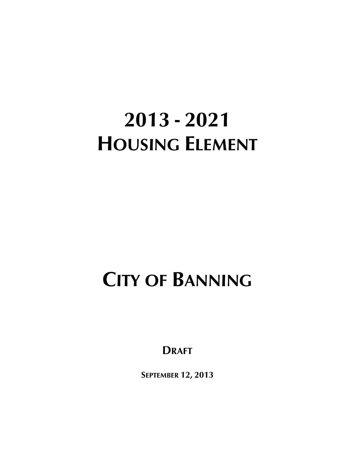# **2013 - 2021 HOUSING ELEMENT**

# **CITY OF BANNING**

**DRAFT**

**SEPTEMBER 12, 2013**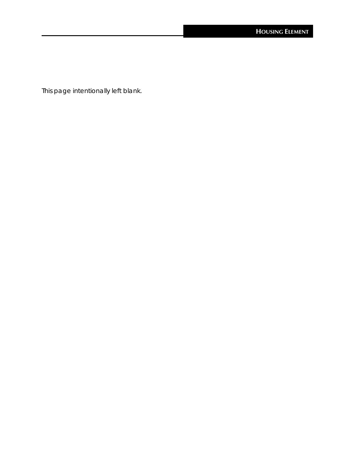*This page intentionally left blank.*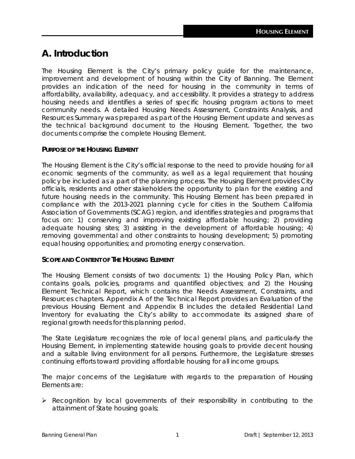# **A. Introduction**

The Housing Element is the City's primary policy guide for the maintenance, improvement and development of housing within the City of Banning. The Element provides an indication of the need for housing in the community in terms of affordability, availability, adequacy, and accessibility. It provides a strategy to address housing needs and identifies a series of specific housing program actions to meet community needs. A detailed Housing Needs Assessment, Constraints Analysis, and Resources Summary was prepared as part of the Housing Element update and serves as the technical background document to the Housing Element. Together, the two documents comprise the complete Housing Element.

## *PURPOSE OF THE HOUSING ELEMENT*

The Housing Element is the City's official response to the need to provide housing for all economic segments of the community, as well as a legal requirement that housing policy be included as a part of the planning process. The Housing Element provides City officials, residents and other stakeholders the opportunity to plan for the existing and future housing needs in the community. This Housing Element has been prepared in compliance with the 2013-2021 planning cycle for cities in the Southern California Association of Governments (SCAG) region, and identifies strategies and programs that focus on: 1) conserving and improving existing affordable housing; 2) providing adequate housing sites; 3) assisting in the development of affordable housing; 4) removing governmental and other constraints to housing development; 5) promoting equal housing opportunities; and promoting energy conservation.

## *SCOPE AND CONTENT OF THE HOUSING ELEMENT*

The Housing Element consists of two documents: 1) the Housing Policy Plan, which contains goals, policies, programs and quantified objectives; and 2) the Housing Element Technical Report, which contains the Needs Assessment, Constraints, and Resources chapters. Appendix A of the Technical Report provides an Evaluation of the previous Housing Element and Appendix B includes the detailed Residential Land Inventory for evaluating the City's ability to accommodate its assigned share of regional growth needs for this planning period.

The State Legislature recognizes the role of local general plans, and particularly the Housing Element, in implementing statewide housing goals to provide decent housing and a suitable living environment for all persons. Furthermore, the Legislature stresses continuing efforts toward providing affordable housing for all income groups.

The major concerns of the Legislature with regards to the preparation of Housing Elements are:

 $\triangleright$  Recognition by local governments of their responsibility in contributing to the attainment of State housing goals;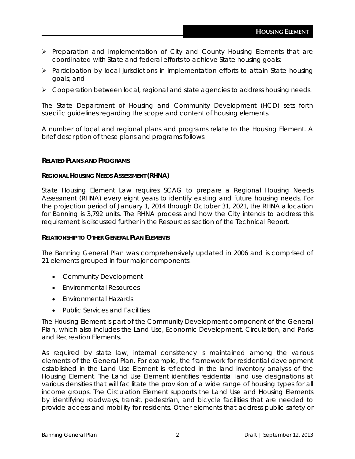- $\triangleright$  Preparation and implementation of City and County Housing Elements that are coordinated with State and federal efforts to achieve State housing goals;
- $\triangleright$  Participation by local jurisdictions in implementation efforts to attain State housing goals; and
- $\triangleright$  Cooperation between local, regional and state agencies to address housing needs.

The State Department of Housing and Community Development (HCD) sets forth specific guidelines regarding the scope and content of housing elements.

A number of local and regional plans and programs relate to the Housing Element. A brief description of these plans and programs follows.

### *RELATED PLANS AND PROGRAMS*

### **REGIONAL HOUSING NEEDS ASSESSMENT (RHNA)**

State Housing Element Law requires SCAG to prepare a Regional Housing Needs Assessment (RHNA) every eight years to identify existing and future housing needs. For the projection period of January 1, 2014 through October 31, 2021, the RHNA allocation for Banning is 3,792 units. The RHNA process and how the City intends to address this requirement is discussed further in the Resources section of the Technical Report.

### **RELATIONSHIP TO OTHER GENERAL PLAN ELEMENTS**

The Banning General Plan was comprehensively updated in 2006 and is comprised of 21 elements grouped in four major components:

- *Community Development*
- *Environmental Resources*
- *Environmental Hazards*
- *Public Services and Facilities*

The Housing Element is part of the *Community Development* component of the General Plan, which also includes the Land Use, Economic Development, Circulation, and Parks and Recreation Elements.

As required by state law, internal consistency is maintained among the various elements of the General Plan. For example, the framework for residential development established in the Land Use Element is reflected in the land inventory analysis of the Housing Element. The Land Use Element identifies residential land use designations at various densities that will facilitate the provision of a wide range of housing types for all income groups. The Circulation Element supports the Land Use and Housing Elements by identifying roadways, transit, pedestrian, and bicycle facilities that are needed to provide access and mobility for residents. Other elements that address public safety or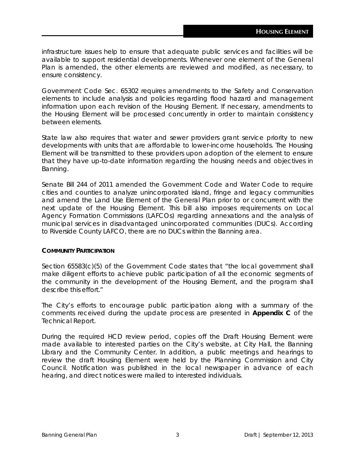infrastructure issues help to ensure that adequate public services and facilities will be available to support residential developments. Whenever one element of the General Plan is amended, the other elements are reviewed and modified, as necessary, to ensure consistency.

Government Code Sec. 65302 requires amendments to the Safety and Conservation elements to include analysis and policies regarding flood hazard and management information upon each revision of the Housing Element. If necessary, amendments to the Housing Element will be processed concurrently in order to maintain consistency between elements.

State law also requires that water and sewer providers grant service priority to new developments with units that are affordable to lower-income households. The Housing Element will be transmitted to these providers upon adoption of the element to ensure that they have up-to-date information regarding the housing needs and objectives in Banning.

Senate Bill 244 of 2011 amended the *Government Code* and *Water Code* to require cities and counties to analyze unincorporated island, fringe and legacy communities and amend the Land Use Element of the General Plan prior to or concurrent with the next update of the Housing Element. This bill also imposes requirements on Local Agency Formation Commissions (LAFCOs) regarding annexations and the analysis of municipal services in disadvantaged unincorporated communities (DUCs). According to Riverside County LAFCO, there are no DUCs within the Banning area.

### **COMMUNITY PARTICIPATION**

Section 65583(c)(5) of the Government Code states that "the local government shall make diligent efforts to achieve public participation of all the economic segments of the community in the development of the Housing Element, and the program shall describe this effort."

The City's efforts to encourage public participation along with a summary of the comments received during the update process are presented in **Appendix C** of the Technical Report.

During the required HCD review period, copies off the Draft Housing Element were made available to interested parties on the City's website, at City Hall, the Banning Library and the Community Center. In addition, a public meetings and hearings to review the draft Housing Element were held by the Planning Commission and City Council. Notification was published in the local newspaper in advance of each hearing, and direct notices were mailed to interested individuals.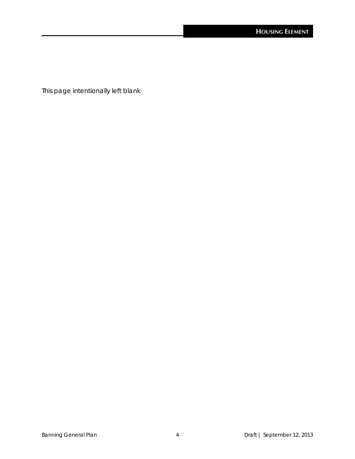*This page intentionally left blank*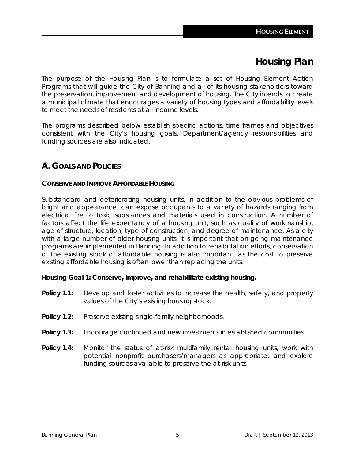# **Housing Plan**

The purpose of the Housing Plan is to formulate a set of Housing Element Action Programs that will guide the City of Banning and all of its housing stakeholders toward the preservation, improvement and development of housing. The City intends to create a municipal climate that encourages a variety of housing types and affordability levels to meet the needs of residents at all income levels.

The programs described below establish specific actions, time frames and objectives consistent with the City's housing goals. Department/agency responsibilities and funding sources are also indicated.

# *A. GOALS AND POLICIES*

## *CONSERVE AND IMPROVE AFFORDABLE HOUSING*

Substandard and deteriorating housing units, in addition to the obvious problems of blight and appearance, can expose occupants to a variety of hazards ranging from electrical fire to toxic substances and materials used in construction. A number of factors affect the life expectancy of a housing unit, such as quality of workmanship, age of structure, location, type of construction, and degree of maintenance. As a city with a large number of older housing units, it is important that on-going maintenance programs are implemented in Banning. In addition to rehabilitation efforts, conservation of the existing stock of affordable housing is also important, as the cost to preserve existing affordable housing is often lower than replacing the units.

## *Housing Goal 1: Conserve, improve, and rehabilitate existing housing.*

- **Policy 1.1:** Develop and foster activities to increase the health, safety, and property values of the City's existing housing stock.
- **Policy 1.2:** Preserve existing single-family neighborhoods.
- **Policy 1.3:** Encourage continued and new investments in established communities.
- **Policy 1.4:** Monitor the status of at-risk multifamily rental housing units, work with potential nonprofit purchasers/managers as appropriate, and explore funding sources available to preserve the at-risk units.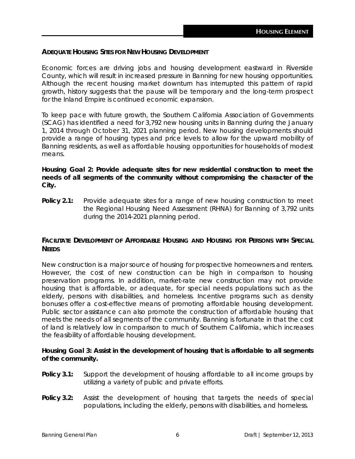### *ADEQUATE HOUSING SITES FOR NEW HOUSING DEVELOPMENT*

Economic forces are driving jobs and housing development eastward in Riverside County, which will result in increased pressure in Banning for new housing opportunities. Although the recent housing market downturn has interrupted this pattern of rapid growth, history suggests that the pause will be temporary and the long-term prospect for the Inland Empire is continued economic expansion.

To keep pace with future growth, the Southern California Association of Governments (SCAG) has identified a need for 3,792 new housing units in Banning during the January 1, 2014 through October 31, 2021 planning period. New housing developments should provide a range of housing types and price levels to allow for the upward mobility of Banning residents, as well as affordable housing opportunities for households of modest means.

## **Housing Goal 2:** *Provide adequate sites for new residential construction to meet the needs of all segments of the community without compromising the character of the City.*

**Policy 2.1:** Provide adequate sites for a range of new housing construction to meet the Regional Housing Need Assessment (RHNA) for Banning of 3,792 units during the 2014-2021 planning period.

## *FACILITATE DEVELOPMENT OF AFFORDABLE HOUSING AND HOUSING FOR PERSONS WITH SPECIAL NEEDS*

New construction is a major source of housing for prospective homeowners and renters. However, the cost of new construction can be high in comparison to housing preservation programs. In addition, market-rate new construction may not provide housing that is affordable, or adequate, for special needs populations such as the elderly, persons with disabilities, and homeless. Incentive programs such as density bonuses offer a cost-effective means of promoting affordable housing development. Public sector assistance can also promote the construction of affordable housing that meets the needs of all segments of the community. Banning is fortunate in that the cost of land is relatively low in comparison to much of Southern California, which increases the feasibility of affordable housing development.

## **Housing Goal 3:** *Assist in the development of housing that is affordable to all segments of the community.*

- **Policy 3.1:** Support the development of housing affordable to all income groups by utilizing a variety of public and private efforts.
- **Policy 3.2:** Assist the development of housing that targets the needs of special populations, including the elderly, persons with disabilities, and homeless.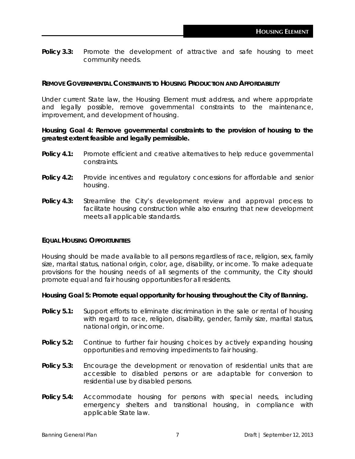**Policy 3.3:** Promote the development of attractive and safe housing to meet community needs.

#### *REMOVE GOVERNMENTAL CONSTRAINTS TO HOUSING PRODUCTION AND AFFORDABILITY*

Under current State law, the Housing Element must address, and where appropriate and legally possible, remove governmental constraints to the maintenance, improvement, and development of housing.

## **Housing Goal 4:** *Remove governmental constraints to the provision of housing to the greatest extent feasible and legally permissible.*

- **Policy 4.1:** Promote efficient and creative alternatives to help reduce governmental constraints.
- **Policy 4.2:** Provide incentives and regulatory concessions for affordable and senior housing.
- **Policy 4.3:** Streamline the City's development review and approval process to facilitate housing construction while also ensuring that new development meets all applicable standards.

### *EQUAL HOUSING OPPORTUNITIES*

Housing should be made available to all persons regardless of race, religion, sex, family size, marital status, national origin, color, age, disability, or income. To make adequate provisions for the housing needs of all segments of the community, the City should promote equal and fair housing opportunities for all residents.

#### **Housing Goal 5:** *Promote equal opportunity for housing throughout the City of Banning.*

- **Policy 5.1:** Support efforts to eliminate discrimination in the sale or rental of housing with regard to race, religion, disability, gender, family size, marital status, national origin, or income.
- **Policy 5.2:** Continue to further fair housing choices by actively expanding housing opportunities and removing impediments to fair housing.
- **Policy 5.3:** Encourage the development or renovation of residential units that are accessible to disabled persons or are adaptable for conversion to residential use by disabled persons.
- **Policy 5.4:** Accommodate housing for persons with special needs, including emergency shelters and transitional housing, in compliance with applicable State law.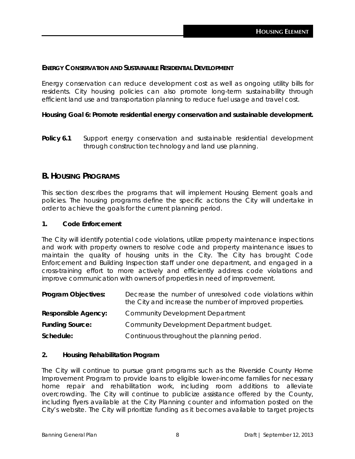## *ENERGY CONSERVATION AND SUSTAINABLE RESIDENTIAL DEVELOPMENT*

Energy conservation can reduce development cost as well as ongoing utility bills for residents. City housing policies can also promote long-term sustainability through efficient land use and transportation planning to reduce fuel usage and travel cost.

## **Housing Goal 6:** *Promote residential energy conservation and sustainable development.*

**Policy 6.1** Support energy conservation and sustainable residential development through construction technology and land use planning.

# *B. HOUSING PROGRAMS*

This section describes the programs that will implement Housing Element goals and policies. The housing programs define the specific actions the City will undertake in order to achieve the goals for the current planning period.

## **1. Code Enforcement**

The City will identify potential code violations, utilize property maintenance inspections and work with property owners to resolve code and property maintenance issues to maintain the quality of housing units in the City. The City has brought Code Enforcement and Building Inspection staff under one department, and engaged in a cross-training effort to more actively and efficiently address code violations and improve communication with owners of properties in need of improvement.

| Program Objectives:        | Decrease the number of unresolved code violations within<br>the City and increase the number of improved properties. |
|----------------------------|----------------------------------------------------------------------------------------------------------------------|
| <b>Responsible Agency:</b> | <b>Community Development Department</b>                                                                              |
| <b>Funding Source:</b>     | Community Development Department budget.                                                                             |
| Schedule:                  | Continuous throughout the planning period.                                                                           |

## **2. Housing Rehabilitation Program**

The City will continue to pursue grant programs such as the Riverside County Home Improvement Program to provide loans to eligible lower-income families for necessary home repair and rehabilitation work, including room additions to alleviate overcrowding. The City will continue to publicize assistance offered by the County, including flyers available at the City Planning counter and information posted on the City's website. The City will prioritize funding as it becomes available to target projects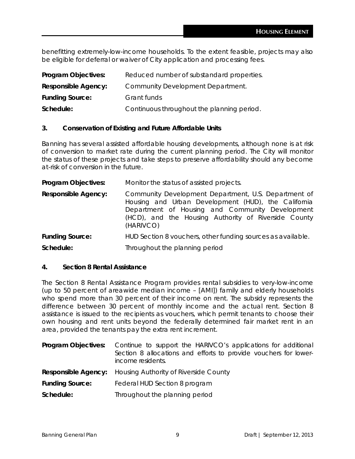benefitting extremely-low-income households. To the extent feasible, projects may also be eligible for deferral or waiver of City application and processing fees.

| Program Objectives:        | Reduced number of substandard properties.  |
|----------------------------|--------------------------------------------|
| <b>Responsible Agency:</b> | Community Development Department.          |
| <b>Funding Source:</b>     | Grant funds                                |
| Schedule:                  | Continuous throughout the planning period. |

### **3. Conservation of Existing and Future Affordable Units**

Banning has several assisted affordable housing developments, although none is at risk of conversion to market rate during the current planning period. The City will monitor the status of these projects and take steps to preserve affordability should any become at-risk of conversion in the future.

| Program Objectives:        | Monitor the status of assisted projects.                                                                                                                                                                                            |  |  |
|----------------------------|-------------------------------------------------------------------------------------------------------------------------------------------------------------------------------------------------------------------------------------|--|--|
| <b>Responsible Agency:</b> | Community Development Department, U.S. Department of<br>Housing and Urban Development (HUD), the California<br>Department of Housing and Community Development<br>(HCD), and the Housing Authority of Riverside County<br>(HARIVCO) |  |  |
| <b>Funding Source:</b>     | HUD Section 8 vouchers, other funding sources as available.                                                                                                                                                                         |  |  |
| Schedule:                  | Throughout the planning period                                                                                                                                                                                                      |  |  |

### **4. Section 8 Rental Assistance**

The Section 8 Rental Assistance Program provides rental subsidies to very-low-income (up to 50 percent of areawide median income – [AMI]) family and elderly households who spend more than 30 percent of their income on rent. The subsidy represents the difference between 30 percent of monthly income and the actual rent. Section 8 assistance is issued to the recipients as vouchers, which permit tenants to choose their own housing and rent units beyond the federally determined fair market rent in an area, provided the tenants pay the extra rent increment.

| Program Objectives:    | Continue to support the HARIVCO's applications for additional<br>Section 8 allocations and efforts to provide vouchers for lower-<br>income residents. |  |  |  |
|------------------------|--------------------------------------------------------------------------------------------------------------------------------------------------------|--|--|--|
|                        | <b>Responsible Agency:</b> Housing Authority of Riverside County                                                                                       |  |  |  |
| <b>Funding Source:</b> | Federal HUD Section 8 program                                                                                                                          |  |  |  |
| Schedule:              | Throughout the planning period                                                                                                                         |  |  |  |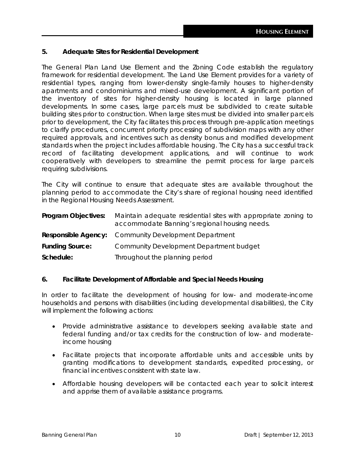### **5. Adequate Sites for Residential Development**

The General Plan Land Use Element and the Zoning Code establish the regulatory framework for residential development. The Land Use Element provides for a variety of residential types, ranging from lower-density single-family houses to higher-density apartments and condominiums and mixed-use development. A significant portion of the inventory of sites for higher-density housing is located in large planned developments. In some cases, large parcels must be subdivided to create suitable building sites prior to construction. When large sites must be divided into smaller parcels prior to development, the City facilitates this process through pre-application meetings to clarify procedures, concurrent priority processing of subdivision maps with any other required approvals, and incentives such as density bonus and modified development standards when the project includes affordable housing. The City has a successful track record of facilitating development applications, and will continue to work cooperatively with developers to streamline the permit process for large parcels requiring subdivisions.

The City will continue to ensure that adequate sites are available throughout the planning period to accommodate the City's share of regional housing need identified in the Regional Housing Needs Assessment.

| Program Objectives:    | Maintain adequate residential sites with appropriate zoning to<br>accommodate Banning's regional housing needs. |
|------------------------|-----------------------------------------------------------------------------------------------------------------|
|                        | <b>Responsible Agency:</b> Community Development Department                                                     |
| <b>Funding Source:</b> | Community Development Department budget                                                                         |
| Schedule:              | Throughout the planning period                                                                                  |

### **6. Facilitate Development of Affordable and Special Needs Housing**

In order to facilitate the development of housing for low- and moderate-income households and persons with disabilities (including developmental disabilities), the City will implement the following actions:

- Provide administrative assistance to developers seeking available state and federal funding and/or tax credits for the construction of low- and moderateincome housing
- Facilitate projects that incorporate affordable units and accessible units by granting modifications to development standards, expedited processing, or financial incentives consistent with state law.
- Affordable housing developers will be contacted each year to solicit interest and apprise them of available assistance programs.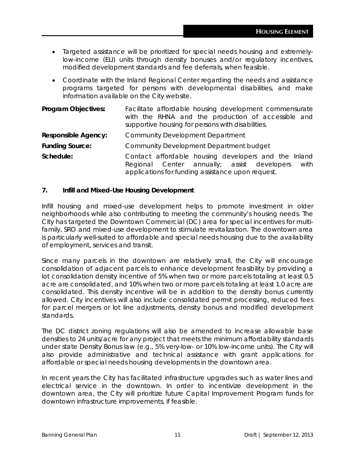- Targeted assistance will be prioritized for special needs housing and extremelylow-income (ELI) units through density bonuses and/or regulatory incentives, modified development standards and fee deferrals, when feasible.
- Coordinate with the Inland Regional Center regarding the needs and assistance programs targeted for persons with developmental disabilities, and make information available on the City website.

| Program Objectives:        | Facilitate affordable housing development commensurate<br>with the RHNA and the production of accessible and<br>supportive housing for persons with disabilities. |  |  |  |  |
|----------------------------|-------------------------------------------------------------------------------------------------------------------------------------------------------------------|--|--|--|--|
| <b>Responsible Agency:</b> | <b>Community Development Department</b>                                                                                                                           |  |  |  |  |
| <b>Funding Source:</b>     | Community Development Department budget                                                                                                                           |  |  |  |  |
| Schedule:                  | Contact affordable housing developers and the Inland<br>Regional Center annually; assist developers<br>with<br>applications for funding assistance upon request.  |  |  |  |  |

### **7. Infill and Mixed-Use Housing Development**

Infill housing and mixed-use development helps to promote investment in older neighborhoods while also contributing to meeting the community's housing needs. The City has targeted the Downtown Commercial (DC) area for special incentives for multifamily, SRO and mixed-use development to stimulate revitalization. The downtown area is particularly well-suited to affordable and special needs housing due to the availability of employment, services and transit.

Since many parcels in the downtown are relatively small, the City will encourage consolidation of adjacent parcels to enhance development feasibility by providing a lot consolidation density incentive of 5% when two or more parcels totaling at least 0.5 acre are consolidated, and 10% when two or more parcels totaling at least 1.0 acre are consolidated. This density incentive will be in addition to the density bonus currently allowed. City incentives will also include consolidated permit processing, reduced fees for parcel mergers or lot line adjustments, density bonus and modified development standards.

The DC district zoning regulations will also be amended to increase allowable base densities to 24 units/acre for any project that meets the minimum affordability standards under state Density Bonus law (e.g., 5% very-low- or 10% low-income units). The City will also provide administrative and technical assistance with grant applications for affordable or special needs housing developments in the downtown area.

In recent years the City has facilitated infrastructure upgrades such as water lines and electrical service in the downtown. In order to incentivize development in the downtown area, the City will prioritize future Capital Improvement Program funds for downtown infrastructure improvements, if feasible.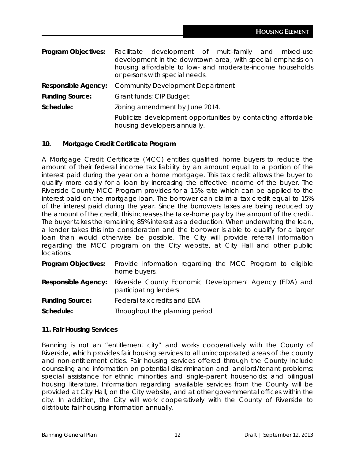| Program Objectives:        | Facilitate development of multi-family and mixed-use<br>development in the downtown area, with special emphasis on<br>housing affordable to low- and moderate-income households<br>or persons with special needs. |  |  |  |
|----------------------------|-------------------------------------------------------------------------------------------------------------------------------------------------------------------------------------------------------------------|--|--|--|
| <b>Responsible Agency:</b> | <b>Community Development Department</b>                                                                                                                                                                           |  |  |  |
| <b>Funding Source:</b>     | Grant funds; CIP Budget                                                                                                                                                                                           |  |  |  |
| Schedule:                  | Zoning amendment by June 2014.                                                                                                                                                                                    |  |  |  |
|                            | Publicize development opportunities by contacting affordable<br>housing developers annually.                                                                                                                      |  |  |  |

## **10. Mortgage Credit Certificate Program**

A Mortgage Credit Certificate (MCC) entitles qualified home buyers to reduce the amount of their federal income tax liability by an amount equal to a portion of the interest paid during the year on a home mortgage. This tax credit allows the buyer to qualify more easily for a loan by increasing the effective income of the buyer. The Riverside County MCC Program provides for a 15% rate which can be applied to the interest paid on the mortgage loan. The borrower can claim a tax credit equal to 15% of the interest paid during the year. Since the borrowers taxes are being reduced by the amount of the credit, this increases the take-home pay by the amount of the credit. The buyer takes the remaining 85% interest as a deduction. When underwriting the loan, a lender takes this into consideration and the borrower is able to qualify for a larger loan than would otherwise be possible. The City will provide referral information regarding the MCC program on the City website, at City Hall and other public locations.

| Program Objectives:    | Provide information regarding the MCC Program to eligible<br>home buyers.       |
|------------------------|---------------------------------------------------------------------------------|
| Responsible Agency:    | Riverside County Economic Development Agency (EDA) and<br>participating lenders |
| <b>Funding Source:</b> | Federal tax credits and EDA                                                     |
| Schedule:              | Throughout the planning period                                                  |

### **11. Fair Housing Services**

Banning is not an "entitlement city" and works cooperatively with the County of Riverside, which provides fair housing services to all unincorporated areas of the county and non-entitlement cities. Fair housing services offered through the County include counseling and information on potential discrimination and landlord/tenant problems; special assistance for ethnic minorities and single-parent households; and bilingual housing literature. Information regarding available services from the County will be provided at City Hall, on the City website, and at other governmental offices within the city. In addition, the City will work cooperatively with the County of Riverside to distribute fair housing information annually.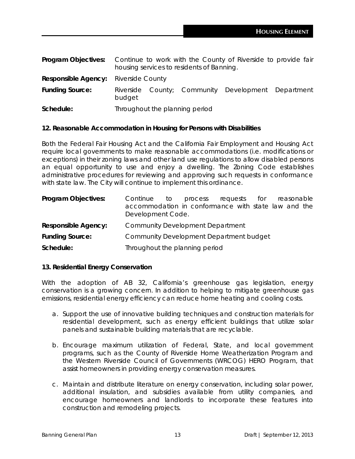| <b>Program Objectives:</b> | Continue to work with the County of Riverside to provide fair<br>housing services to residents of Banning. |  |  |                                          |  |
|----------------------------|------------------------------------------------------------------------------------------------------------|--|--|------------------------------------------|--|
| Responsible Agency:        | <b>Riverside County</b>                                                                                    |  |  |                                          |  |
| <b>Funding Source:</b>     | Riverside<br>budget                                                                                        |  |  | County: Community Development Department |  |
| Schedule:                  | Throughout the planning period                                                                             |  |  |                                          |  |

#### **12. Reasonable Accommodation in Housing for Persons with Disabilities**

Both the Federal Fair Housing Act and the California Fair Employment and Housing Act require local governments to make reasonable accommodations (i.e. modifications or exceptions) in their zoning laws and other land use regulations to allow disabled persons an equal opportunity to use and enjoy a dwelling. The Zoning Code establishes administrative procedures for reviewing and approving such requests in conformance with state law. The City will continue to implement this ordinance.

| Program Objectives:        | Continue to       | process                                 | requests                                            | for | reasonable |  |
|----------------------------|-------------------|-----------------------------------------|-----------------------------------------------------|-----|------------|--|
|                            | Development Code. |                                         | accommodation in conformance with state law and the |     |            |  |
| <b>Responsible Agency:</b> |                   | <b>Community Development Department</b> |                                                     |     |            |  |
| <b>Funding Source:</b>     |                   |                                         | Community Development Department budget             |     |            |  |
| Schedule:                  |                   | Throughout the planning period          |                                                     |     |            |  |

### **13. Residential Energy Conservation**

With the adoption of AB 32, California's greenhouse gas legislation, energy conservation is a growing concern. In addition to helping to mitigate greenhouse gas emissions, residential energy efficiency can reduce home heating and cooling costs.

- a. Support the use of innovative building techniques and construction materials for residential development, such as energy efficient buildings that utilize solar panels and sustainable building materials that are recyclable.
- b. Encourage maximum utilization of Federal, State, and local government programs, such as the County of Riverside Home Weatherization Program and the Western Riverside Council of Governments (WRCOG) HERO Program, that assist homeowners in providing energy conservation measures.
- c. Maintain and distribute literature on energy conservation, including solar power, additional insulation, and subsidies available from utility companies, and encourage homeowners and landlords to incorporate these features into construction and remodeling projects.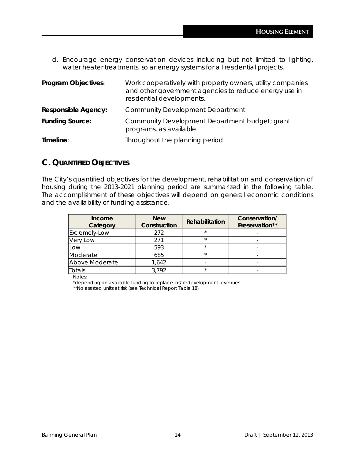d. Encourage energy conservation devices including but not limited to lighting, water heater treatments, solar energy systems for all residential projects.

| Program Objectives:        | Work cooperatively with property owners, utility companies<br>and other government agencies to reduce energy use in<br>residential developments. |
|----------------------------|--------------------------------------------------------------------------------------------------------------------------------------------------|
| <b>Responsible Agency:</b> | <b>Community Development Department</b>                                                                                                          |
| <b>Funding Source:</b>     | Community Development Department budget; grant<br>programs, as available                                                                         |
| Timeline:                  | Throughout the planning period                                                                                                                   |

# *C. QUANTIFIED OBJECTIVES*

The City's quantified objectives for the development, rehabilitation and conservation of housing during the 2013-2021 planning period are summarized in the following table. The accomplishment of these objectives will depend on general economic conditions and the availability of funding assistance.

| Income<br>Category   | <b>New</b><br>Construction | Rehabilitation | Conservation/<br>Preservation** |
|----------------------|----------------------------|----------------|---------------------------------|
| <b>Extremely-Low</b> | 272                        | $\star$        |                                 |
| Very Low             | 271                        | $\star$        |                                 |
| Low                  | 593                        | $\star$        |                                 |
| Moderate             | 685                        | $\star$        |                                 |
| Above Moderate       | 1,642                      |                |                                 |
| Totals               | 3.792                      | $\star$        |                                 |

Notes:

\*depending on available funding to replace lost redevelopment revenues

\*\*No assisted units at risk (see Technical Report Table 18)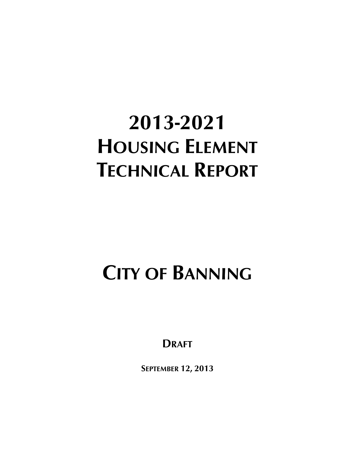# **2013-2021 HOUSING ELEMENT TECHNICAL REPORT**

# **CITY OF BANNING**

**DRAFT**

**SEPTEMBER 12, 2013**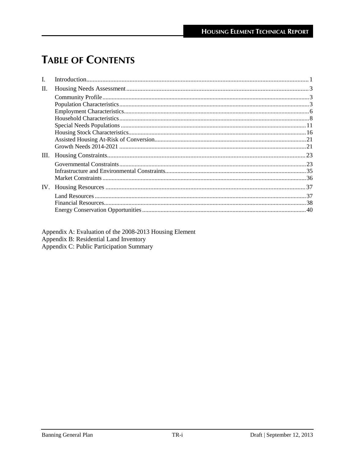# **TABLE OF CONTENTS**

| П. |  |
|----|--|
|    |  |
|    |  |
|    |  |
|    |  |
|    |  |
|    |  |
|    |  |
|    |  |
| Ш. |  |
|    |  |
|    |  |
|    |  |
|    |  |
|    |  |
|    |  |
|    |  |

Appendix A: Evaluation of the 2008-2013 Housing Element Appendix B: Residential Land Inventory Appendix C: Public Participation Summary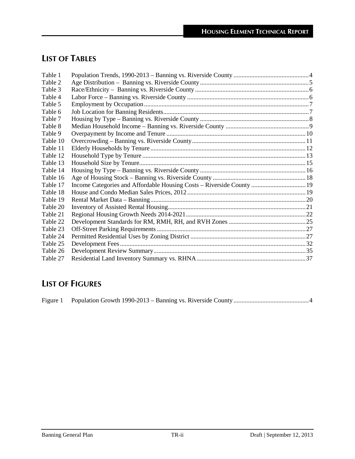# **LIST OF TABLES**

| Table 1  |                                                                       |  |
|----------|-----------------------------------------------------------------------|--|
| Table 2  |                                                                       |  |
| Table 3  |                                                                       |  |
| Table 4  |                                                                       |  |
| Table 5  |                                                                       |  |
| Table 6  |                                                                       |  |
| Table 7  |                                                                       |  |
| Table 8  |                                                                       |  |
| Table 9  |                                                                       |  |
| Table 10 |                                                                       |  |
| Table 11 |                                                                       |  |
| Table 12 |                                                                       |  |
| Table 13 |                                                                       |  |
| Table 14 |                                                                       |  |
| Table 16 |                                                                       |  |
| Table 17 | Income Categories and Affordable Housing Costs - Riverside County  19 |  |
| Table 18 |                                                                       |  |
| Table 19 |                                                                       |  |
| Table 20 |                                                                       |  |
| Table 21 |                                                                       |  |
| Table 22 |                                                                       |  |
| Table 23 |                                                                       |  |
| Table 24 |                                                                       |  |
| Table 25 |                                                                       |  |
| Table 26 |                                                                       |  |
| Table 27 |                                                                       |  |

# **LIST OF FIGURES**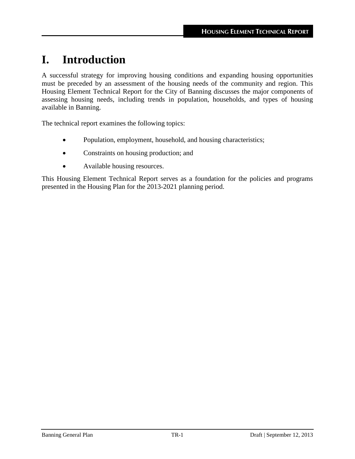# <span id="page-20-0"></span>**I. Introduction**

A successful strategy for improving housing conditions and expanding housing opportunities must be preceded by an assessment of the housing needs of the community and region. This Housing Element Technical Report for the City of Banning discusses the major components of assessing housing needs, including trends in population, households, and types of housing available in Banning.

The technical report examines the following topics:

- Population, employment, household, and housing characteristics;
- Constraints on housing production; and
- Available housing resources.

This Housing Element Technical Report serves as a foundation for the policies and programs presented in the Housing Plan for the 2013-2021 planning period.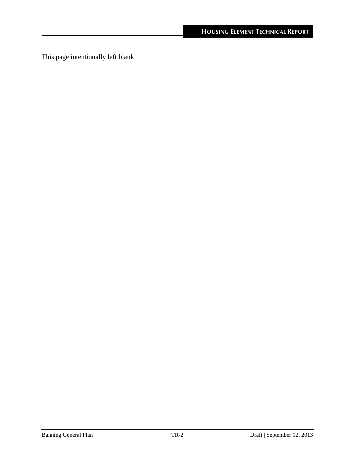This page intentionally left blank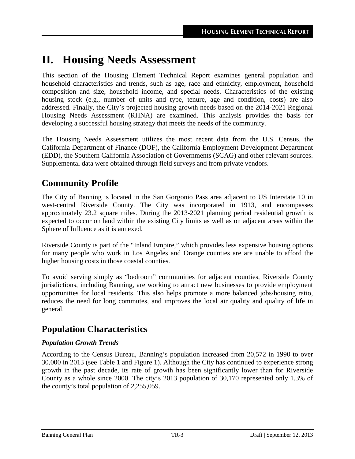# <span id="page-22-0"></span>**II. Housing Needs Assessment**

This section of the Housing Element Technical Report examines general population and household characteristics and trends, such as age, race and ethnicity, employment, household composition and size, household income, and special needs. Characteristics of the existing housing stock (e.g., number of units and type, tenure, age and condition, costs) are also addressed. Finally, the City's projected housing growth needs based on the 2014-2021 Regional Housing Needs Assessment (RHNA) are examined. This analysis provides the basis for developing a successful housing strategy that meets the needs of the community.

The Housing Needs Assessment utilizes the most recent data from the U.S. Census, the California Department of Finance (DOF), the California Employment Development Department (EDD), the Southern California Association of Governments (SCAG) and other relevant sources. Supplemental data were obtained through field surveys and from private vendors.

# <span id="page-22-1"></span>**Community Profile**

The City of Banning is located in the San Gorgonio Pass area adjacent to US Interstate 10 in west-central Riverside County. The City was incorporated in 1913, and encompasses approximately 23.2 square miles. During the 2013-2021 planning period residential growth is expected to occur on land within the existing City limits as well as on adjacent areas within the Sphere of Influence as it is annexed.

Riverside County is part of the "Inland Empire," which provides less expensive housing options for many people who work in Los Angeles and Orange counties are are unable to afford the higher housing costs in those coastal counties.

To avoid serving simply as "bedroom" communities for adjacent counties, Riverside County jurisdictions, including Banning, are working to attract new businesses to provide employment opportunities for local residents. This also helps promote a more balanced jobs/housing ratio, reduces the need for long commutes, and improves the local air quality and quality of life in general.

# <span id="page-22-2"></span>**Population Characteristics**

# *Population Growth Trends*

According to the Census Bureau, Banning's population increased from 20,572 in 1990 to over 30,000 in 2013 (see [Table 1](#page-23-0) and [Figure 1\)](#page-23-1). Although the City has continued to experience strong growth in the past decade, its rate of growth has been significantly lower than for Riverside County as a whole since 2000. The city's 2013 population of 30,170 represented only 1.3% of the county's total population of 2,255,059.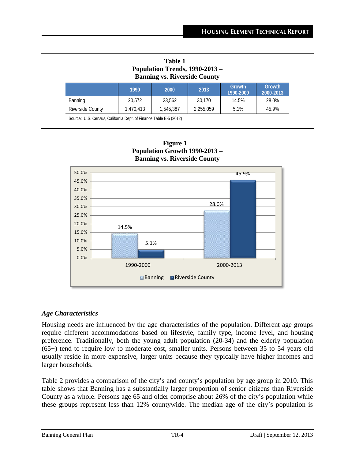| <b>Table 1</b>                      |
|-------------------------------------|
| Population Trends, 1990-2013 -      |
| <b>Banning vs. Riverside County</b> |

<span id="page-23-0"></span>

|                  | 1990      | 2000      | 2013'     | Growth<br>1990-2000 | <b>Growth</b><br>2000-2013 |
|------------------|-----------|-----------|-----------|---------------------|----------------------------|
| Banning          | 20,572    | 23,562    | 30.170    | 14.5%               | 28.0%                      |
| Riverside County | 1,470,413 | 1,545,387 | 2,255,059 | 5.1%                | 45.9%                      |

Source: U.S. Census, California Dept. of Finance Table E-5 (2012)



<span id="page-23-1"></span>

# *Age Characteristics*

Housing needs are influenced by the age characteristics of the population. Different age groups require different accommodations based on lifestyle, family type, income level, and housing preference. Traditionally, both the young adult population (20-34) and the elderly population (65+) tend to require low to moderate cost, smaller units. Persons between 35 to 54 years old usually reside in more expensive, larger units because they typically have higher incomes and larger households.

[Table 2](#page-24-0) provides a comparison of the city's and county's population by age group in 2010. This table shows that Banning has a substantially larger proportion of senior citizens than Riverside County as a whole. Persons age 65 and older comprise about 26% of the city's population while these groups represent less than 12% countywide. The median age of the city's population is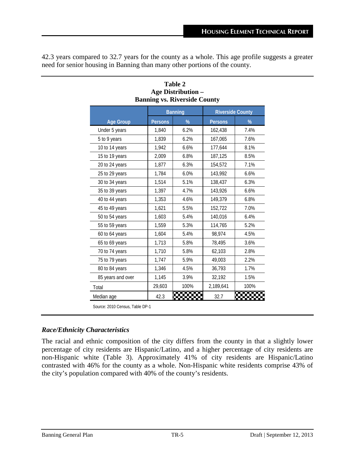<span id="page-24-0"></span>42.3 years compared to 32.7 years for the county as a whole. This age profile suggests a greater need for senior housing in Banning than many other portions of the county.

| <b>Banning vs. Riverside County</b> |                |                |                |                         |  |  |  |  |
|-------------------------------------|----------------|----------------|----------------|-------------------------|--|--|--|--|
|                                     |                | <b>Banning</b> |                | <b>Riverside County</b> |  |  |  |  |
| <b>Age Group</b>                    | <b>Persons</b> | %              | <b>Persons</b> | %                       |  |  |  |  |
| Under 5 years                       | 1,840          | 6.2%           | 162,438        | 7.4%                    |  |  |  |  |
| 5 to 9 years                        | 1,839          | 6.2%           | 167,065        | 7.6%                    |  |  |  |  |
| 10 to 14 years                      | 1,942          | 6.6%           | 177,644        | 8.1%                    |  |  |  |  |
| 15 to 19 years                      | 2,009          | 6.8%           | 187,125        | 8.5%                    |  |  |  |  |
| 20 to 24 years                      | 1,877          | 6.3%           | 154,572        | 7.1%                    |  |  |  |  |
| 25 to 29 years                      | 1,784          | 6.0%           | 143,992        | 6.6%                    |  |  |  |  |
| 30 to 34 years                      | 1,514          | 5.1%           | 138,437        | 6.3%                    |  |  |  |  |
| 35 to 39 years                      | 1,397          | 4.7%           | 143,926        | 6.6%                    |  |  |  |  |
| 40 to 44 years                      | 1,353          | 4.6%           | 149,379        | 6.8%                    |  |  |  |  |
| 45 to 49 years                      | 1,621          | 5.5%           | 152,722        | 7.0%                    |  |  |  |  |
| 50 to 54 years                      | 1,603          | 5.4%           | 140,016        | 6.4%                    |  |  |  |  |
| 55 to 59 years                      | 1,559          | 5.3%           | 114,765        | 5.2%                    |  |  |  |  |
| 60 to 64 years                      | 1,604          | 5.4%           | 98,974         | 4.5%                    |  |  |  |  |
| 65 to 69 years                      | 1,713          | 5.8%           | 78,495         | 3.6%                    |  |  |  |  |
| 70 to 74 years                      | 1,710          | 5.8%           | 62,103         | 2.8%                    |  |  |  |  |
| 75 to 79 years                      | 1,747          | 5.9%           | 49,003         | 2.2%                    |  |  |  |  |
| 80 to 84 years                      | 1,346          | 4.5%           | 36,793         | 1.7%                    |  |  |  |  |
| 85 years and over                   | 1,145          | 3.9%           | 32,192         | 1.5%                    |  |  |  |  |
| Total                               | 29,603         | 100%           | 2,189,641      | 100%                    |  |  |  |  |
| Median age                          | 42.3           |                | 32.7           |                         |  |  |  |  |

### **Table 2 Age Distribution – Banning vs. Riverside County**

Source: 2010 Census, Table DP-1

# *Race/Ethnicity Characteristics*

The racial and ethnic composition of the city differs from the county in that a slightly lower percentage of city residents are Hispanic/Latino, and a higher percentage of city residents are non-Hispanic white (Table 3). Approximately 41% of city residents are Hispanic/Latino contrasted with 46% for the county as a whole. Non-Hispanic white residents comprise 43% of the city's population compared with 40% of the county's residents.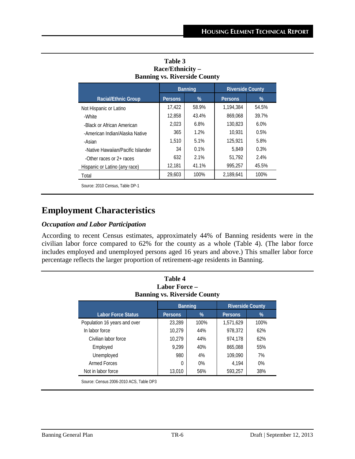<span id="page-25-1"></span>

|                                   | <b>Banning</b> |         | <b>Riverside County</b> |         |  |
|-----------------------------------|----------------|---------|-------------------------|---------|--|
| <b>Racial/Ethnic Group</b>        | <b>Persons</b> | %       | <b>Persons</b>          | %       |  |
| Not Hispanic or Latino            | 17.422         | 58.9%   | 1.194.384               | 54.5%   |  |
| -White                            | 12,858         | 43.4%   | 869,068                 | 39.7%   |  |
| -Black or African American        | 2.023          | $6.8\%$ | 130.823                 | $6.0\%$ |  |
| -American Indian/Alaska Native    | 365            | 1.2%    | 10.931                  | 0.5%    |  |
| -Asian                            | 1.510          | 5.1%    | 125.921                 | 5.8%    |  |
| -Native Hawaiian/Pacific Islander | 34             | 0.1%    | 5,849                   | 0.3%    |  |
| -Other races or 2+ races          | 632            | 2.1%    | 51.792                  | 2.4%    |  |
| Hispanic or Latino (any race)     | 12,181         | 41.1%   | 995,257                 | 45.5%   |  |
| Total                             | 29,603         | 100%    | 2,189,641               | 100%    |  |
|                                   |                |         |                         |         |  |

| Table 3                             |
|-------------------------------------|
| Race/Ethnicity –                    |
| <b>Banning vs. Riverside County</b> |

Source: 2010 Census, Table DP-1

# <span id="page-25-0"></span>**Employment Characteristics**

# *Occupation and Labor Participation*

According to recent Census estimates, approximately 44% of Banning residents were in the civilian labor force compared to 62% for the county as a whole [\(Table 4\)](#page-25-2). (The labor force includes employed and unemployed persons aged 16 years and above.) This smaller labor force percentage reflects the larger proportion of retirement-age residents in Banning.

<span id="page-25-2"></span>

| Table 4<br>Labor Force –<br><b>Banning vs. Riverside County</b> |                |       |                |                         |  |  |  |
|-----------------------------------------------------------------|----------------|-------|----------------|-------------------------|--|--|--|
|                                                                 | <b>Banning</b> |       |                | <b>Riverside County</b> |  |  |  |
| <b>Labor Force Status</b>                                       | <b>Persons</b> | %     | <b>Persons</b> | %                       |  |  |  |
| Population 16 years and over                                    | 23,289         | 100%  | 1,571,629      | 100%                    |  |  |  |
| In labor force                                                  | 10.279         | 44%   | 978.372        | 62%                     |  |  |  |
| Civilian labor force                                            | 10.279         | 44%   | 974,178        | 62%                     |  |  |  |
| Employed                                                        | 9.299          | 40%   | 865,088        | 55%                     |  |  |  |
| Unemployed                                                      | 980            | 4%    | 109,090        | 7%                      |  |  |  |
| Armed Forces                                                    | 0              | $0\%$ | 4.194          | $0\%$                   |  |  |  |
| Not in labor force                                              | 13,010         | 56%   | 593,257        | 38%                     |  |  |  |

Census 2006-2010 ACS, Table DP3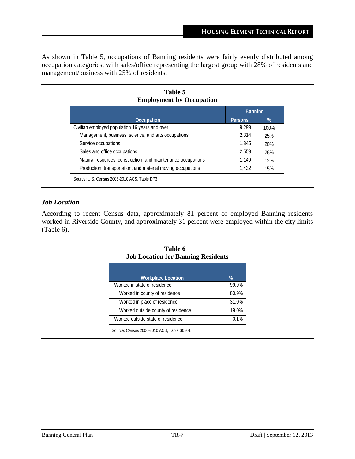As shown in [Table 5,](#page-26-0) occupations of Banning residents were fairly evenly distributed among occupation categories, with sales/office representing the largest group with 28% of residents and management/business with 25% of residents.

<span id="page-26-0"></span>

| <b>Table 5</b><br><b>Employment by Occupation</b>            |                |                |  |  |  |
|--------------------------------------------------------------|----------------|----------------|--|--|--|
|                                                              |                | <b>Banning</b> |  |  |  |
| Occupation                                                   | <b>Persons</b> | %              |  |  |  |
| Civilian employed population 16 years and over               | 9.299          | 100%           |  |  |  |
| Management, business, science, and arts occupations          | 2,314          | 25%            |  |  |  |
| Service occupations                                          | 1.845          | 20%            |  |  |  |
| Sales and office occupations                                 | 2.559          | 28%            |  |  |  |
| Natural resources, construction, and maintenance occupations | 1,149          | 12%            |  |  |  |
| Production, transportation, and material moving occupations  | 1,432          | 15%            |  |  |  |
| Source: U.S. Census 2006-2010 ACS, Table DP3                 |                |                |  |  |  |

## *Job Location*

<span id="page-26-1"></span>According to recent Census data, approximately 81 percent of employed Banning residents worked in Riverside County, and approximately 31 percent were employed within the city limits (Table 6).

| Table 6<br><b>Job Location for Banning Residents</b> |       |  |  |  |
|------------------------------------------------------|-------|--|--|--|
| <b>Workplace Location</b>                            | $\%$  |  |  |  |
| Worked in state of residence                         | 99.9% |  |  |  |
| Worked in county of residence                        | 80.9% |  |  |  |
| Worked in place of residence                         | 31.0% |  |  |  |
| Worked outside county of residence                   | 19.0% |  |  |  |
| Worked outside state of residence                    | 0.1%  |  |  |  |

Source: Census 2006-2010 ACS, Table S0801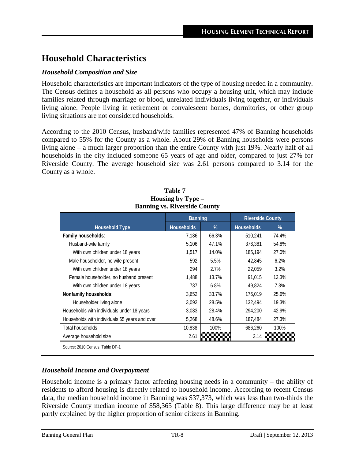# <span id="page-27-0"></span>**Household Characteristics**

# *Household Composition and Size*

Household characteristics are important indicators of the type of housing needed in a community. The Census defines a household as all persons who occupy a housing unit, which may include families related through marriage or blood, unrelated individuals living together, or individuals living alone. People living in retirement or convalescent homes, dormitories, or other group living situations are not considered households.

According to the 2010 Census, husband/wife families represented 47% of Banning households compared to 55% for the County as a whole. About 29% of Banning households were persons living alone – a much larger proportion than the entire County with just 19%. Nearly half of all households in the city included someone 65 years of age and older, compared to just 27% for Riverside County. The average household size was 2.61 persons compared to 3.14 for the County as a whole.

<span id="page-27-1"></span>

| o                                             |                   |       |                         |       |  |  |  |
|-----------------------------------------------|-------------------|-------|-------------------------|-------|--|--|--|
|                                               | <b>Banning</b>    |       | <b>Riverside County</b> |       |  |  |  |
| <b>Household Type</b>                         | <b>Households</b> | %     | <b>Households</b>       | %     |  |  |  |
| Family households:                            | 7,186             | 66.3% | 510,241                 | 74.4% |  |  |  |
| Husband-wife family                           | 5,106             | 47.1% | 376,381                 | 54.8% |  |  |  |
| With own children under 18 years              | 1,517             | 14.0% | 185,194                 | 27.0% |  |  |  |
| Male householder, no wife present             | 592               | 5.5%  | 42,845                  | 6.2%  |  |  |  |
| With own children under 18 years              | 294               | 2.7%  | 22,059                  | 3.2%  |  |  |  |
| Female householder, no husband present        | 1,488             | 13.7% | 91,015                  | 13.3% |  |  |  |
| With own children under 18 years              | 737               | 6.8%  | 49,824                  | 7.3%  |  |  |  |
| Nonfamily households:                         | 3,652             | 33.7% | 176,019                 | 25.6% |  |  |  |
| Householder living alone                      | 3,092             | 28.5% | 132,494                 | 19.3% |  |  |  |
| Households with individuals under 18 years    | 3,083             | 28.4% | 294,200                 | 42.9% |  |  |  |
| Households with individuals 65 years and over | 5,268             | 48.6% | 187,484                 | 27.3% |  |  |  |
| Total households                              | 10,838            | 100%  | 686,260                 | 100%  |  |  |  |
| Average household size                        | 2.61              |       | 3.14                    |       |  |  |  |

**Table 7 Housing by Type – Banning vs. Riverside County**

Source: 2010 Census, Table DP-1

# *Household Income and Overpayment*

Household income is a primary factor affecting housing needs in a community – the ability of residents to afford housing is directly related to household income. According to recent Census data, the median household income in Banning was \$37,373, which was less than two-thirds the Riverside County median income of \$58,365 (Table 8). This large difference may be at least partly explained by the higher proportion of senior citizens in Banning.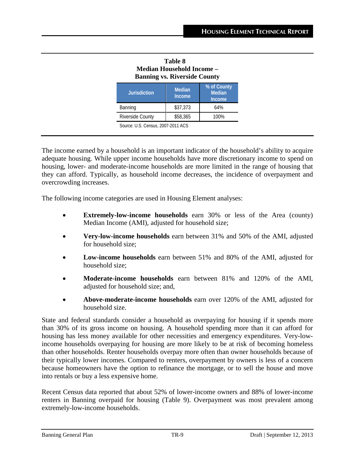<span id="page-28-0"></span>

| таше о<br>Median Household Income –<br><b>Banning vs. Riverside County</b> |                                |      |  |  |  |  |
|----------------------------------------------------------------------------|--------------------------------|------|--|--|--|--|
| <b>Jurisdiction</b>                                                        | <b>Median</b><br><b>Income</b> |      |  |  |  |  |
| Banning                                                                    | \$37,373                       | 64%  |  |  |  |  |
| <b>Riverside County</b>                                                    | \$58,365                       | 100% |  |  |  |  |
| Source: U.S. Census, 2007-2011 ACS                                         |                                |      |  |  |  |  |

**Table 8**

The income earned by a household is an important indicator of the household's ability to acquire adequate housing. While upper income households have more discretionary income to spend on housing, lower- and moderate-income households are more limited in the range of housing that they can afford. Typically, as household income decreases, the incidence of overpayment and overcrowding increases.

The following income categories are used in Housing Element analyses:

- **Extremely-low-income households** earn 30% or less of the Area (county) Median Income (AMI), adjusted for household size;
- **Very-low-income households** earn between 31% and 50% of the AMI, adjusted for household size;
- **Low-income households** earn between 51% and 80% of the AMI, adjusted for household size;
- **Moderate-income households** earn between 81% and 120% of the AMI, adjusted for household size; and,
- **Above-moderate-income households** earn over 120% of the AMI, adjusted for household size.

State and federal standards consider a household as overpaying for housing if it spends more than 30% of its gross income on housing. A household spending more than it can afford for housing has less money available for other necessities and emergency expenditures. Very-lowincome households overpaying for housing are more likely to be at risk of becoming homeless than other households. Renter households overpay more often than owner households because of their typically lower incomes. Compared to renters, overpayment by owners is less of a concern because homeowners have the option to refinance the mortgage, or to sell the house and move into rentals or buy a less expensive home.

Recent Census data reported that about 52% of lower-income owners and 88% of lower-income renters in Banning overpaid for housing [\(Table 9\)](#page-29-0). Overpayment was most prevalent among extremely-low-income households.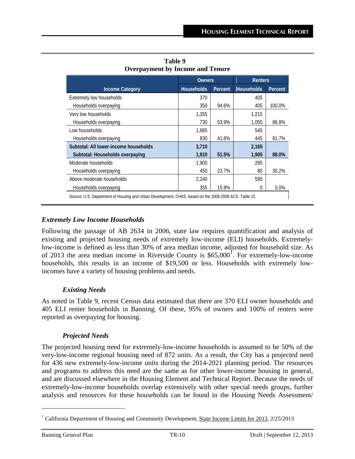<span id="page-29-0"></span>

|                                                                                                       | <b>Owners</b>     |                | <b>Renters</b>    |         |  |  |
|-------------------------------------------------------------------------------------------------------|-------------------|----------------|-------------------|---------|--|--|
| <b>Income Category</b>                                                                                | <b>Households</b> | <b>Percent</b> | <b>Households</b> | Percent |  |  |
| Extremely low households                                                                              | 370               |                | 405               |         |  |  |
| Households overpaying                                                                                 | 350               | 94.6%          | 405               | 100.0%  |  |  |
| Very low households                                                                                   | 1,355             |                | 1.215             |         |  |  |
| Households overpaying                                                                                 | 730               | 53.9%          | 1,055             | 86.8%   |  |  |
| Low households                                                                                        | 1,985             |                | 545               |         |  |  |
| Households overpaying                                                                                 | 830               | 41.8%          | 445               | 81.7%   |  |  |
| Subtotal: All lower-income households                                                                 | 3,710             |                | 2,165             |         |  |  |
| Subtotal: Households overpaying                                                                       | 1,910             | 51.5%          | 1,905             | 88.0%   |  |  |
| Moderate households                                                                                   | 1.900             |                | 265               |         |  |  |
| Households overpaying                                                                                 | 450               | 23.7%          | 80                | 30.2%   |  |  |
| Above moderate households                                                                             | 2,240             |                | 595               |         |  |  |
| Households overpaying                                                                                 | 355               | 15.8%          | $\Omega$          | $0.0\%$ |  |  |
| Source: U.S. Department of Housing and Urban Development, CHAS, based on the 2006-2008 ACS. Table 15. |                   |                |                   |         |  |  |

**Table 9 Overpayment by Income and Tenure**

# *Extremely Low Income Households*

Following the passage of AB 2634 in 2006, state law requires quantification and analysis of existing and projected housing needs of extremely low-income (ELI) households. Extremelylow-income is defined as less than 30% of area median income, adjusted for household size. As of 20[1](#page-29-1)3 the area median income in Riverside County is  $$65,000$ <sup>1</sup>. For extremely-low-income households, this results in an income of \$19,500 or less. Households with extremely lowincomes have a variety of housing problems and needs.

# *Existing Needs*

As noted in [Table 9,](#page-29-0) recent Census data estimated that there are 370 ELI owner households and 405 ELI renter households in Banning. Of these, 95% of owners and 100% of renters were reported as overpaying for housing.

# *Projected Needs*

The projected housing need for extremely-low-income households is assumed to be 50% of the very-low-income regional housing need of 872 units. As a result, the City has a projected need for 436 new extremely-low-income units during the 2014-2021 planning period. The resources and programs to address this need are the same as for other lower-income housing in general, and are discussed elsewhere in the Housing Element and Technical Report. Because the needs of extremely-low-income households overlap extensively with other special needs groups, further analysis and resources for these households can be found in the Housing Needs Assessment/

 $\overline{a}$ 

<span id="page-29-1"></span><sup>&</sup>lt;sup>1</sup> California Department of Housing and Community Development, State Income Limits for 2013, 2/25/2013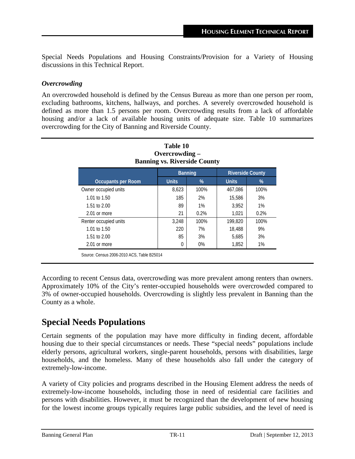Special Needs Populations and Housing Constraints/Provision for a Variety of Housing discussions in this Technical Report.

## *Overcrowding*

An overcrowded household is defined by the Census Bureau as more than one person per room, excluding bathrooms, kitchens, hallways, and porches. A severely overcrowded household is defined as more than 1.5 persons per room. Overcrowding results from a lack of affordable housing and/or a lack of available housing units of adequate size. [Table 10](#page-30-1) summarizes overcrowding for the City of Banning and Riverside County.

**Table 10**

<span id="page-30-1"></span>

| 1 UIJIV 1V<br>Overcrowding $-$<br><b>Banning vs. Riverside County</b> |              |                |                         |      |  |  |
|-----------------------------------------------------------------------|--------------|----------------|-------------------------|------|--|--|
|                                                                       |              | <b>Banning</b> | <b>Riverside County</b> |      |  |  |
| <b>Occupants per Room</b>                                             | <b>Units</b> | %              | <b>Units</b>            | %    |  |  |
| Owner occupied units                                                  | 8,623        | 100%           | 467,086                 | 100% |  |  |
| 1.01 to 1.50                                                          | 185          | 2%             | 15,586                  | 3%   |  |  |
| 1.51 to 2.00                                                          | 89           | 1%             | 3.952                   | 1%   |  |  |
| $2.01$ or more                                                        | 21           | 0.2%           | 1.021                   | 0.2% |  |  |
| Renter occupied units                                                 | 3.248        | 100%           | 199.820                 | 100% |  |  |
| 1.01 to 1.50                                                          | 220          | 7%             | 18,488                  | 9%   |  |  |
| 1.51 to 2.00                                                          | 85           | 3%             | 5,685                   | 3%   |  |  |
| 2.01 or more                                                          | $\theta$     | $0\%$          | 1,852                   | 1%   |  |  |

Source: Census 2006-2010 ACS, Table B25014

According to recent Census data, overcrowding was more prevalent among renters than owners. Approximately 10% of the City's renter-occupied households were overcrowded compared to 3% of owner-occupied households. Overcrowding is slightly less prevalent in Banning than the County as a whole.

# <span id="page-30-0"></span>**Special Needs Populations**

Certain segments of the population may have more difficulty in finding decent, affordable housing due to their special circumstances or needs. These "special needs" populations include elderly persons, agricultural workers, single-parent households, persons with disabilities, large households, and the homeless. Many of these households also fall under the category of extremely-low-income.

A variety of City policies and programs described in the Housing Element address the needs of extremely-low-income households, including those in need of residential care facilities and persons with disabilities. However, it must be recognized than the development of new housing for the lowest income groups typically requires large public subsidies, and the level of need is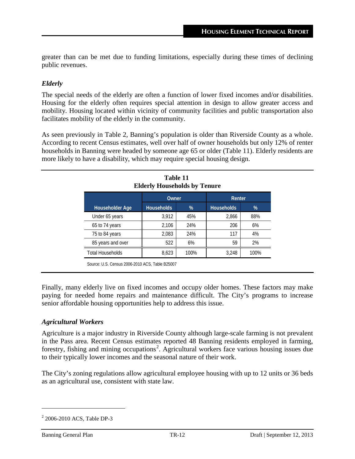greater than can be met due to funding limitations, especially during these times of declining public revenues.

## *Elderly*

The special needs of the elderly are often a function of lower fixed incomes and/or disabilities. Housing for the elderly often requires special attention in design to allow greater access and mobility. Housing located within vicinity of community facilities and public transportation also facilitates mobility of the elderly in the community.

As seen previously in Table 2, Banning's population is older than Riverside County as a whole. According to recent Census estimates, well over half of owner households but only 12% of renter households in Banning were headed by someone age 65 or older [\(Table 11\)](#page-31-0). Elderly residents are more likely to have a disability, which may require special housing design.

<span id="page-31-0"></span>

| Table 11<br><b>Elderly Households by Tenure</b> |      |                   |      |  |
|-------------------------------------------------|------|-------------------|------|--|
|                                                 |      | Renter            |      |  |
| <b>Households</b>                               | %    | <b>Households</b> | %    |  |
| 3,912                                           | 45%  | 2,866             | 88%  |  |
| 2,106                                           | 24%  | 206               | 6%   |  |
| 2,083                                           | 24%  | 117               | 4%   |  |
| 522                                             | 6%   | 59                | 2%   |  |
| 8,623                                           | 100% | 3,248             | 100% |  |
|                                                 |      | Owner             |      |  |

Finally, many elderly live on fixed incomes and occupy older homes. These factors may make paying for needed home repairs and maintenance difficult. The City's programs to increase senior affordable housing opportunities help to address this issue.

## *Agricultural Workers*

Agriculture is a major industry in Riverside County although large-scale farming is not prevalent in the Pass area. Recent Census estimates reported 48 Banning residents employed in farming, forestry, fishing and mining occupations<sup>[2](#page-31-1)</sup>. Agricultural workers face various housing issues due to their typically lower incomes and the seasonal nature of their work.

The City's zoning regulations allow agricultural employee housing with up to 12 units or 36 beds as an agricultural use, consistent with state law.

 $\overline{a}$ 

<span id="page-31-1"></span><sup>2</sup> 2006-2010 ACS, Table DP-3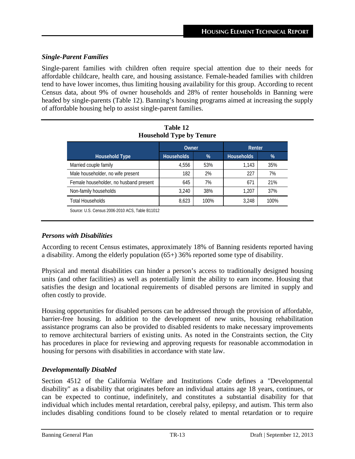# *Single-Parent Families*

Single-parent families with children often require special attention due to their needs for affordable childcare, health care, and housing assistance. Female-headed families with children tend to have lower incomes, thus limiting housing availability for this group. According to recent Census data, about 9% of owner households and 28% of renter households in Banning were headed by single-parents [\(Table 12\)](#page-32-0). Banning's housing programs aimed at increasing the supply of affordable housing help to assist single-parent families.

**Table 12**

<span id="page-32-0"></span>

| <b>Household Type by Tenure</b>                 |                   |      |                   |      |  |  |  |
|-------------------------------------------------|-------------------|------|-------------------|------|--|--|--|
|                                                 | Owner             |      | Renter            |      |  |  |  |
| Household Type                                  | <b>Households</b> | %    | <b>Households</b> | %    |  |  |  |
| Married couple family                           | 4,556             | 53%  | 1,143             | 35%  |  |  |  |
| Male householder, no wife present               | 182               | 2%   | 227               | 7%   |  |  |  |
| Female householder, no husband present          | 645               | 7%   | 671               | 21%  |  |  |  |
| Non-family households                           | 3.240             | 38%  | 1.207             | 37%  |  |  |  |
| <b>Total Households</b>                         | 8,623             | 100% | 3,248             | 100% |  |  |  |
| Source: U.S. Census 2006-2010 ACS. Table B11012 |                   |      |                   |      |  |  |  |

*Persons with Disabilities*

According to recent Census estimates, approximately 18% of Banning residents reported having a disability. Among the elderly population (65+) 36% reported some type of disability.

Physical and mental disabilities can hinder a person's access to traditionally designed housing units (and other facilities) as well as potentially limit the ability to earn income. Housing that satisfies the design and locational requirements of disabled persons are limited in supply and often costly to provide.

Housing opportunities for disabled persons can be addressed through the provision of affordable, barrier-free housing. In addition to the development of new units, housing rehabilitation assistance programs can also be provided to disabled residents to make necessary improvements to remove architectural barriers of existing units. As noted in the Constraints section, the City has procedures in place for reviewing and approving requests for reasonable accommodation in housing for persons with disabilities in accordance with state law.

# *Developmentally Disabled*

Section 4512 of the California Welfare and Institutions Code defines a "Developmental disability" as a disability that originates before an individual attains age 18 years, continues, or can be expected to continue, indefinitely, and constitutes a substantial disability for that individual which includes mental retardation, cerebral palsy, epilepsy, and autism. This term also includes disabling conditions found to be closely related to mental retardation or to require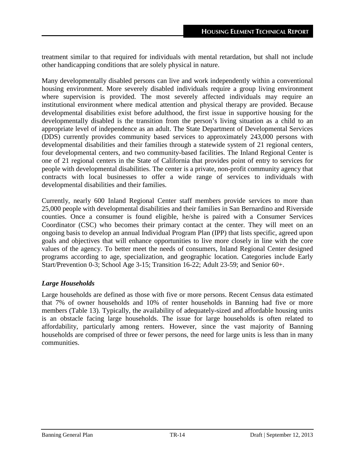treatment similar to that required for individuals with mental retardation, but shall not include other handicapping conditions that are solely physical in nature.

Many developmentally disabled persons can live and work independently within a conventional housing environment. More severely disabled individuals require a group living environment where supervision is provided. The most severely affected individuals may require an institutional environment where medical attention and physical therapy are provided. Because developmental disabilities exist before adulthood, the first issue in supportive housing for the developmentally disabled is the transition from the person's living situation as a child to an appropriate level of independence as an adult. The State Department of Developmental Services (DDS) currently provides community based services to approximately 243,000 persons with developmental disabilities and their families through a statewide system of 21 regional centers, four developmental centers, and two community-based facilities. The Inland Regional Center is one of 21 regional centers in the State of California that provides point of entry to services for people with developmental disabilities. The center is a private, non-profit community agency that contracts with local businesses to offer a wide range of services to individuals with developmental disabilities and their families.

Currently, nearly 600 Inland Regional Center staff members provide services to more than 25,000 people with developmental disabilities and their families in San Bernardino and Riverside counties. Once a consumer is found eligible, he/she is paired with a Consumer Services Coordinator (CSC) who becomes their primary contact at the center. They will meet on an ongoing basis to develop an annual Individual Program Plan (IPP) that lists specific, agreed upon goals and objectives that will enhance opportunities to live more closely in line with the core values of the agency. To better meet the needs of consumers, Inland Regional Center designed programs according to age, specialization, and geographic location. Categories include Early Start/Prevention 0-3; School Age 3-15; Transition 16-22; Adult 23-59; and Senior 60+.

# *Large Households*

Large households are defined as those with five or more persons. Recent Census data estimated that 7% of owner households and 10% of renter households in Banning had five or more members [\(Table 13\)](#page-34-0). Typically, the availability of adequately-sized and affordable housing units is an obstacle facing large households. The issue for large households is often related to affordability, particularly among renters. However, since the vast majority of Banning households are comprised of three or fewer persons, the need for large units is less than in many communities.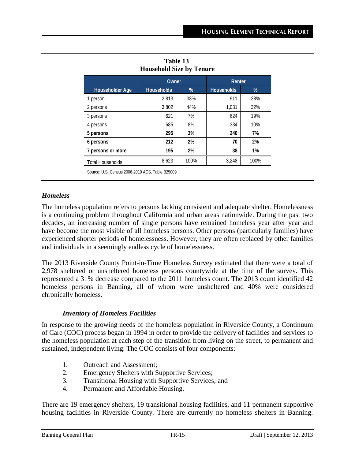<span id="page-34-0"></span>

| Household Size by Tenure |                   |      |                   |      |  |  |
|--------------------------|-------------------|------|-------------------|------|--|--|
|                          | Owner             |      | Renter            |      |  |  |
| Householder Age          | <b>Households</b> | %    | <b>Households</b> | %    |  |  |
| 1 person                 | 2,813             | 33%  | 911               | 28%  |  |  |
| 2 persons                | 3,802             | 44%  | 1,031             | 32%  |  |  |
| 3 persons                | 621               | 7%   | 624               | 19%  |  |  |
| 4 persons                | 685               | 8%   | 334               | 10%  |  |  |
| 5 persons                | 295               | 3%   | 240               | 7%   |  |  |
| 6 persons                | 212               | 2%   | 70                | 2%   |  |  |
| 7 persons or more        | 195               | 2%   | 38                | 1%   |  |  |
| <b>Total Households</b>  | 8,623             | 100% | 3,248             | 100% |  |  |
|                          |                   |      |                   |      |  |  |

**Table 13 Household Size by Tenure**

Source: U.S. Census 2006-2010 ACS, Table B25009

# *Homeless*

The homeless population refers to persons lacking consistent and adequate shelter. Homelessness is a continuing problem throughout California and urban areas nationwide. During the past two decades, an increasing number of single persons have remained homeless year after year and have become the most visible of all homeless persons. Other persons (particularly families) have experienced shorter periods of homelessness. However, they are often replaced by other families and individuals in a seemingly endless cycle of homelessness.

The 2013 Riverside County Point-in-Time Homeless Survey estimated that there were a total of 2,978 sheltered or unsheltered homeless persons countywide at the time of the survey. This represented a 31% decrease compared to the 2011 homeless count. The 2013 count identified 42 homeless persons in Banning, all of whom were unsheltered and 40% were considered chronically homeless.

## *Inventory of Homeless Facilities*

In response to the growing needs of the homeless population in Riverside County, a Continuum of Care (COC) process began in 1994 in order to provide the delivery of facilities and services to the homeless population at each step of the transition from living on the street, to permanent and sustained, independent living. The COC consists of four components:

- 1. Outreach and Assessment;
- 2. Emergency Shelters with Supportive Services;
- 3. Transitional Housing with Supportive Services; and
- 4. Permanent and Affordable Housing.

There are 19 emergency shelters, 19 transitional housing facilities, and 11 permanent supportive housing facilities in Riverside County. There are currently no homeless shelters in Banning.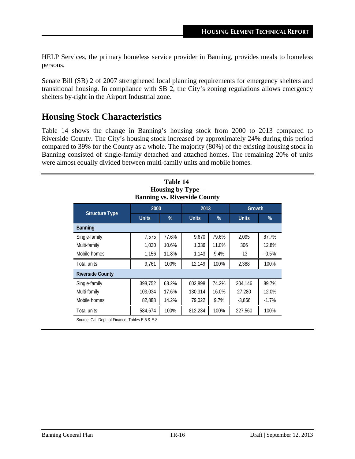HELP Services, the primary homeless service provider in Banning, provides meals to homeless persons.

Senate Bill (SB) 2 of 2007 strengthened local planning requirements for emergency shelters and transitional housing. In compliance with SB 2, the City's zoning regulations allows emergency shelters by-right in the Airport Industrial zone.

# <span id="page-35-0"></span>**Housing Stock Characteristics**

[Table 14](#page-35-1) shows the change in Banning's housing stock from 2000 to 2013 compared to Riverside County. The City's housing stock increased by approximately 24% during this period compared to 39% for the County as a whole. The majority (80%) of the existing housing stock in Banning consisted of single-family detached and attached homes. The remaining 20% of units were almost equally divided between multi-family units and mobile homes.

| Table 14                            |  |  |  |  |  |
|-------------------------------------|--|--|--|--|--|
| Housing by $Type-$                  |  |  |  |  |  |
| <b>Banning vs. Riverside County</b> |  |  |  |  |  |

<span id="page-35-1"></span>

| <b>Structure Type</b>   | 2000         |       | 2013         |       | Growth       |         |  |  |
|-------------------------|--------------|-------|--------------|-------|--------------|---------|--|--|
|                         | <b>Units</b> | %     | <b>Units</b> | %     | <b>Units</b> | %       |  |  |
| <b>Banning</b>          |              |       |              |       |              |         |  |  |
| Single-family           | 7,575        | 77.6% | 9.670        | 79.6% | 2,095        | 87.7%   |  |  |
| Multi-family            | 1.030        | 10.6% | 1.336        | 11.0% | 306          | 12.8%   |  |  |
| Mobile homes            | 1,156        | 11.8% | 1,143        | 9.4%  | $-13$        | $-0.5%$ |  |  |
| Total units             | 9,761        | 100%  | 12,149       | 100%  | 2,388        | 100%    |  |  |
| <b>Riverside County</b> |              |       |              |       |              |         |  |  |
| Single-family           | 398,752      | 68.2% | 602,898      | 74.2% | 204.146      | 89.7%   |  |  |
| Multi-family            | 103.034      | 17.6% | 130,314      | 16.0% | 27.280       | 12.0%   |  |  |
| Mobile homes            | 82,888       | 14.2% | 79,022       | 9.7%  | $-3,866$     | $-1.7%$ |  |  |
| Total units             | 584.674      | 100%  | 812,234      | 100%  | 227.560      | 100%    |  |  |

Source: Cal. Dept. of Finance, Tables E-5 & E-8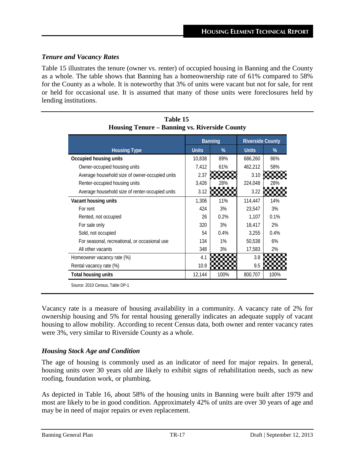## *Tenure and Vacancy Rates*

[Table 15](#page-36-0) illustrates the tenure (owner vs. renter) of occupied housing in Banning and the County as a whole. The table shows that Banning has a homeownership rate of 61% compared to 58% for the County as a whole. It is noteworthy that 3% of units were vacant but not for sale, for rent or held for occasional use. It is assumed that many of those units were foreclosures held by lending institutions.

<span id="page-36-0"></span>

|              |       | <b>Riverside County</b> |      |  |
|--------------|-------|-------------------------|------|--|
| <b>Units</b> | %     | <b>Units</b>            | %    |  |
| 10,838       | 89%   | 686,260                 | 86%  |  |
| 7,412        | 61%   | 462,212                 | 58%  |  |
| 2.37         |       | 3.10                    |      |  |
| 3,426        | 28%   | 224,048                 | 28%  |  |
| 3.12         |       | 3.22                    |      |  |
| 1,306        | 11%   | 114,447                 | 14%  |  |
| 424          | 3%    | 23,547                  | 3%   |  |
| 26           | 0.2%  | 1,107                   | 0.1% |  |
| 320          | 3%    | 18,417                  | 2%   |  |
| 54           | 0.4%  | 3,255                   | 0.4% |  |
| 134          | $1\%$ | 50,538                  | 6%   |  |
| 348          | 3%    | 17,583                  | 2%   |  |
| 4.1          |       | 3.8                     |      |  |
| 10.9         |       | 9.5                     |      |  |
| 12,144       | 100%  | 800,707                 | 100% |  |
|              |       | <b>Banning</b>          |      |  |

| Table 15                                             |
|------------------------------------------------------|
| <b>Housing Tenure – Banning vs. Riverside County</b> |

Vacancy rate is a measure of housing availability in a community. A vacancy rate of 2% for ownership housing and 5% for rental housing generally indicates an adequate supply of vacant housing to allow mobility. According to recent Census data, both owner and renter vacancy rates were 3%, very similar to Riverside County as a whole.

## *Housing Stock Age and Condition*

The age of housing is commonly used as an indicator of need for major repairs. In general, housing units over 30 years old are likely to exhibit signs of rehabilitation needs, such as new roofing, foundation work, or plumbing.

As depicted in [Table 16,](#page-37-0) about 58% of the housing units in Banning were built after 1979 and most are likely to be in good condition. Approximately 42% of units are over 30 years of age and may be in need of major repairs or even replacement.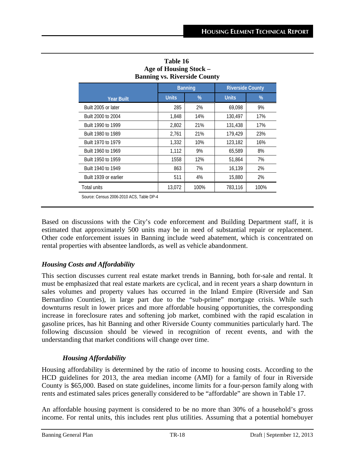<span id="page-37-0"></span>

|                                          |              | <b>Banning</b> | <b>Riverside County</b> |      |
|------------------------------------------|--------------|----------------|-------------------------|------|
| <b>Year Built</b>                        | <b>Units</b> | %              | <b>Units</b>            | %    |
| Built 2005 or later                      | 285          | 2%             | 69.098                  | 9%   |
| Built 2000 to 2004                       | 1.848        | 14%            | 130,497                 | 17%  |
| Built 1990 to 1999                       | 2,802        | 21%            | 131,438                 | 17%  |
| Built 1980 to 1989                       | 2,761        | 21%            | 179,429                 | 23%  |
| Built 1970 to 1979                       | 1,332        | 10%            | 123,182                 | 16%  |
| Built 1960 to 1969                       | 1,112        | 9%             | 65,589                  | 8%   |
| Built 1950 to 1959                       | 1558         | 12%            | 51,864                  | 7%   |
| Built 1940 to 1949                       | 863          | 7%             | 16,139                  | 2%   |
| Built 1939 or earlier                    | 511          | 4%             | 15,880                  | 2%   |
| <b>Total units</b>                       | 13,072       | 100%           | 783,116                 | 100% |
| Source: Census 2006-2010 ACS, Table DP-4 |              |                |                         |      |

#### **Table 16 Age of Housing Stock – Banning vs. Riverside County**

Based on discussions with the City's code enforcement and Building Department staff, it is estimated that approximately 500 units may be in need of substantial repair or replacement. Other code enforcement issues in Banning include weed abatement, which is concentrated on rental properties with absentee landlords, as well as vehicle abandonment.

## *Housing Costs and Affordability*

This section discusses current real estate market trends in Banning, both for-sale and rental. It must be emphasized that real estate markets are cyclical, and in recent years a sharp downturn in sales volumes and property values has occurred in the Inland Empire (Riverside and San Bernardino Counties), in large part due to the "sub-prime" mortgage crisis. While such downturns result in lower prices and more affordable housing opportunities, the corresponding increase in foreclosure rates and softening job market, combined with the rapid escalation in gasoline prices, has hit Banning and other Riverside County communities particularly hard. The following discussion should be viewed in recognition of recent events, and with the understanding that market conditions will change over time.

## *Housing Affordability*

Housing affordability is determined by the ratio of income to housing costs. According to the HCD guidelines for 2013, the area median income (AMI) for a family of four in Riverside County is \$65,000. Based on state guidelines, income limits for a four-person family along with rents and estimated sales prices generally considered to be "affordable" are shown in [Table 17.](#page-38-0)

An affordable housing payment is considered to be no more than 30% of a household's gross income. For rental units, this includes rent plus utilities. Assuming that a potential homebuyer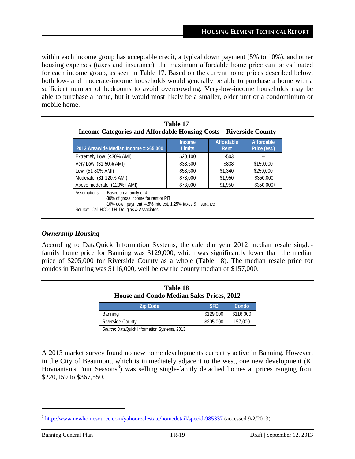within each income group has acceptable credit, a typical down payment (5% to 10%), and other housing expenses (taxes and insurance), the maximum affordable home price can be estimated for each income group, as seen in [Table 17.](#page-38-0) Based on the current home prices described below, both low- and moderate-income households would generally be able to purchase a home with a sufficient number of bedrooms to avoid overcrowding. Very-low-income households may be able to purchase a home, but it would most likely be a smaller, older unit or a condominium or mobile home.

**Table 17**

<span id="page-38-0"></span>

| <b>Income Categories and Affordable Housing Costs – Riverside County</b>                                                                                                                   |                         |                    |                            |  |  |  |  |  |
|--------------------------------------------------------------------------------------------------------------------------------------------------------------------------------------------|-------------------------|--------------------|----------------------------|--|--|--|--|--|
| 2013 Areawide Median Income = $$65,000$                                                                                                                                                    | Income<br><b>Limits</b> | Affordable<br>Rent | Affordable<br>Price (est.) |  |  |  |  |  |
| Extremely Low (<30% AMI)                                                                                                                                                                   | \$20,100                | \$503              |                            |  |  |  |  |  |
| Very Low (31-50% AMI)                                                                                                                                                                      | \$33,500                | \$838              | \$150,000                  |  |  |  |  |  |
| Low (51-80% AMI)                                                                                                                                                                           | \$53,600                | \$1,340            | \$250,000                  |  |  |  |  |  |
| Moderate (81-120% AMI)                                                                                                                                                                     | \$78,000                | \$1,950            | \$350,000                  |  |  |  |  |  |
| Above moderate (120%+ AMI)                                                                                                                                                                 | $$78,000+$              | $$1,950+$          | \$350,000+                 |  |  |  |  |  |
| Assumptions: --Based on a family of 4<br>-30% of gross income for rent or PITI<br>-10% down payment, 4.5% interest, 1.25% taxes & insurance<br>Source: Cal. HCD; J.H. Douglas & Associates |                         |                    |                            |  |  |  |  |  |

## *Ownership Housing*

<span id="page-38-1"></span>According to DataQuick Information Systems, the calendar year 2012 median resale singlefamily home price for Banning was \$129,000, which was significantly lower than the median price of \$205,000 for Riverside County as a whole [\(Table 18\)](#page-38-1). The median resale price for condos in Banning was \$116,000, well below the county median of \$157,000.

| Table 18<br><b>House and Condo Median Sales Prices, 2012</b> |            |           |  |  |  |  |  |
|--------------------------------------------------------------|------------|-----------|--|--|--|--|--|
| <b>Zip Code</b>                                              | <b>SFD</b> | Condo     |  |  |  |  |  |
| Banning                                                      | \$129,000  | \$116,000 |  |  |  |  |  |
| <b>Riverside County</b>                                      | \$205,000  | 157,000   |  |  |  |  |  |
| Source: DataQuick Information Systems, 2013                  |            |           |  |  |  |  |  |

A 2013 market survey found no new home developments currently active in Banning. However, in the City of Beaumont, which is immediately adjacent to the west, one new development (K. Hovnanian's Four Seasons<sup>[3](#page-38-2)</sup>) was selling single-family detached homes at prices ranging from \$220,159 to \$367,550.

 $\overline{a}$ 

<span id="page-38-2"></span><sup>&</sup>lt;sup>3</sup> <http://www.newhomesource.com/yahoorealestate/homedetail/specid-985337> (accessed 9/2/2013)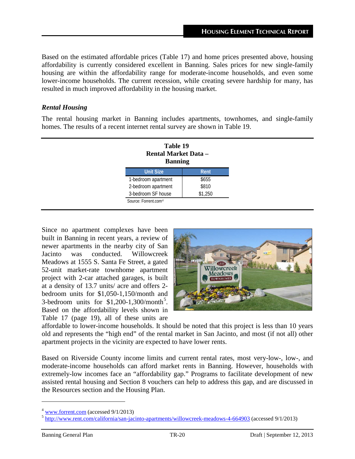Based on the estimated affordable prices [\(Table 17\)](#page-38-0) and home prices presented above, housing affordability is currently considered excellent in Banning. Sales prices for new single-family housing are within the affordability range for moderate-income households, and even some lower-income households. The current recession, while creating severe hardship for many, has resulted in much improved affordability in the housing market.

## *Rental Housing*

The rental housing market in Banning includes apartments, townhomes, and single-family homes. The results of a recent internet rental survey are shown in [Table 19.](#page-39-0)

<span id="page-39-0"></span>

| Table 19<br><b>Rental Market Data –</b><br><b>Banning</b> |         |  |  |  |  |
|-----------------------------------------------------------|---------|--|--|--|--|
| <b>Unit Size</b>                                          | Rent    |  |  |  |  |
| 1-bedroom apartment                                       | \$655   |  |  |  |  |
| 2-bedroom apartment                                       | \$810   |  |  |  |  |
| 3-bedroom SF house                                        | \$1,250 |  |  |  |  |
| Source: Forrent.com <sup>4</sup>                          |         |  |  |  |  |

Since no apartment complexes have been built in Banning in recent years, a review of newer apartments in the nearby city of San Jacinto was conducted. Willowcreek Meadows at 1555 S. Santa Fe Street, a gated 52-unit market-rate townhome apartment project with 2-car attached garages, is built at a density of 13.7 units/ acre and offers 2 bedroom units for \$1,050-1,150/month and 3-bedroom units for  $$1,200-1,300/m$ onth<sup>[5](#page-39-2)</sup>. Based on the affordability levels shown in [Table 17](#page-38-0) (page [19\)](#page-38-0), all of these units are



affordable to lower-income households. It should be noted that this project is less than 10 years old and represents the "high end" of the rental market in San Jacinto, and most (if not all) other apartment projects in the vicinity are expected to have lower rents.

Based on Riverside County income limits and current rental rates, most very-low-, low-, and moderate-income households can afford market rents in Banning. However, households with extremely-low incomes face an "affordability gap." Programs to facilitate development of new assisted rental housing and Section 8 vouchers can help to address this gap, and are discussed in the Resources section and the Housing Plan.

 $\overline{a}$ 

<span id="page-39-2"></span><span id="page-39-1"></span> $\frac{4}{\text{5} \cdot \text{http://www.front.com/california/san-iacinto-apartments/willowcreek-medows-4-664903}$  (accessed 9/1/2013)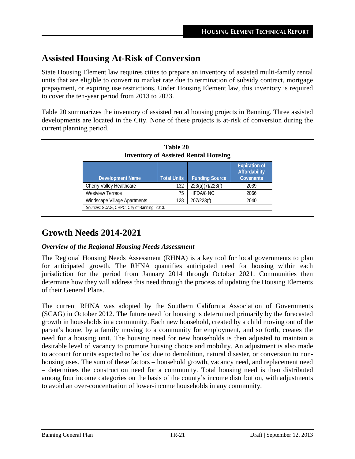## **Assisted Housing At-Risk of Conversion**

State Housing Element law requires cities to prepare an inventory of assisted multi-family rental units that are eligible to convert to market rate due to termination of subsidy contract, mortgage prepayment, or expiring use restrictions. Under Housing Element law, this inventory is required to cover the ten-year period from 2013 to 2023.

[Table 20](#page-40-0) summarizes the inventory of assisted rental housing projects in Banning. Three assisted developments are located in the City. None of these projects is at-risk of conversion during the current planning period.

<span id="page-40-0"></span>

| Table 20<br><b>Inventory of Assisted Rental Housing</b> |                    |                       |                                                           |  |  |  |
|---------------------------------------------------------|--------------------|-----------------------|-----------------------------------------------------------|--|--|--|
| <b>Development Name</b>                                 | <b>Total Units</b> | <b>Funding Source</b> | <b>Expiration of</b><br>Affordability<br><b>Covenants</b> |  |  |  |
| Cherry Valley Healthcare                                | 132                | 223(a)(7)/223(f)      | 2039                                                      |  |  |  |
| <b>Westview Terrace</b>                                 | 75                 | HFDA/8 NC             | 2066                                                      |  |  |  |
| Windscape Village Apartments                            | 128                | 207/223(f)            | 2040                                                      |  |  |  |
| Sources: SCAG, CHPC, City of Banning, 2013.             |                    |                       |                                                           |  |  |  |

**Table 20**

## **Growth Needs 2014-2021**

## *Overview of the Regional Housing Needs Assessment*

The Regional Housing Needs Assessment (RHNA) is a key tool for local governments to plan for anticipated growth. The RHNA quantifies anticipated need for housing within each jurisdiction for the period from January 2014 through October 2021. Communities then determine how they will address this need through the process of updating the Housing Elements of their General Plans.

The current RHNA was adopted by the Southern California Association of Governments (SCAG) in October 2012. The future need for housing is determined primarily by the forecasted growth in households in a community. Each new household, created by a child moving out of the parent's home, by a family moving to a community for employment, and so forth, creates the need for a housing unit. The housing need for new households is then adjusted to maintain a desirable level of vacancy to promote housing choice and mobility. An adjustment is also made to account for units expected to be lost due to demolition, natural disaster, or conversion to nonhousing uses. The sum of these factors – household growth, vacancy need, and replacement need – determines the construction need for a community. Total housing need is then distributed among four income categories on the basis of the county's income distribution, with adjustments to avoid an over-concentration of lower-income households in any community.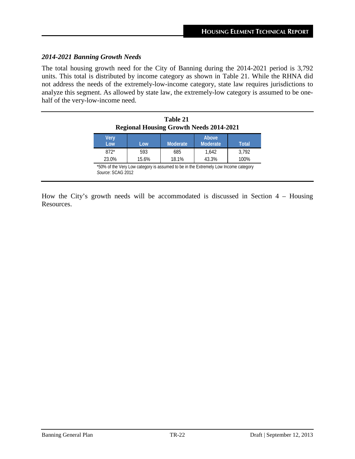## *2014-2021 Banning Growth Needs*

The total housing growth need for the City of Banning during the 2014-2021 period is 3,792 units. This total is distributed by income category as shown in [Table 21.](#page-41-0) While the RHNA did not address the needs of the extremely-low-income category, state law requires jurisdictions to analyze this segment. As allowed by state law, the extremely-low category is assumed to be onehalf of the very-low-income need.

<span id="page-41-0"></span>

| Table 21<br><b>Regional Housing Growth Needs 2014-2021</b>                               |                                                                                     |       |       |       |  |  |  |  |  |
|------------------------------------------------------------------------------------------|-------------------------------------------------------------------------------------|-------|-------|-------|--|--|--|--|--|
| Above<br><b>Very</b><br><b>Moderate</b><br><b>Moderate</b><br><b>Total</b><br>Low<br>Low |                                                                                     |       |       |       |  |  |  |  |  |
| $872*$                                                                                   | 593                                                                                 | 685   | 1.642 | 3.792 |  |  |  |  |  |
| 23.0%                                                                                    | 15.6%                                                                               | 18.1% | 43.3% | 100%  |  |  |  |  |  |
| Source: SCAG 2012                                                                        | *50% of the Very Low category is assumed to be in the Extremely Low Income category |       |       |       |  |  |  |  |  |

How the City's growth needs will be accommodated is discussed in Section 4 – Housing Resources.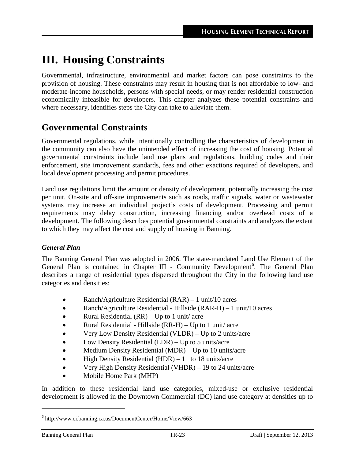# **III. Housing Constraints**

Governmental, infrastructure, environmental and market factors can pose constraints to the provision of housing. These constraints may result in housing that is not affordable to low- and moderate-income households, persons with special needs, or may render residential construction economically infeasible for developers. This chapter analyzes these potential constraints and where necessary, identifies steps the City can take to alleviate them.

## **Governmental Constraints**

Governmental regulations, while intentionally controlling the characteristics of development in the community can also have the unintended effect of increasing the cost of housing. Potential governmental constraints include land use plans and regulations, building codes and their enforcement, site improvement standards, fees and other exactions required of developers, and local development processing and permit procedures.

Land use regulations limit the amount or density of development, potentially increasing the cost per unit. On-site and off-site improvements such as roads, traffic signals, water or wastewater systems may increase an individual project's costs of development. Processing and permit requirements may delay construction, increasing financing and/or overhead costs of a development. The following describes potential governmental constraints and analyzes the extent to which they may affect the cost and supply of housing in Banning.

## *General Plan*

The Banning General Plan was adopted in 2006. The state-mandated Land Use Element of the General Plan is contained in Chapter III - Community Development<sup>[6](#page-42-0)</sup>. The General Plan describes a range of residential types dispersed throughout the City in the following land use categories and densities:

- Ranch/Agriculture Residential (RAR) 1 unit/10 acres
- Ranch/Agriculture Residential Hillside (RAR-H) 1 unit/10 acres
- Rural Residential  $(RR)$  Up to 1 unit/ acre
- Rural Residential Hillside (RR-H) Up to 1 unit/ acre
- Very Low Density Residential (VLDR) Up to 2 units/acre
- Low Density Residential (LDR) Up to 5 units/acre
- Medium Density Residential (MDR) Up to 10 units/acre
- High Density Residential (HDR) 11 to 18 units/acre
- Very High Density Residential (VHDR) 19 to 24 units/acre
- Mobile Home Park (MHP)

In addition to these residential land use categories, mixed-use or exclusive residential development is allowed in the Downtown Commercial (DC) land use category at densities up to

 $\overline{a}$ 

<span id="page-42-0"></span><sup>6</sup> http://www.ci.banning.ca.us/DocumentCenter/Home/View/663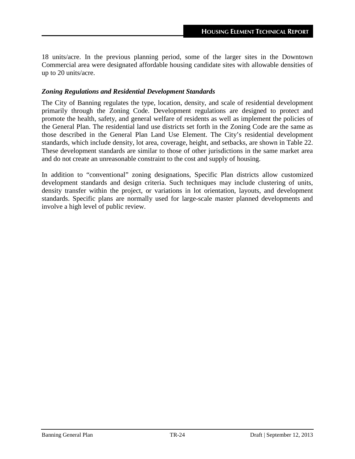18 units/acre. In the previous planning period, some of the larger sites in the Downtown Commercial area were designated affordable housing candidate sites with allowable densities of up to 20 units/acre.

## *Zoning Regulations and Residential Development Standards*

The City of Banning regulates the type, location, density, and scale of residential development primarily through the Zoning Code. Development regulations are designed to protect and promote the health, safety, and general welfare of residents as well as implement the policies of the General Plan. The residential land use districts set forth in the Zoning Code are the same as those described in the General Plan Land Use Element. The City's residential development standards, which include density, lot area, coverage, height, and setbacks, are shown in [Table 22.](#page-44-0) These development standards are similar to those of other jurisdictions in the same market area and do not create an unreasonable constraint to the cost and supply of housing.

In addition to "conventional" zoning designations, Specific Plan districts allow customized development standards and design criteria. Such techniques may include clustering of units, density transfer within the project, or variations in lot orientation, layouts, and development standards. Specific plans are normally used for large-scale master planned developments and involve a high level of public review.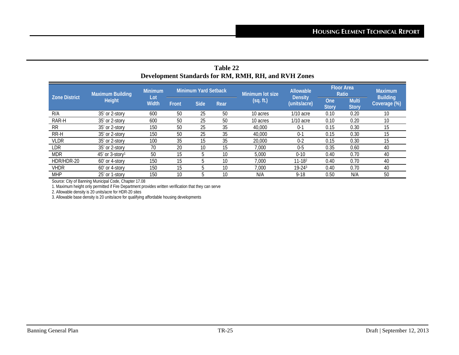| <b>Zone District</b> | <b>Maximum Building</b>     | <b>Minimum</b><br>Lot |       | <b>Minimum Yard Setback</b> |      | Minimum lot size | <b>Floor Area</b><br><b>Allowable</b><br>Ratio<br><b>Density</b> |              | <b>Maximum</b><br><b>Building</b> |              |
|----------------------|-----------------------------|-----------------------|-------|-----------------------------|------|------------------|------------------------------------------------------------------|--------------|-----------------------------------|--------------|
|                      | <b>Height</b>               | <b>Width</b>          | Front | <b>Side</b>                 | Rear | (sq. ft.)        | (units/acre)                                                     | One<br>Storv | <b>Multi</b><br><b>Story</b>      | Coverage (%) |
| R/A                  | 35' or 2-story              | 600                   | 50    | 25                          | 50   | 10 acres         | $1/10$ acre                                                      | 0.10         | 0.20                              | 10           |
| RAR-H                | 35' or 2-story              | 600                   | 50    | 25                          | 50   | 10 acres         | $1/10$ acre                                                      | 0.10         | 0.20                              | 10           |
| <b>RR</b>            | 35' or 2-story              | 150                   | 50    | 25                          | 35   | 40,000           | $0 - 1$                                                          | 0.15         | 0.30                              | 15           |
| RR-H                 | 35' or 2-story              | 150                   | 50    | 25                          | 35   | 40,000           | $0 - 1$                                                          | 0.15         | 0.30                              | 15           |
| <b>VLDR</b>          | 35' or 2-story              | 100                   | 35    | 15                          | 35   | 20,000           | $0 - 2$                                                          | 0.15         | 0.30                              | 15           |
| LDR                  | 35' or 2-story              | 70                    | 20    | 10                          | 15   | 7.000            | $0 - 5$                                                          | 0.35         | 0.60                              | 40           |
| <b>MDR</b>           | 45' or 3-story <sup>1</sup> | 50                    | 15    |                             | 10   | 5.000            | $0 - 10$                                                         | 0.40         | 0.70                              | 40           |
| HDR/HDR-20           | 60' or 4-story              | 150                   | 15    |                             | 10   | 7,000            | 11-182                                                           | 0.40         | 0.70                              | 40           |
| <b>VHDR</b>          | 60' or 4-story              | 150                   | 15    |                             | 10   | 7.000            | $19 - 243$                                                       | 0.40         | 0.70                              | 40           |
| <b>MHP</b>           | 25' or 1-story              | 150                   | 10    |                             | 10   | N/A              | $9 - 18$                                                         | 0.50         | N/A                               | 50           |

**Table 22 Development Standards for RM, RMH, RH, and RVH Zones**

<span id="page-44-0"></span>Source: City of Banning Municipal Code, Chapter 17.08

1. Maximum height only permitted if Fire Department provides written verification that they can serve

2. Allowable density is 20 units/acre for HDR-20 sites

3. Allowable base density is 20 units/acre for qualifying affordable housing developments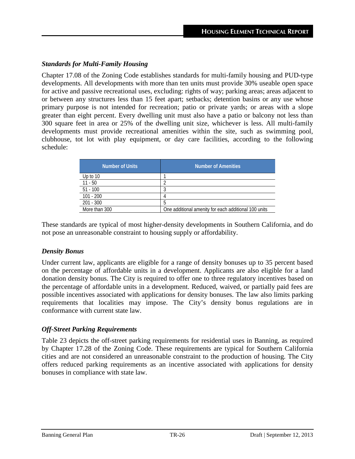## *Standards for Multi-Family Housing*

Chapter 17.08 of the Zoning Code establishes standards for multi-family housing and PUD-type developments. All developments with more than ten units must provide 30% useable open space for active and passive recreational uses, excluding: rights of way; parking areas; areas adjacent to or between any structures less than 15 feet apart; setbacks; detention basins or any use whose primary purpose is not intended for recreation; patio or private yards; or areas with a slope greater than eight percent. Every dwelling unit must also have a patio or balcony not less than 300 square feet in area or 25% of the dwelling unit size, whichever is less. All multi-family developments must provide recreational amenities within the site, such as swimming pool, clubhouse, tot lot with play equipment, or day care facilities, according to the following schedule:

| <b>Number of Units</b> | <b>Number of Amenities</b>                           |
|------------------------|------------------------------------------------------|
| Up to $10$             |                                                      |
| $11 - 50$              |                                                      |
| $51 - 100$             |                                                      |
| 101 - 200              |                                                      |
| $201 - 300$            | 5                                                    |
| More than 300          | One additional amenity for each additional 100 units |

These standards are typical of most higher-density developments in Southern California, and do not pose an unreasonable constraint to housing supply or affordability.

## *Density Bonus*

Under current law, applicants are eligible for a range of density bonuses up to 35 percent based on the percentage of affordable units in a development. Applicants are also eligible for a land donation density bonus. The City is required to offer one to three regulatory incentives based on the percentage of affordable units in a development. Reduced, waived, or partially paid fees are possible incentives associated with applications for density bonuses. The law also limits parking requirements that localities may impose. The City's density bonus regulations are in conformance with current state law.

## *Off-Street Parking Requirements*

[Table 23](#page-46-0) depicts the off-street parking requirements for residential uses in Banning, as required by Chapter 17.28 of the Zoning Code. These requirements are typical for Southern California cities and are not considered an unreasonable constraint to the production of housing. The City offers reduced parking requirements as an incentive associated with applications for density bonuses in compliance with state law.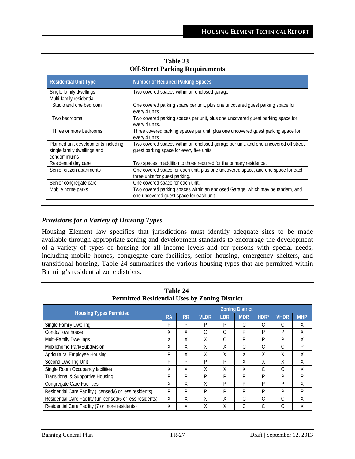<span id="page-46-0"></span>

| <b>Residential Unit Type</b>                                                       | <b>Number of Required Parking Spaces</b>                                                                                         |
|------------------------------------------------------------------------------------|----------------------------------------------------------------------------------------------------------------------------------|
| Single family dwellings                                                            | Two covered spaces within an enclosed garage.                                                                                    |
| Multi-family residential:                                                          |                                                                                                                                  |
| Studio and one bedroom                                                             | One covered parking space per unit, plus one uncovered guest parking space for<br>every 4 units.                                 |
| Two bedrooms                                                                       | Two covered parking spaces per unit, plus one uncovered guest parking space for<br>every 4 units.                                |
| Three or more bedrooms                                                             | Three covered parking spaces per unit, plus one uncovered guest parking space for<br>every 4 units.                              |
| Planned unit developments including<br>single family dwellings and<br>condominiums | Two covered spaces within an enclosed garage per unit, and one uncovered off street<br>guest parking space for every five units. |
| Residential day care                                                               | Two spaces in addition to those required for the primary residence.                                                              |
| Senior citizen apartments                                                          | One covered space for each unit, plus one uncovered space, and one space for each<br>three units for guest parking.              |
| Senior congregate care                                                             | One covered space for each unit.                                                                                                 |
| Mobile home parks                                                                  | Two covered parking spaces within an enclosed Garage, which may be tandem, and<br>one uncovered guest space for each unit.       |

**Table 23 Off-Street Parking Requirements**

## *Provisions for a Variety of Housing Types*

Housing Element law specifies that jurisdictions must identify adequate sites to be made available through appropriate zoning and development standards to encourage the development of a variety of types of housing for all income levels and for persons with special needs, including mobile homes, congregate care facilities, senior housing, emergency shelters, and transitional housing. [Table 24](#page-46-1) summarizes the various housing types that are permitted within Banning's residential zone districts.

<span id="page-46-1"></span>

| <b>Fernified Residential Uses by Zoning District</b>       |                        |           |             |            |            |         |             |            |
|------------------------------------------------------------|------------------------|-----------|-------------|------------|------------|---------|-------------|------------|
|                                                            | <b>Zoning District</b> |           |             |            |            |         |             |            |
| <b>Housing Types Permitted</b>                             | <b>RA</b>              | <b>RR</b> | <b>VLDR</b> | <b>LDR</b> | <b>MDR</b> | $HDR^*$ | <b>VHDR</b> | <b>MHP</b> |
| Single Family Dwelling                                     | P                      | P         | P           | P          |            | l,      | С           | Χ          |
| Condo/Townhouse                                            | χ                      | Χ         | С           | C          | P          | P       | P           | χ          |
| Multi-Family Dwellings                                     | X                      | χ         | X           | C          | P          | P       | P           | χ          |
| Mobilehome Park/Subdivision                                | χ                      | X         | X           | χ          | C          | С       | C           | P          |
| Agricultural Employee Housing                              | P                      | χ         | χ           | χ          | χ          | X       | χ           | χ          |
| Second Dwelling Unit                                       | P                      | P         | P           | P          | χ          | X       | χ           | χ          |
| Single Room Occupancy facilities                           | Χ                      | χ         | χ           | χ          | χ          | С       | С           | χ          |
| Transitional & Supportive Housing                          | P                      | P         | P           | P          | P          | Þ       | P           | P          |
| Congregate Care Facilities                                 | χ                      | χ         | χ           | P          | P          | P       | P           | χ          |
| Residential Care Facility (licensed/6 or less residents)   | P                      | P         | P           | P          | P          | P       | P           | P          |
| Residential Care Facility (unlicensed/6 or less residents) | Χ                      | X         | χ           | χ          | C          | С       | С           | χ          |
| Residential Care Facility (7 or more residents)            | Χ                      | χ         | χ           | Χ          | С          | С       | С           | χ          |

**Table 24 Permitted Residential Uses by Zoning District**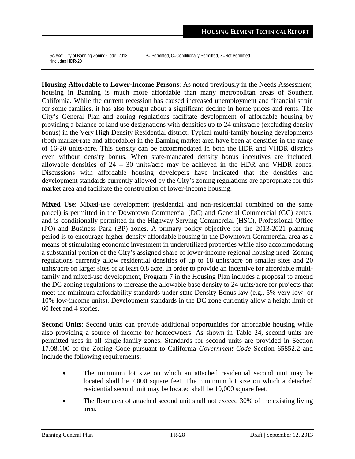*Source*: City of Banning Zoning Code, 2013. P= Permitted, C=Conditionally Permitted, X=Not Permitted \*Includes HDR-20

**Housing Affordable to Lower-Income Persons**: As noted previously in the Needs Assessment, housing in Banning is much more affordable than many metropolitan areas of Southern California. While the current recession has caused increased unemployment and financial strain for some families, it has also brought about a significant decline in home prices and rents. The City's General Plan and zoning regulations facilitate development of affordable housing by providing a balance of land use designations with densities up to 24 units/acre (excluding density bonus) in the Very High Density Residential district. Typical multi-family housing developments (both market-rate and affordable) in the Banning market area have been at densities in the range of 16-20 units/acre. This density can be accommodated in both the HDR and VHDR districts even without density bonus. When state-mandated density bonus incentives are included, allowable densities of 24 – 30 units/acre may be achieved in the HDR and VHDR zones. Discussions with affordable housing developers have indicated that the densities and development standards currently allowed by the City's zoning regulations are appropriate for this market area and facilitate the construction of lower-income housing.

**Mixed Use**: Mixed-use development (residential and non-residential combined on the same parcel) is permitted in the Downtown Commercial (DC) and General Commercial (GC) zones, and is conditionally permitted in the Highway Serving Commercial (HSC), Professional Office (PO) and Business Park (BP) zones. A primary policy objective for the 2013-2021 planning period is to encourage higher-density affordable housing in the Downtown Commercial area as a means of stimulating economic investment in underutilized properties while also accommodating a substantial portion of the City's assigned share of lower-income regional housing need. Zoning regulations currently allow residential densities of up to 18 units/acre on smaller sites and 20 units/acre on larger sites of at least 0.8 acre. In order to provide an incentive for affordable multifamily and mixed-use development, Program 7 in the Housing Plan includes a proposal to amend the DC zoning regulations to increase the allowable base density to 24 units/acre for projects that meet the minimum affordability standards under state Density Bonus law (e.g., 5% very-low- or 10% low-income units). Development standards in the DC zone currently allow a height limit of 60 feet and 4 stories.

Second Units: Second units can provide additional opportunities for affordable housing while also providing a source of income for homeowners. As shown in [Table 24,](#page-46-1) second units are permitted uses in all single-family zones. Standards for second units are provided in Section 17.08.100 of the Zoning Code pursuant to California *Government Code* Section 65852.2 and include the following requirements:

- The minimum lot size on which an attached residential second unit may be located shall be 7,000 square feet. The minimum lot size on which a detached residential second unit may be located shall be 10,000 square feet.
- The floor area of attached second unit shall not exceed 30% of the existing living area.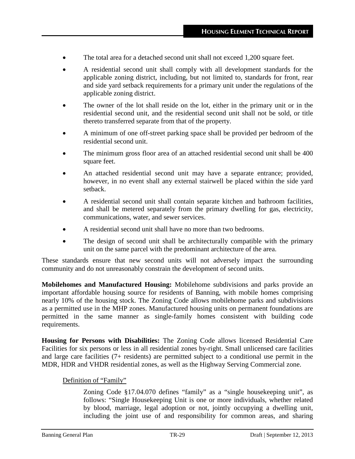- The total area for a detached second unit shall not exceed 1,200 square feet.
- A residential second unit shall comply with all development standards for the applicable zoning district, including, but not limited to, standards for front, rear and side yard setback requirements for a primary unit under the regulations of the applicable zoning district.
- The owner of the lot shall reside on the lot, either in the primary unit or in the residential second unit, and the residential second unit shall not be sold, or title thereto transferred separate from that of the property.
- A minimum of one off-street parking space shall be provided per bedroom of the residential second unit.
- The minimum gross floor area of an attached residential second unit shall be 400 square feet.
- An attached residential second unit may have a separate entrance; provided, however, in no event shall any external stairwell be placed within the side yard setback.
- A residential second unit shall contain separate kitchen and bathroom facilities, and shall be metered separately from the primary dwelling for gas, electricity, communications, water, and sewer services.
- A residential second unit shall have no more than two bedrooms.
- The design of second unit shall be architecturally compatible with the primary unit on the same parcel with the predominant architecture of the area.

These standards ensure that new second units will not adversely impact the surrounding community and do not unreasonably constrain the development of second units.

**Mobilehomes and Manufactured Housing:** Mobilehome subdivisions and parks provide an important affordable housing source for residents of Banning, with mobile homes comprising nearly 10% of the housing stock. The Zoning Code allows mobilehome parks and subdivisions as a permitted use in the MHP zones. Manufactured housing units on permanent foundations are permitted in the same manner as single-family homes consistent with building code requirements.

**Housing for Persons with Disabilities:** The Zoning Code allows licensed Residential Care Facilities for six persons or less in all residential zones by-right. Small unlicensed care facilities and large care facilities (7+ residents) are permitted subject to a conditional use permit in the MDR, HDR and VHDR residential zones, as well as the Highway Serving Commercial zone.

## Definition of "Family"

Zoning Code §17.04.070 defines "family" as a "single housekeeping unit", as follows: "Single Housekeeping Unit is one or more individuals, whether related by blood, marriage, legal adoption or not, jointly occupying a dwelling unit, including the joint use of and responsibility for common areas, and sharing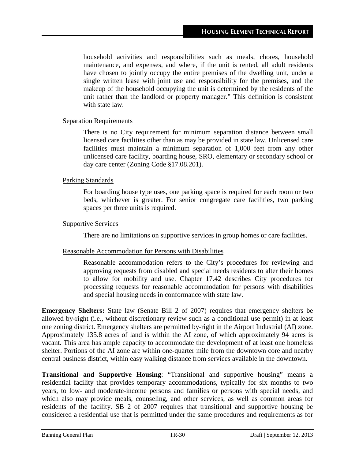household activities and responsibilities such as meals, chores, household maintenance, and expenses, and where, if the unit is rented, all adult residents have chosen to jointly occupy the entire premises of the dwelling unit, under a single written lease with joint use and responsibility for the premises, and the makeup of the household occupying the unit is determined by the residents of the unit rather than the landlord or property manager." This definition is consistent with state law.

## Separation Requirements

There is no City requirement for minimum separation distance between small licensed care facilities other than as may be provided in state law. Unlicensed care facilities must maintain a minimum separation of 1,000 feet from any other unlicensed care facility, boarding house, SRO, elementary or secondary school or day care center (Zoning Code §17.08.201).

## Parking Standards

For boarding house type uses, one parking space is required for each room or two beds, whichever is greater. For senior congregate care facilities, two parking spaces per three units is required.

#### Supportive Services

There are no limitations on supportive services in group homes or care facilities.

#### Reasonable Accommodation for Persons with Disabilities

Reasonable accommodation refers to the City's procedures for reviewing and approving requests from disabled and special needs residents to alter their homes to allow for mobility and use. Chapter 17.42 describes City procedures for processing requests for reasonable accommodation for persons with disabilities and special housing needs in conformance with state law.

**Emergency Shelters:** State law (Senate Bill 2 of 2007) requires that emergency shelters be allowed by-right (i.e., without discretionary review such as a conditional use permit) in at least one zoning district. Emergency shelters are permitted by-right in the Airport Industrial (AI) zone. Approximately 135.8 acres of land is within the AI zone, of which approximately 94 acres is vacant. This area has ample capacity to accommodate the development of at least one homeless shelter. Portions of the AI zone are within one-quarter mile from the downtown core and nearby central business district, within easy walking distance from services available in the downtown.

**Transitional and Supportive Housing**: "Transitional and supportive housing" means a residential facility that provides temporary accommodations, typically for six months to two years, to low- and moderate-income persons and families or persons with special needs, and which also may provide meals, counseling, and other services, as well as common areas for residents of the facility. SB 2 of 2007 requires that transitional and supportive housing be considered a residential use that is permitted under the same procedures and requirements as for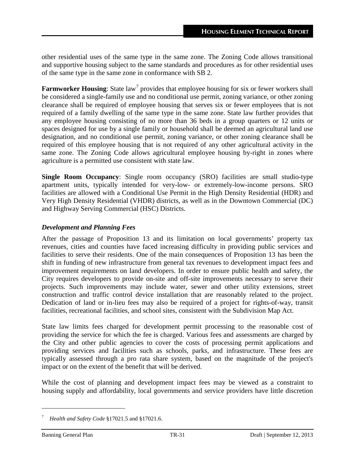other residential uses of the same type in the same zone. The Zoning Code allows transitional and supportive housing subject to the same standards and procedures as for other residential uses of the same type in the same zone in conformance with SB 2.

**Farmworker Housing**: State law<sup>[7](#page-50-0)</sup> provides that employee housing for six or fewer workers shall be considered a single-family use and no conditional use permit, zoning variance, or other zoning clearance shall be required of employee housing that serves six or fewer employees that is not required of a family dwelling of the same type in the same zone. State law further provides that any employee housing consisting of no more than 36 beds in a group quarters or 12 units or spaces designed for use by a single family or household shall be deemed an agricultural land use designation, and no conditional use permit, zoning variance, or other zoning clearance shall be required of this employee housing that is not required of any other agricultural activity in the same zone. The Zoning Code allows agricultural employee housing by-right in zones where agriculture is a permitted use consistent with state law.

**Single Room Occupancy**: Single room occupancy (SRO) facilities are small studio-type apartment units, typically intended for very-low- or extremely-low-income persons. SRO facilities are allowed with a Conditional Use Permit in the High Density Residential (HDR) and Very High Density Residential (VHDR) districts, as well as in the Downtown Commercial (DC) and Highway Serving Commercial (HSC) Districts.

## *Development and Planning Fees*

After the passage of Proposition 13 and its limitation on local governments' property tax revenues, cities and counties have faced increasing difficulty in providing public services and facilities to serve their residents. One of the main consequences of Proposition 13 has been the shift in funding of new infrastructure from general tax revenues to development impact fees and improvement requirements on land developers. In order to ensure public health and safety, the City requires developers to provide on-site and off-site improvements necessary to serve their projects. Such improvements may include water, sewer and other utility extensions, street construction and traffic control device installation that are reasonably related to the project. Dedication of land or in-lieu fees may also be required of a project for rights-of-way, transit facilities, recreational facilities, and school sites, consistent with the Subdivision Map Act.

State law limits fees charged for development permit processing to the reasonable cost of providing the service for which the fee is charged. Various fees and assessments are charged by the City and other public agencies to cover the costs of processing permit applications and providing services and facilities such as schools, parks, and infrastructure. These fees are typically assessed through a pro rata share system, based on the magnitude of the project's impact or on the extent of the benefit that will be derived.

While the cost of planning and development impact fees may be viewed as a constraint to housing supply and affordability, local governments and service providers have little discretion

 $\overline{a}$ 

<span id="page-50-0"></span><sup>7</sup> *Health and Safety Code* §17021.5 and §17021.6.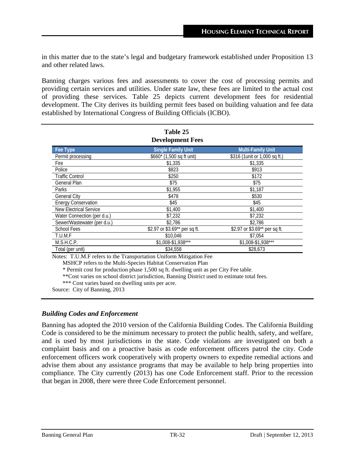in this matter due to the state's legal and budgetary framework established under Proposition 13 and other related laws.

Banning charges various fees and assessments to cover the cost of processing permits and providing certain services and utilities. Under state law, these fees are limited to the actual cost of providing these services. [Table 25](#page-51-0) depicts current development fees for residential development. The City derives its building permit fees based on building valuation and fee data established by International Congress of Building Officials (ICBO).

<span id="page-51-0"></span>

|                               | Table 25<br><b>Development Fees</b> |                                |
|-------------------------------|-------------------------------------|--------------------------------|
| Fee Type                      | <b>Single Family Unit</b>           | <b>Multi-Family Unit</b>       |
| Permit processing             | \$660* (1,500 sq ft unit)           | \$316 (1 unit or 1,000 sq ft.) |
| Fire                          | \$1,335                             | \$1,335                        |
| Police                        | \$823                               | \$913                          |
| <b>Traffic Control</b>        | \$250                               | \$172                          |
| General Plan                  | \$75                                | \$75                           |
| <b>Parks</b>                  | \$1,955                             | \$1,187                        |
| <b>General City</b>           | \$478                               | \$530                          |
| <b>Energy Conservation</b>    | \$45                                | \$45                           |
| <b>New Electrical Service</b> | \$1,400                             | \$1,400                        |
| Water Connection (per d.u.)   | \$7,232                             | \$7,232                        |
| Sewer/Wastewater (per d.u.)   | \$2,786                             | \$2,786                        |
| <b>School Fees</b>            | \$2.97 or \$3.69** per sq ft.       | \$2.97 or \$3.69** per sq ft.  |
| T.U.M.F                       | \$10,046                            | \$7,054                        |
| M.S.H.C.P.                    | \$1,008-\$1,938***                  | \$1,008-\$1,938***             |
| Total (per unit)              | \$34,558                            | \$28,673                       |

Notes: T.U.M.F refers to the Transportation Uniform Mitigation Fee

MSHCP refers to the Multi-Species Habitat Conservation Plan

\* Permit cost for production phase 1,500 sq ft. dwelling unit as per City Fee table.

\*\*Cost varies on school district jurisdiction, Banning District used to estimate total fees.

\*\*\* Cost varies based on dwelling units per acre.

Source: City of Banning, 2013

#### *Building Codes and Enforcement*

Banning has adopted the 2010 version of the California Building Codes. The California Building Code is considered to be the minimum necessary to protect the public health, safety, and welfare, and is used by most jurisdictions in the state. Code violations are investigated on both a complaint basis and on a proactive basis as code enforcement officers patrol the city. Code enforcement officers work cooperatively with property owners to expedite remedial actions and advise them about any assistance programs that may be available to help bring properties into compliance. The City currently (2013) has one Code Enforcement staff. Prior to the recession that began in 2008, there were three Code Enforcement personnel.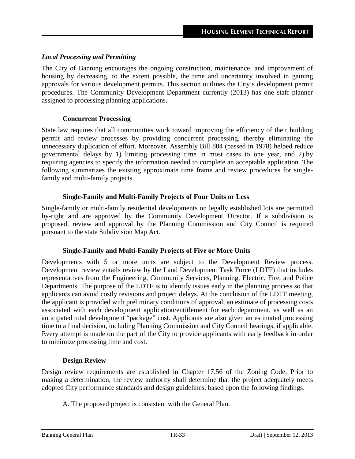## *Local Processing and Permitting*

The City of Banning encourages the ongoing construction, maintenance, and improvement of housing by decreasing, to the extent possible, the time and uncertainty involved in gaining approvals for various development permits. This section outlines the City's development permit procedures. The Community Development Department currently (2013) has one staff planner assigned to processing planning applications.

## **Concurrent Processing**

State law requires that all communities work toward improving the efficiency of their building permit and review processes by providing concurrent processing, thereby eliminating the unnecessary duplication of effort. Moreover, Assembly Bill 884 (passed in 1978) helped reduce governmental delays by 1) limiting processing time in most cases to one year, and 2) by requiring agencies to specify the information needed to complete an acceptable application. The following summarizes the existing approximate time frame and review procedures for singlefamily and multi-family projects.

## **Single-Family and Multi-Family Projects of Four Units or Less**

Single-family or multi-family residential developments on legally established lots are permitted by-right and are approved by the Community Development Director. If a subdivision is proposed, review and approval by the Planning Commission and City Council is required pursuant to the state Subdivision Map Act.

#### **Single-Family and Multi-Family Projects of Five or More Units**

Developments with 5 or more units are subject to the Development Review process. Development review entails review by the Land Development Task Force (LDTF) that includes representatives from the Engineering, Community Services, Planning, Electric, Fire, and Police Departments. The purpose of the LDTF is to identify issues early in the planning process so that applicants can avoid costly revisions and project delays. At the conclusion of the LDTF meeting, the applicant is provided with preliminary conditions of approval, an estimate of processing costs associated with each development application/entitlement for each department, as well as an anticipated total development "package" cost. Applicants are also given an estimated processing time to a final decision, including Planning Commission and City Council hearings, if applicable. Every attempt is made on the part of the City to provide applicants with early feedback in order to minimize processing time and cost.

## **Design Review**

Design review requirements are established in Chapter 17.56 of the Zoning Code. Prior to making a determination, the review authority shall determine that the project adequately meets adopted City performance standards and design guidelines, based upon the following findings:

A. The proposed project is consistent with the General Plan.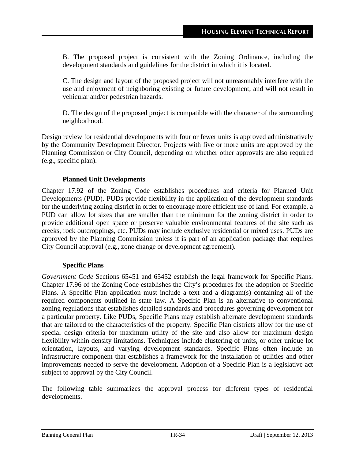B. The proposed project is consistent with the Zoning Ordinance, including the development standards and guidelines for the district in which it is located.

C. The design and layout of the proposed project will not unreasonably interfere with the use and enjoyment of neighboring existing or future development, and will not result in vehicular and/or pedestrian hazards.

D. The design of the proposed project is compatible with the character of the surrounding neighborhood.

Design review for residential developments with four or fewer units is approved administratively by the Community Development Director. Projects with five or more units are approved by the Planning Commission or City Council, depending on whether other approvals are also required (e.g., specific plan).

## **Planned Unit Developments**

Chapter 17.92 of the Zoning Code establishes procedures and criteria for Planned Unit Developments (PUD). PUDs provide flexibility in the application of the development standards for the underlying zoning district in order to encourage more efficient use of land. For example, a PUD can allow lot sizes that are smaller than the minimum for the zoning district in order to provide additional open space or preserve valuable environmental features of the site such as creeks, rock outcroppings, etc. PUDs may include exclusive residential or mixed uses. PUDs are approved by the Planning Commission unless it is part of an application package that requires City Council approval (e.g., zone change or development agreement).

## **Specific Plans**

*Government Code* Sections 65451 and 65452 establish the legal framework for Specific Plans. Chapter 17.96 of the Zoning Code establishes the City's procedures for the adoption of Specific Plans. A Specific Plan application must include a text and a diagram(s) containing all of the required components outlined in state law. A Specific Plan is an alternative to conventional zoning regulations that establishes detailed standards and procedures governing development for a particular property. Like PUDs, Specific Plans may establish alternate development standards that are tailored to the characteristics of the property. Specific Plan districts allow for the use of special design criteria for maximum utility of the site and also allow for maximum design flexibility within density limitations. Techniques include clustering of units, or other unique lot orientation, layouts, and varying development standards. Specific Plans often include an infrastructure component that establishes a framework for the installation of utilities and other improvements needed to serve the development. Adoption of a Specific Plan is a legislative act subject to approval by the City Council.

The following table summarizes the approval process for different types of residential developments.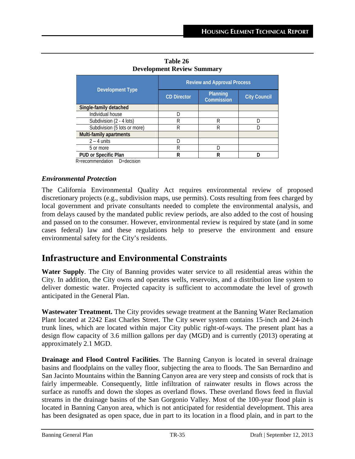| <b>Development Type</b>      | <b>Review and Approval Process</b> |                        |                     |  |
|------------------------------|------------------------------------|------------------------|---------------------|--|
|                              | <b>CD Director</b>                 | Planning<br>Commission | <b>City Council</b> |  |
| Single-family detached       |                                    |                        |                     |  |
| Individual house             | D                                  |                        |                     |  |
| Subdivision (2 - 4 lots)     | R                                  | R                      |                     |  |
| Subdivision (5 lots or more) | R                                  | R                      |                     |  |
| Multi-family apartments      |                                    |                        |                     |  |
| $2 - 4$ units                | D                                  |                        |                     |  |
| 5 or more                    | R                                  | D                      |                     |  |
| PUD or Specific Plan         | R                                  | R                      |                     |  |

**Table 26 Development Review Summary**

R=recommendation D=decision

## *Environmental Protection*

The California Environmental Quality Act requires environmental review of proposed discretionary projects (e.g., subdivision maps, use permits). Costs resulting from fees charged by local government and private consultants needed to complete the environmental analysis, and from delays caused by the mandated public review periods, are also added to the cost of housing and passed on to the consumer. However, environmental review is required by state (and in some cases federal) law and these regulations help to preserve the environment and ensure environmental safety for the City's residents.

## **Infrastructure and Environmental Constraints**

**Water Supply**. The City of Banning provides water service to all residential areas within the City. In addition, the City owns and operates wells, reservoirs, and a distribution line system to deliver domestic water. Projected capacity is sufficient to accommodate the level of growth anticipated in the General Plan.

**Wastewater Treatment.** The City provides sewage treatment at the Banning Water Reclamation Plant located at 2242 East Charles Street. The City sewer system contains 15-inch and 24-inch trunk lines, which are located within major City public right-of-ways. The present plant has a design flow capacity of 3.6 million gallons per day (MGD) and is currently (2013) operating at approximately 2.1 MGD.

**Drainage and Flood Control Facilities**. The Banning Canyon is located in several drainage basins and floodplains on the valley floor, subjecting the area to floods. The San Bernardino and San Jacinto Mountains within the Banning Canyon area are very steep and consists of rock that is fairly impermeable. Consequently, little infiltration of rainwater results in flows across the surface as runoffs and down the slopes as overland flows. These overland flows feed in fluvial streams in the drainage basins of the San Gorgonio Valley. Most of the 100-year flood plain is located in Banning Canyon area, which is not anticipated for residential development. This area has been designated as open space, due in part to its location in a flood plain, and in part to the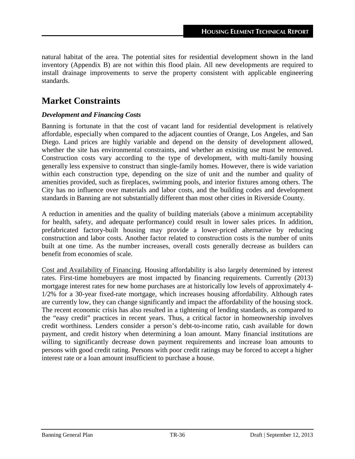natural habitat of the area. The potential sites for residential development shown in the land inventory (Appendix B) are not within this flood plain. All new developments are required to install drainage improvements to serve the property consistent with applicable engineering standards.

## **Market Constraints**

## *Development and Financing Costs*

Banning is fortunate in that the cost of vacant land for residential development is relatively affordable, especially when compared to the adjacent counties of Orange, Los Angeles, and San Diego. Land prices are highly variable and depend on the density of development allowed, whether the site has environmental constraints, and whether an existing use must be removed. Construction costs vary according to the type of development, with multi-family housing generally less expensive to construct than single-family homes. However, there is wide variation within each construction type, depending on the size of unit and the number and quality of amenities provided, such as fireplaces, swimming pools, and interior fixtures among others. The City has no influence over materials and labor costs, and the building codes and development standards in Banning are not substantially different than most other cities in Riverside County.

A reduction in amenities and the quality of building materials (above a minimum acceptability for health, safety, and adequate performance) could result in lower sales prices. In addition, prefabricated factory-built housing may provide a lower-priced alternative by reducing construction and labor costs. Another factor related to construction costs is the number of units built at one time. As the number increases, overall costs generally decrease as builders can benefit from economies of scale.

Cost and Availability of Financing. Housing affordability is also largely determined by interest rates. First-time homebuyers are most impacted by financing requirements. Currently (2013) mortgage interest rates for new home purchases are at historically low levels of approximately 4- 1/2% for a 30-year fixed-rate mortgage, which increases housing affordability. Although rates are currently low, they can change significantly and impact the affordability of the housing stock. The recent economic crisis has also resulted in a tightening of lending standards, as compared to the "easy credit" practices in recent years. Thus, a critical factor in homeownership involves credit worthiness. Lenders consider a person's debt-to-income ratio, cash available for down payment, and credit history when determining a loan amount. Many financial institutions are willing to significantly decrease down payment requirements and increase loan amounts to persons with good credit rating. Persons with poor credit ratings may be forced to accept a higher interest rate or a loan amount insufficient to purchase a house.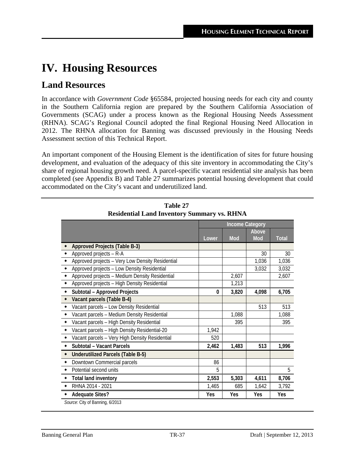# **IV. Housing Resources**

## **Land Resources**

In accordance with *Government Code* §65584, projected housing needs for each city and county in the Southern California region are prepared by the Southern California Association of Governments (SCAG) under a process known as the Regional Housing Needs Assessment (RHNA). SCAG's Regional Council adopted the final Regional Housing Need Allocation in 2012. The RHNA allocation for Banning was discussed previously in the Housing Needs Assessment section of this Technical Report.

An important component of the Housing Element is the identification of sites for future housing development, and evaluation of the adequacy of this site inventory in accommodating the City's share of regional housing growth need. A parcel-specific vacant residential site analysis has been completed (see Appendix B) and [Table 27](#page-56-0) summarizes potential housing development that could accommodated on the City's vacant and underutilized land.

<span id="page-56-0"></span>

|                                                     | Residential Land Inventory Summary vs. Riftyr |       |       |       |  |
|-----------------------------------------------------|-----------------------------------------------|-------|-------|-------|--|
|                                                     | <b>Income Category</b>                        |       |       |       |  |
|                                                     |                                               |       | Above |       |  |
|                                                     | Lower                                         | Mod   | Mod   | Total |  |
| <b>Approved Projects (Table B-3)</b>                |                                               |       |       |       |  |
| Approved projects - R-A                             |                                               |       | 30    | 30    |  |
| Approved projects - Very Low Density Residential    |                                               |       | 1,036 | 1,036 |  |
| Approved projects - Low Density Residential         |                                               |       | 3,032 | 3,032 |  |
| Approved projects - Medium Density Residential<br>٠ |                                               | 2,607 |       | 2,607 |  |
| Approved projects - High Density Residential        |                                               | 1,213 |       |       |  |
| Subtotal - Approved Projects<br>٠                   | 0                                             | 3,820 | 4,098 | 6,705 |  |
| Vacant parcels (Table B-4)                          |                                               |       |       |       |  |
| Vacant parcels - Low Density Residential            |                                               |       | 513   | 513   |  |
| Vacant parcels - Medium Density Residential         |                                               | 1,088 |       | 1,088 |  |
| Vacant parcels - High Density Residential           |                                               | 395   |       | 395   |  |
| Vacant parcels - High Density Residential-20        | 1,942                                         |       |       |       |  |
| Vacant parcels - Very High Density Residential      | 520                                           |       |       |       |  |
| Subtotal - Vacant Parcels                           | 2,462                                         | 1,483 | 513   | 1,996 |  |
| <b>Underutilized Parcels (Table B-5)</b>            |                                               |       |       |       |  |
| Downtown Commercial parcels                         | 86                                            |       |       |       |  |
| Potential second units                              | 5                                             |       |       | 5     |  |
| <b>Total land inventory</b><br>۰                    | 2,553                                         | 5,303 | 4,611 | 8,706 |  |
| RHNA 2014 - 2021                                    | 1,465                                         | 685   | 1,642 | 3,792 |  |
| <b>Adequate Sites?</b><br>♦.                        | Yes                                           | Yes   | Yes   | Yes   |  |
| Source: City of Banning, 6/2013                     |                                               |       |       |       |  |

**Table 27 Residential Land Inventory Summary vs. RHNA**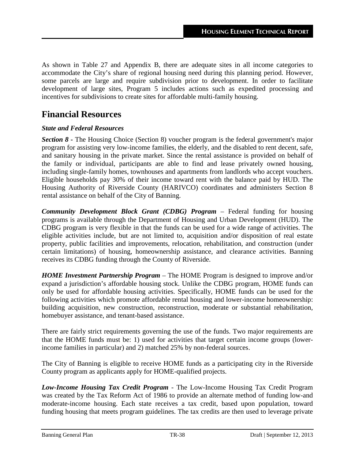As shown in [Table 27](#page-56-0) and Appendix B, there are adequate sites in all income categories to accommodate the City's share of regional housing need during this planning period. However, some parcels are large and require subdivision prior to development. In order to facilitate development of large sites, Program 5 includes actions such as expedited processing and incentives for subdivisions to create sites for affordable multi-family housing.

## **Financial Resources**

## *State and Federal Resources*

**Section 8 -** The Housing Choice (Section 8) voucher program is the federal government's major program for assisting very low-income families, the elderly, and the disabled to rent decent, safe, and sanitary housing in the private market. Since the rental assistance is provided on behalf of the family or individual, participants are able to find and lease privately owned housing, including single-family homes, townhouses and apartments from landlords who accept vouchers. Eligible households pay 30% of their income toward rent with the balance paid by HUD. The Housing Authority of Riverside County (HARIVCO) coordinates and administers Section 8 rental assistance on behalf of the City of Banning.

*Community Development Block Grant (CDBG) Program* – Federal funding for housing programs is available through the Department of Housing and Urban Development (HUD). The CDBG program is very flexible in that the funds can be used for a wide range of activities. The eligible activities include, but are not limited to, acquisition and/or disposition of real estate property, public facilities and improvements, relocation, rehabilitation, and construction (under certain limitations) of housing, homeownership assistance, and clearance activities. Banning receives its CDBG funding through the County of Riverside.

*HOME Investment Partnership Program* – The HOME Program is designed to improve and/or expand a jurisdiction's affordable housing stock. Unlike the CDBG program, HOME funds can only be used for affordable housing activities. Specifically, HOME funds can be used for the following activities which promote affordable rental housing and lower-income homeownership: building acquisition, new construction, reconstruction, moderate or substantial rehabilitation, homebuyer assistance, and tenant-based assistance.

There are fairly strict requirements governing the use of the funds. Two major requirements are that the HOME funds must be: 1) used for activities that target certain income groups (lowerincome families in particular) and 2) matched 25% by non-federal sources.

The City of Banning is eligible to receive HOME funds as a participating city in the Riverside County program as applicants apply for HOME-qualified projects.

*Low-Income Housing Tax Credit Program* - The Low-Income Housing Tax Credit Program was created by the Tax Reform Act of 1986 to provide an alternate method of funding low-and moderate-income housing. Each state receives a tax credit, based upon population, toward funding housing that meets program guidelines. The tax credits are then used to leverage private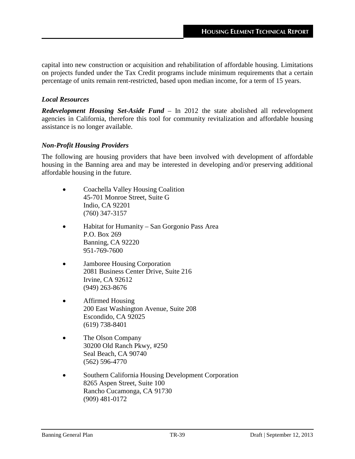capital into new construction or acquisition and rehabilitation of affordable housing. Limitations on projects funded under the Tax Credit programs include minimum requirements that a certain percentage of units remain rent-restricted, based upon median income, for a term of 15 years.

## *Local Resources*

*Redevelopment Housing Set-Aside Fund* – In 2012 the state abolished all redevelopment agencies in California, therefore this tool for community revitalization and affordable housing assistance is no longer available.

## *Non-Profit Housing Providers*

The following are housing providers that have been involved with development of affordable housing in the Banning area and may be interested in developing and/or preserving additional affordable housing in the future.

- Coachella Valley Housing Coalition 45-701 Monroe Street, Suite G Indio, CA 92201 (760) 347-3157
- Habitat for Humanity San Gorgonio Pass Area P.O. Box 269 Banning, CA 92220 951-769-7600
- Jamboree Housing Corporation 2081 Business Center Drive, Suite 216 Irvine, CA 92612 (949) 263-8676
- Affirmed Housing 200 East Washington Avenue, Suite 208 Escondido, CA 92025 (619) 738-8401
- The Olson Company 30200 Old Ranch Pkwy, #250 Seal Beach, CA 90740 (562) 596-4770
- Southern California Housing Development Corporation 8265 Aspen Street, Suite 100 Rancho Cucamonga, CA 91730 (909) 481-0172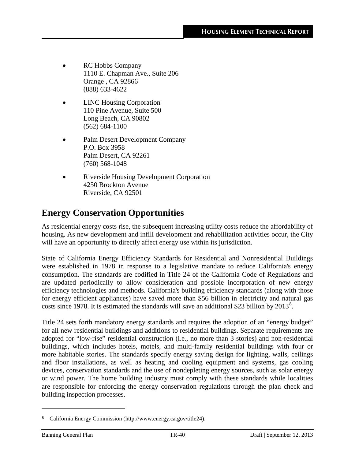- RC Hobbs Company 1110 E. Chapman Ave., Suite 206 Orange , CA 92866 (888) 633-4622
- LINC Housing Corporation 110 Pine Avenue, Suite 500 Long Beach, CA 90802 (562) 684-1100
- Palm Desert Development Company P.O. Box 3958 Palm Desert, CA 92261 (760) 568-1048
- Riverside Housing Development Corporation 4250 Brockton Avenue Riverside, CA 92501

## **Energy Conservation Opportunities**

As residential energy costs rise, the subsequent increasing utility costs reduce the affordability of housing. As new development and infill development and rehabilitation activities occur, the City will have an opportunity to directly affect energy use within its jurisdiction.

State of California Energy Efficiency Standards for Residential and Nonresidential Buildings were established in 1978 in response to a legislative mandate to reduce California's energy consumption. The standards are codified in Title 24 of the California Code of Regulations and are updated periodically to allow consideration and possible incorporation of new energy efficiency technologies and methods. California's building efficiency standards (along with those for energy efficient appliances) have saved more than \$56 billion in electricity and natural gas costs since 197[8](#page-59-0). It is estimated the standards will save an additional \$23 billion by  $2013^8$ .

Title 24 sets forth mandatory energy standards and requires the adoption of an "energy budget" for all new residential buildings and additions to residential buildings. Separate requirements are adopted for "low-rise" residential construction (i.e., no more than 3 stories) and non-residential buildings, which includes hotels, motels, and multi-family residential buildings with four or more habitable stories. The standards specify energy saving design for lighting, walls, ceilings and floor installations, as well as heating and cooling equipment and systems, gas cooling devices, conservation standards and the use of nondepleting energy sources, such as solar energy or wind power. The home building industry must comply with these standards while localities are responsible for enforcing the energy conservation regulations through the plan check and building inspection processes.

 $\overline{a}$ 

<span id="page-59-0"></span><sup>8</sup> California Energy Commission [\(http://www.energy.ca.gov/title24\)](http://www.energy.ca.gov/title24).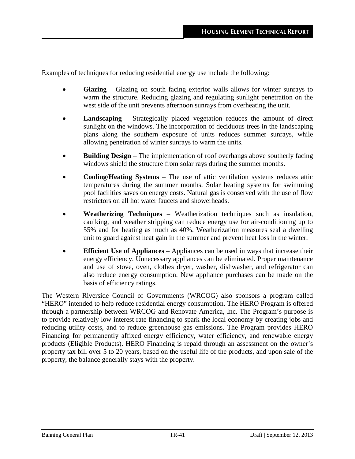Examples of techniques for reducing residential energy use include the following:

- **Glazing** Glazing on south facing exterior walls allows for winter sunrays to warm the structure. Reducing glazing and regulating sunlight penetration on the west side of the unit prevents afternoon sunrays from overheating the unit.
- **Landscaping** Strategically placed vegetation reduces the amount of direct sunlight on the windows. The incorporation of deciduous trees in the landscaping plans along the southern exposure of units reduces summer sunrays, while allowing penetration of winter sunrays to warm the units.
- **Building Design** The implementation of roof overhangs above southerly facing windows shield the structure from solar rays during the summer months.
- **Cooling/Heating Systems** The use of attic ventilation systems reduces attic temperatures during the summer months. Solar heating systems for swimming pool facilities saves on energy costs. Natural gas is conserved with the use of flow restrictors on all hot water faucets and showerheads.
- **Weatherizing Techniques** Weatherization techniques such as insulation, caulking, and weather stripping can reduce energy use for air-conditioning up to 55% and for heating as much as 40%. Weatherization measures seal a dwelling unit to guard against heat gain in the summer and prevent heat loss in the winter.
- **Efficient Use of Appliances** Appliances can be used in ways that increase their energy efficiency. Unnecessary appliances can be eliminated. Proper maintenance and use of stove, oven, clothes dryer, washer, dishwasher, and refrigerator can also reduce energy consumption. New appliance purchases can be made on the basis of efficiency ratings.

The Western Riverside Council of Governments (WRCOG) also sponsors a program called "HERO" intended to help reduce residential energy consumption. The HERO Program is offered through a partnership between WRCOG and Renovate America, Inc. The Program's purpose is to provide relatively low interest rate financing to spark the local economy by creating jobs and reducing utility costs, and to reduce greenhouse gas emissions. The Program provides HERO Financing for permanently affixed energy efficiency, water efficiency, and renewable energy products (Eligible Products). HERO Financing is repaid through an assessment on the owner's property tax bill over 5 to 20 years, based on the useful life of the products, and upon sale of the property, the balance generally stays with the property.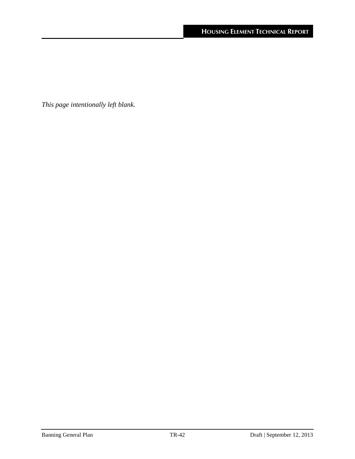*This page intentionally left blank.*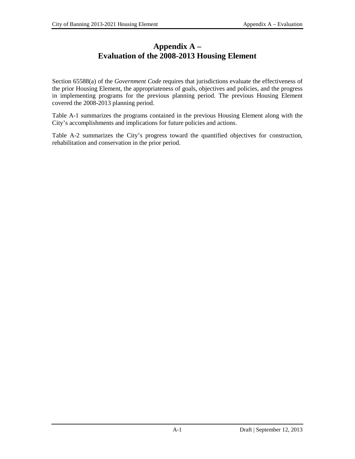## **Appendix A – Evaluation of the 2008-2013 Housing Element**

Section 65588(a) of the *Government Code* requires that jurisdictions evaluate the effectiveness of the prior Housing Element, the appropriateness of goals, objectives and policies, and the progress in implementing programs for the previous planning period. The previous Housing Element covered the 2008-2013 planning period.

Table A-1 summarizes the programs contained in the previous Housing Element along with the City's accomplishments and implications for future policies and actions.

Table A-2 summarizes the City's progress toward the quantified objectives for construction, rehabilitation and conservation in the prior period.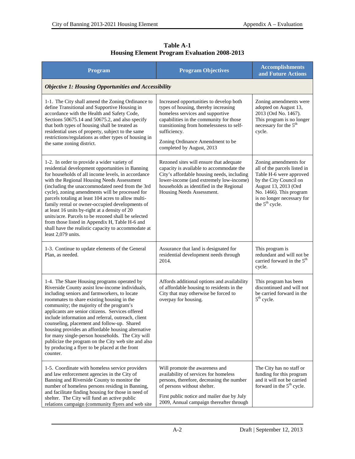| Program                                                                                                                                                                                                                                                                                                                                                                                                                                                                                                                                                                                                                                                    | <b>Program Objectives</b>                                                                                                                                                                                                                                                                   | <b>Accomplishments</b><br>and Future Actions                                                                                                                                                                              |
|------------------------------------------------------------------------------------------------------------------------------------------------------------------------------------------------------------------------------------------------------------------------------------------------------------------------------------------------------------------------------------------------------------------------------------------------------------------------------------------------------------------------------------------------------------------------------------------------------------------------------------------------------------|---------------------------------------------------------------------------------------------------------------------------------------------------------------------------------------------------------------------------------------------------------------------------------------------|---------------------------------------------------------------------------------------------------------------------------------------------------------------------------------------------------------------------------|
| <b>Objective 1: Housing Opportunities and Accessibility</b>                                                                                                                                                                                                                                                                                                                                                                                                                                                                                                                                                                                                |                                                                                                                                                                                                                                                                                             |                                                                                                                                                                                                                           |
| 1-1. The City shall amend the Zoning Ordinance to<br>define Transitional and Supportive Housing in<br>accordance with the Health and Safety Code,<br>Sections 50675.14 and 50675.2, and also specify<br>that both types of housing shall be treated as<br>residential uses of property, subject to the same<br>restrictions/regulations as other types of housing in<br>the same zoning district.                                                                                                                                                                                                                                                          | Increased opportunities to develop both<br>types of housing, thereby increasing<br>homeless services and supportive<br>capabilities in the community for those<br>transitioning from homelessness to self-<br>sufficiency.<br>Zoning Ordinance Amendment to be<br>completed by August, 2013 | Zoning amendments were<br>adopted on August 13,<br>2013 (Ord No. 1467).<br>This program is no longer<br>necessary for the 5 <sup>th</sup><br>cycle.                                                                       |
| 1-2. In order to provide a wider variety of<br>residential development opportunities in Banning<br>for households of all income levels, in accordance<br>with the Regional Housing Needs Assessment<br>(including the unaccommodated need from the 3rd<br>cycle), zoning amendments will be processed for<br>parcels totaling at least 104 acres to allow multi-<br>family rental or owner-occupied developments of<br>at least 16 units by-right at a density of 20<br>units/acre. Parcels to be rezoned shall be selected<br>from those listed in Appendix H, Table H-6 and<br>shall have the realistic capacity to accommodate at<br>least 2,079 units. | Rezoned sites will ensure that adequate<br>capacity is available to accommodate the<br>City's affordable housing needs, including<br>lower-income (and extremely low-income)<br>households as identified in the Regional<br>Housing Needs Assessment.                                       | Zoning amendments for<br>all of the parcels listed in<br>Table H-6 were approved<br>by the City Council on<br>August 13, 2013 (Ord<br>No. 1466). This program<br>is no longer necessary for<br>the 5 <sup>th</sup> cycle. |
| 1-3. Continue to update elements of the General<br>Plan, as needed.                                                                                                                                                                                                                                                                                                                                                                                                                                                                                                                                                                                        | Assurance that land is designated for<br>residential development needs through<br>2014.                                                                                                                                                                                                     | This program is<br>redundant and will not be<br>carried forward in the 5 <sup>th</sup><br>cycle.                                                                                                                          |
| 1-4. The Share Housing programs operated by<br>Riverside County assist low-income individuals,<br>including seniors and farmworkers, to locate<br>roommates to share existing housing in the<br>community; the majority of the program's<br>applicants are senior citizens. Services offered<br>include information and referral, outreach, client<br>counseling, placement and follow-up. Shared<br>housing provides an affordable housing alternative<br>for many single-person households. The City will<br>publicize the program on the City web site and also<br>by producing a flyer to be placed at the front<br>counter.                           | Affords additional options and availability<br>of affordable housing to residents in the<br>City that may otherwise be forced to<br>overpay for housing.                                                                                                                                    | This program has been<br>discontinued and will not<br>be carried forward in the<br>$5th$ cycle.                                                                                                                           |
| 1-5. Coordinate with homeless service providers<br>and law enforcement agencies in the City of<br>Banning and Riverside County to monitor the<br>number of homeless persons residing in Banning,<br>and facilitate finding housing for those in need of<br>shelter. The City will fund an active public<br>relations campaign (community flyers and web site                                                                                                                                                                                                                                                                                               | Will promote the awareness and<br>availability of services for homeless<br>persons, therefore, decreasing the number<br>of persons without shelter.<br>First public notice and mailer due by July<br>2009, Annual campaign thereafter through                                               | The City has no staff or<br>funding for this program<br>and it will not be carried<br>forward in the 5 <sup>th</sup> cycle.                                                                                               |

## **Table A-1 Housing Element Program Evaluation 2008-2013**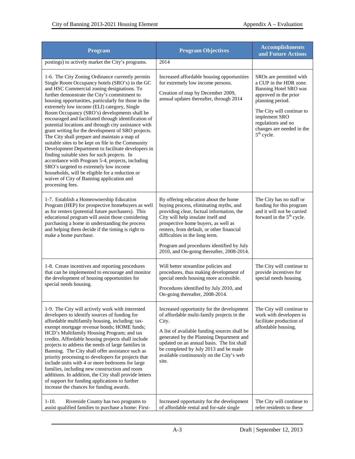| Program                                                                                                                                                                                                                                                                                                                                                                                                                                                                                                                                                                                                                                                                                                                                                                                                                                                                                                                                                     | <b>Program Objectives</b>                                                                                                                                                                                                                                                                                                                                                         | <b>Accomplishments</b><br>and Future Actions                                                                                                                                                                                             |
|-------------------------------------------------------------------------------------------------------------------------------------------------------------------------------------------------------------------------------------------------------------------------------------------------------------------------------------------------------------------------------------------------------------------------------------------------------------------------------------------------------------------------------------------------------------------------------------------------------------------------------------------------------------------------------------------------------------------------------------------------------------------------------------------------------------------------------------------------------------------------------------------------------------------------------------------------------------|-----------------------------------------------------------------------------------------------------------------------------------------------------------------------------------------------------------------------------------------------------------------------------------------------------------------------------------------------------------------------------------|------------------------------------------------------------------------------------------------------------------------------------------------------------------------------------------------------------------------------------------|
| postings) to actively market the City's programs.                                                                                                                                                                                                                                                                                                                                                                                                                                                                                                                                                                                                                                                                                                                                                                                                                                                                                                           | 2014                                                                                                                                                                                                                                                                                                                                                                              |                                                                                                                                                                                                                                          |
| 1-6. The City Zoning Ordinance currently permits<br>Single Room Occupancy hotels (SRO's) in the GC<br>and HSC Commercial zoning designations. To<br>further demonstrate the City's commitment to<br>housing opportunities, particularly for those in the<br>extremely low income (ELI) category, Single<br>Room Occupancy (SRO's) developments shall be<br>encouraged and facilitated through identification of<br>potential locations and through city assistance with<br>grant writing for the development of SRO projects.<br>The City shall prepare and maintain a map of<br>suitable sites to be kept on file in the Community<br>Development Department to facilitate developers in<br>finding suitable sites for such projects. In<br>accordance with Program 5-4, projects, including<br>SRO's targeted to extremely low income<br>households, will be eligible for a reduction or<br>waiver of City of Banning application and<br>processing fees. | Increased affordable housing opportunities<br>for extremely low income persons.<br>Creation of map by December 2009,<br>annual updates thereafter, through 2014                                                                                                                                                                                                                   | SROs are permitted with<br>a CUP in the HDR zone.<br>Banning Hotel SRO was<br>approved in the prior<br>planning period.<br>The City will continue to<br>implement SRO<br>regulations and no<br>changes are needed in the<br>$5th$ cycle. |
| 1-7. Establish a Homeownership Education<br>Program (HEP) for prospective homebuyers as well<br>as for renters (potential future purchasers). This<br>educational program will assist those considering<br>purchasing a home in understanding the process<br>and helping them decide if the timing is right to<br>make a home purchase.                                                                                                                                                                                                                                                                                                                                                                                                                                                                                                                                                                                                                     | By offering education about the home<br>buying process, eliminating myths, and<br>providing clear, factual information, the<br>City will help insulate itself and<br>prospective home buyers, as well as<br>renters, from default, or other financial<br>difficulties in the long term.<br>Program and procedures identified by July<br>2010, and On-going thereafter, 2008-2014. | The City has no staff or<br>funding for this program<br>and it will not be carried<br>forward in the 5 <sup>th</sup> cycle.                                                                                                              |
| 1-8. Create incentives and reporting procedures<br>that can be implemented to encourage and monitor<br>the development of housing opportunities for<br>special needs housing.                                                                                                                                                                                                                                                                                                                                                                                                                                                                                                                                                                                                                                                                                                                                                                               | Will better streamline policies and<br>procedures, thus making development of<br>special needs housing more accessible.<br>Procedures identified by July 2010, and<br>On-going thereafter, 2008-2014.                                                                                                                                                                             | The City will continue to<br>provide incentives for<br>special needs housing.                                                                                                                                                            |
| 1-9. The City will actively work with interested<br>developers to identify sources of funding for<br>affordable multifamily housing, including: tax-<br>exempt mortgage revenue bonds; HOME funds;<br>HCD's Multifamily Housing Program; and tax<br>credits. Affordable housing projects shall include<br>projects to address the needs of large families in<br>Banning. The City shall offer assistance such as<br>priority processing to developers for projects that<br>include units with 4 or more bedrooms for large<br>families, including new construction and room<br>additions. In addition, the City shall provide letters<br>of support for funding applications to further<br>increase the chances for funding awards.                                                                                                                                                                                                                         | Increased opportunity for the development<br>of affordable multi-family projects in the<br>City.<br>A list of available funding sources shall be<br>generated by the Planning Department and<br>updated on an annual basis. The list shall<br>be completed by July 2013 and be made<br>available continuously on the City's web<br>site.                                          | The City will continue to<br>work with developers to<br>facilitate production of<br>affordable housing.                                                                                                                                  |
| $1-10.$<br>Riverside County has two programs to<br>assist qualified families to purchase a home: First-                                                                                                                                                                                                                                                                                                                                                                                                                                                                                                                                                                                                                                                                                                                                                                                                                                                     | Increased opportunity for the development<br>of affordable rental and for-sale single                                                                                                                                                                                                                                                                                             | The City will continue to<br>refer residents to these                                                                                                                                                                                    |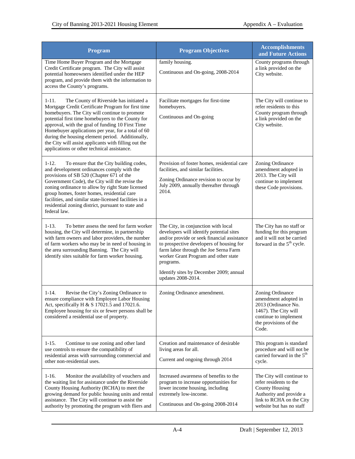| Program                                                                                                                                                                                                                                                                                                                                                                                                                                                                             | <b>Program Objectives</b>                                                                                                                                                                                                                                                                                                                 | <b>Accomplishments</b><br>and Future Actions                                                                                                                    |
|-------------------------------------------------------------------------------------------------------------------------------------------------------------------------------------------------------------------------------------------------------------------------------------------------------------------------------------------------------------------------------------------------------------------------------------------------------------------------------------|-------------------------------------------------------------------------------------------------------------------------------------------------------------------------------------------------------------------------------------------------------------------------------------------------------------------------------------------|-----------------------------------------------------------------------------------------------------------------------------------------------------------------|
| Time Home Buyer Program and the Mortgage<br>Credit Certificate program. The City will assist<br>potential homeowners identified under the HEP<br>program, and provide them with the information to<br>access the County's programs.                                                                                                                                                                                                                                                 | family housing.<br>Continuous and On-going, 2008-2014                                                                                                                                                                                                                                                                                     | County programs through<br>a link provided on the<br>City website.                                                                                              |
| $1-11.$<br>The County of Riverside has initiated a<br>Mortgage Credit Certificate Program for first time<br>homebuyers. The City will continue to promote<br>potential first time homebuyers to the County for<br>approval, with the goal of funding 10 First Time<br>Homebuyer applications per year, for a total of 60<br>during the housing element period. Additionally,<br>the City will assist applicants with filling out the<br>applications or other technical assistance. | Facilitate mortgages for first-time<br>homebuyers.<br>Continuous and On-going                                                                                                                                                                                                                                                             | The City will continue to<br>refer residents to this<br>County program through<br>a link provided on the<br>City website.                                       |
| $1 - 12.$<br>To ensure that the City building codes,<br>and development ordinances comply with the<br>provisions of SB 520 (Chapter 671 of the<br>Government Code), the City will the revise the<br>zoning ordinance to allow by right State licensed<br>group homes, foster homes, residential care<br>facilities, and similar state-licensed facilities in a<br>residential zoning district, pursuant to state and<br>federal law.                                                | Provision of foster homes, residential care<br>facilities, and similar facilities.<br>Zoning Ordinance revision to occur by<br>July 2009, annually thereafter through<br>2014.                                                                                                                                                            | Zoning Ordinance<br>amendment adopted in<br>2013. The City will<br>continue to implement<br>these Code provisions.                                              |
| To better assess the need for farm worker<br>$1-13.$<br>housing, the City will determine, in partnership<br>with farm owners and labor providers, the number<br>of farm workers who may be in need of housing in<br>the area surrounding Banning. The City will<br>identify sites suitable for farm worker housing.                                                                                                                                                                 | The City, in conjunction with local<br>developers will identify potential sites<br>and/or provide or seek financial assistance<br>to prospective developers of housing for<br>farm labor through the Joe Serna Farm<br>worker Grant Program and other state<br>programs.<br>Identify sites by December 2009; annual<br>updates 2008-2014. | The City has no staff or<br>funding for this program<br>and it will not be carried<br>forward in the 5 <sup>th</sup> cycle.                                     |
| $1 - 14.$<br>Revise the City's Zoning Ordinance to<br>ensure compliance with Employee Labor Housing<br>Act, specifically H & S 17021.5 and 17021.6.<br>Employee housing for six or fewer persons shall be<br>considered a residential use of property.                                                                                                                                                                                                                              | Zoning Ordinance amendment.                                                                                                                                                                                                                                                                                                               | Zoning Ordinance<br>amendment adopted in<br>2013 (Ordinance No.<br>1467). The City will<br>continue to implement<br>the provisions of the<br>Code.              |
| $1-15.$<br>Continue to use zoning and other land<br>use controls to ensure the compatibility of<br>residential areas with surrounding commercial and<br>other non-residential uses.                                                                                                                                                                                                                                                                                                 | Creation and maintenance of desirable<br>living areas for all.<br>Current and ongoing through 2014                                                                                                                                                                                                                                        | This program is standard<br>procedure and will not be<br>carried forward in the 5 <sup>th</sup><br>cycle.                                                       |
| $1-16.$<br>Monitor the availability of vouchers and<br>the waiting list for assistance under the Riverside<br>County Housing Authority (RCHA) to meet the<br>growing demand for public housing units and rental<br>assistance. The City will continue to assist the<br>authority by promoting the program with fliers and                                                                                                                                                           | Increased awareness of benefits to the<br>program to increase opportunities for<br>lower income housing, including<br>extremely low-income.<br>Continuous and On-going 2008-2014                                                                                                                                                          | The City will continue to<br>refer residents to the<br><b>County Housing</b><br>Authority and provide a<br>link to RCHA on the City<br>website but has no staff |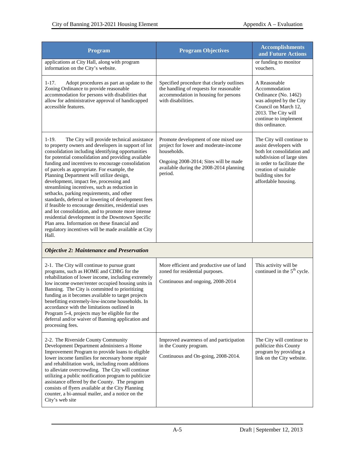| Program                                                                                                                                                                                                                                                                                                                                                                                                                                                                                                                                                                                                                                                                                                                                                                                                                                                      | <b>Program Objectives</b>                                                                                                                                                                   | <b>Accomplishments</b><br>and Future Actions                                                                                                                                                                       |
|--------------------------------------------------------------------------------------------------------------------------------------------------------------------------------------------------------------------------------------------------------------------------------------------------------------------------------------------------------------------------------------------------------------------------------------------------------------------------------------------------------------------------------------------------------------------------------------------------------------------------------------------------------------------------------------------------------------------------------------------------------------------------------------------------------------------------------------------------------------|---------------------------------------------------------------------------------------------------------------------------------------------------------------------------------------------|--------------------------------------------------------------------------------------------------------------------------------------------------------------------------------------------------------------------|
| applications at City Hall, along with program<br>information on the City's website.                                                                                                                                                                                                                                                                                                                                                                                                                                                                                                                                                                                                                                                                                                                                                                          |                                                                                                                                                                                             | or funding to monitor<br>vouchers.                                                                                                                                                                                 |
| $1 - 17.$<br>Adopt procedures as part an update to the<br>Zoning Ordinance to provide reasonable<br>accommodation for persons with disabilities that<br>allow for administrative approval of handicapped<br>accessible features.                                                                                                                                                                                                                                                                                                                                                                                                                                                                                                                                                                                                                             | Specified procedure that clearly outlines<br>the handling of requests for reasonable<br>accommodation in housing for persons<br>with disabilities.                                          | A Reasonable<br>Accommodation<br>Ordinance (No. 1462)<br>was adopted by the City<br>Council on March 12,<br>2013. The City will<br>continue to implement<br>this ordinance.                                        |
| $1-19.$<br>The City will provide technical assistance<br>to property owners and developers in support of lot<br>consolidation including identifying opportunities<br>for potential consolidation and providing available<br>funding and incentives to encourage consolidation<br>of parcels as appropriate. For example, the<br>Planning Department will utilize design,<br>development, impact fee, processing and<br>streamlining incentives, such as reduction in<br>setbacks, parking requirements, and other<br>standards, deferral or lowering of development fees<br>if feasible to encourage densities, residential uses<br>and lot consolidation, and to promote more intense<br>residential development in the Downtown Specific<br>Plan area. Information on these financial and<br>regulatory incentives will be made available at City<br>Hall. | Promote development of one mixed use<br>project for lower and moderate-income<br>households.<br>Ongoing 2008-2014; Sites will be made<br>available during the 2008-2014 planning<br>period. | The City will continue to<br>assist developers with<br>both lot consolidation and<br>subdivision of large sites<br>in order to facilitate the<br>creation of suitable<br>building sites for<br>affordable housing. |
| <b>Objective 2: Maintenance and Preservation</b>                                                                                                                                                                                                                                                                                                                                                                                                                                                                                                                                                                                                                                                                                                                                                                                                             |                                                                                                                                                                                             |                                                                                                                                                                                                                    |
| 2-1. The City will continue to pursue grant<br>programs, such as HOME and CDBG for the<br>rehabilitation of lower income, including extremely<br>low income owner/renter occupied housing units in<br>Banning. The City is committed to prioritizing<br>funding as it becomes available to target projects<br>benefitting extremely-low-income households. In<br>accordance with the limitations outlined in<br>Program 5-4, projects may be eligible for the<br>deferral and/or waiver of Banning application and<br>processing fees.                                                                                                                                                                                                                                                                                                                       | More efficient and productive use of land<br>zoned for residential purposes.<br>Continuous and ongoing, 2008-2014                                                                           | This activity will be<br>continued in the 5 <sup>th</sup> cycle.                                                                                                                                                   |
| 2-2. The Riverside County Community<br>Development Department administers a Home<br>Improvement Program to provide loans to eligible<br>lower income families for necessary home repair<br>and rehabilitation work, including room additions<br>to alleviate overcrowding. The City will continue<br>utilizing a public notification program to publicize<br>assistance offered by the County. The program<br>consists of flyers available at the City Planning<br>counter, a bi-annual mailer, and a notice on the<br>City's web site                                                                                                                                                                                                                                                                                                                       | Improved awareness of and participation<br>in the County program.<br>Continuous and On-going, 2008-2014.                                                                                    | The City will continue to<br>publicize this County<br>program by providing a<br>link on the City website.                                                                                                          |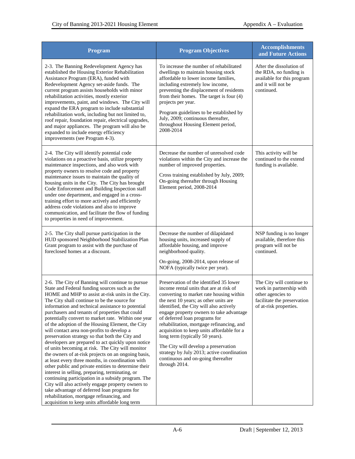| Program                                                                                                                                                                                                                                                                                                                                                                                                                                                                                                                                                                                                                                                                                                                                                                                                                                                                                                                                                                                                                                                                                                               | <b>Program Objectives</b>                                                                                                                                                                                                                                                                                                                                                                                                                                                                                                                                                  | <b>Accomplishments</b><br>and Future Actions                                                                                        |
|-----------------------------------------------------------------------------------------------------------------------------------------------------------------------------------------------------------------------------------------------------------------------------------------------------------------------------------------------------------------------------------------------------------------------------------------------------------------------------------------------------------------------------------------------------------------------------------------------------------------------------------------------------------------------------------------------------------------------------------------------------------------------------------------------------------------------------------------------------------------------------------------------------------------------------------------------------------------------------------------------------------------------------------------------------------------------------------------------------------------------|----------------------------------------------------------------------------------------------------------------------------------------------------------------------------------------------------------------------------------------------------------------------------------------------------------------------------------------------------------------------------------------------------------------------------------------------------------------------------------------------------------------------------------------------------------------------------|-------------------------------------------------------------------------------------------------------------------------------------|
| 2-3. The Banning Redevelopment Agency has<br>established the Housing Exterior Rehabilitation<br>Assistance Program (ERA), funded with<br>Redevelopment Agency set-aside funds. The<br>current program assists households with minor<br>rehabilitation activities, mostly exterior<br>improvements, paint, and windows. The City will<br>expand the ERA program to include substantial<br>rehabilitation work, including but not limited to,<br>roof repair, foundation repair, electrical upgrades,<br>and major appliances. The program will also be<br>expanded to include energy efficiency<br>improvements (see Program 4-3).                                                                                                                                                                                                                                                                                                                                                                                                                                                                                     | To increase the number of rehabilitated<br>dwellings to maintain housing stock<br>affordable to lower income families,<br>including extremely low income,<br>preventing the displacement of residents<br>from their homes. The target is four (4)<br>projects per year.<br>Program guidelines to be established by<br>July, 2009; continuous thereafter,<br>throughout Housing Element period,<br>2008-2014                                                                                                                                                                | After the dissolution of<br>the RDA, no funding is<br>available for this program<br>and it will not be<br>continued.                |
| 2-4. The City will identify potential code<br>violations on a proactive basis, utilize property<br>maintenance inspections, and also work with<br>property owners to resolve code and property<br>maintenance issues to maintain the quality of<br>housing units in the City. The City has brought<br>Code Enforcement and Building Inspection staff<br>under one department, and engaged in a cross-<br>training effort to more actively and efficiently<br>address code violations and also to improve<br>communication, and facilitate the flow of funding<br>to properties in need of improvement.                                                                                                                                                                                                                                                                                                                                                                                                                                                                                                                | Decrease the number of unresolved code<br>violations within the City and increase the<br>number of improved properties.<br>Cross training established by July, 2009;<br>On-going thereafter through Housing<br>Element period, 2008-2014                                                                                                                                                                                                                                                                                                                                   | This activity will be<br>continued to the extend<br>funding is available.                                                           |
| 2-5. The City shall pursue participation in the<br>HUD sponsored Neighborhood Stabilization Plan<br>Grant program to assist with the purchase of<br>foreclosed homes at a discount.                                                                                                                                                                                                                                                                                                                                                                                                                                                                                                                                                                                                                                                                                                                                                                                                                                                                                                                                   | Decrease the number of dilapidated<br>housing units, increased supply of<br>affordable housing, and improve<br>neighborhood quality.<br>On-going, 2008-2014, upon release of<br>NOFA (typically twice per year).                                                                                                                                                                                                                                                                                                                                                           | NSP funding is no longer<br>available, therefore this<br>program will not be<br>continued.                                          |
| 2-6. The City of Banning will continue to pursue<br>State and Federal funding sources such as the<br>HOME and MHP to assist at-risk units in the City.<br>The City shall continue to be the source for<br>information and technical assistance to potential<br>purchasers and tenants of properties that could<br>potentially convert to market rate. Within one year<br>of the adoption of the Housing Element, the City<br>will contact area non-profits to develop a<br>preservation strategy so that both the City and<br>developers are prepared to act quickly upon notice<br>of units becoming at risk. The City will monitor<br>the owners of at-risk projects on an ongoing basis,<br>at least every three months, in coordination with<br>other public and private entities to determine their<br>interest in selling, preparing, terminating, or<br>continuing participation in a subsidy program. The<br>City will also actively engage property owners to<br>take advantage of deferred loan programs for<br>rehabilitation, mortgage refinancing, and<br>acquisition to keep units affordable long term | Preservation of the identified 35 lower<br>income rental units that are at risk of<br>converting to market rate housing within<br>the next 10 years; as other units are<br>identified, the City will also actively<br>engage property owners to take advantage<br>of deferred loan programs for<br>rehabilitation, mortgage refinancing, and<br>acquisition to keep units affordable for a<br>long term (typically 50 years).<br>The City will develop a preservation<br>strategy by July 2013; active coordination<br>continuous and on-going thereafter<br>through 2014. | The City will continue to<br>work in partnership with<br>other agencies to<br>facilitate the preservation<br>of at-risk properties. |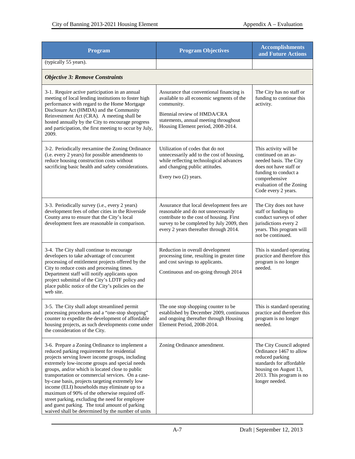| Program                                                                                                                                                                                                                                                                                                                                                                                                                                                                                                                                                                                                                  | <b>Program Objectives</b>                                                                                                                                                                                           | <b>Accomplishments</b><br>and Future Actions                                                                                                                                                 |
|--------------------------------------------------------------------------------------------------------------------------------------------------------------------------------------------------------------------------------------------------------------------------------------------------------------------------------------------------------------------------------------------------------------------------------------------------------------------------------------------------------------------------------------------------------------------------------------------------------------------------|---------------------------------------------------------------------------------------------------------------------------------------------------------------------------------------------------------------------|----------------------------------------------------------------------------------------------------------------------------------------------------------------------------------------------|
| (typically 55 years).                                                                                                                                                                                                                                                                                                                                                                                                                                                                                                                                                                                                    |                                                                                                                                                                                                                     |                                                                                                                                                                                              |
| <b>Objective 3: Remove Constraints</b>                                                                                                                                                                                                                                                                                                                                                                                                                                                                                                                                                                                   |                                                                                                                                                                                                                     |                                                                                                                                                                                              |
| 3-1. Require active participation in an annual<br>meeting of local lending institutions to foster high<br>performance with regard to the Home Mortgage<br>Disclosure Act (HMDA) and the Community<br>Reinvestment Act (CRA). A meeting shall be<br>hosted annually by the City to encourage progress<br>and participation, the first meeting to occur by July,<br>2009.                                                                                                                                                                                                                                                  | Assurance that conventional financing is<br>available to all economic segments of the<br>community.<br>Biennial review of HMDA/CRA<br>statements, annual meeting throughout<br>Housing Element period, 2008-2014.   | The City has no staff or<br>funding to continue this<br>activity.                                                                                                                            |
| 3-2. Periodically reexamine the Zoning Ordinance<br>(i.e. every 2 years) for possible amendments to<br>reduce housing construction costs without<br>sacrificing basic health and safety considerations.                                                                                                                                                                                                                                                                                                                                                                                                                  | Utilization of codes that do not<br>unnecessarily add to the cost of housing,<br>while reflecting technological advances<br>and changing public attitudes.<br>Every two (2) years.                                  | This activity will be<br>continued on an as-<br>needed basis. The City<br>does not have staff or<br>funding to conduct a<br>comprehensive<br>evaluation of the Zoning<br>Code every 2 years. |
| 3-3. Periodically survey (i.e., every 2 years)<br>development fees of other cities in the Riverside<br>County area to ensure that the City's local<br>development fees are reasonable in comparison.                                                                                                                                                                                                                                                                                                                                                                                                                     | Assurance that local development fees are<br>reasonable and do not unnecessarily<br>contribute to the cost of housing. First<br>survey to be completed by July 2009, then<br>every 2 years thereafter through 2014. | The City does not have<br>staff or funding to<br>conduct surveys of other<br>jurisdictions every 2<br>years. This program will<br>not be continued.                                          |
| 3-4. The City shall continue to encourage<br>developers to take advantage of concurrent<br>processing of entitlement projects offered by the<br>City to reduce costs and processing times.<br>Department staff will notify applicants upon<br>project submittal of the City's LDTF policy and<br>place public notice of the City's policies on the<br>web site.                                                                                                                                                                                                                                                          | Reduction in overall development<br>processing time, resulting in greater time<br>and cost savings to applicants.<br>Continuous and on-going through 2014                                                           | This is standard operating<br>practice and therefore this<br>program is no longer<br>needed.                                                                                                 |
| 3-5. The City shall adopt streamlined permit<br>processing procedures and a "one-stop shopping"<br>counter to expedite the development of affordable<br>housing projects, as such developments come under<br>the consideration of the City.                                                                                                                                                                                                                                                                                                                                                                              | The one stop shopping counter to be<br>established by December 2009, continuous<br>and ongoing thereafter through Housing<br>Element Period, 2008-2014.                                                             | This is standard operating<br>practice and therefore this<br>program is no longer<br>needed.                                                                                                 |
| 3-6. Prepare a Zoning Ordinance to implement a<br>reduced parking requirement for residential<br>projects serving lower income groups, including<br>extremely low-income groups and special needs<br>groups, and/or which is located close to public<br>transportation or commercial services. On a case-<br>by-case basis, projects targeting extremely low<br>income (ELI) households may eliminate up to a<br>maximum of 90% of the otherwise required off-<br>street parking, excluding the need for employee<br>and guest parking. The total amount of parking<br>waived shall be determined by the number of units | Zoning Ordinance amendment.                                                                                                                                                                                         | The City Council adopted<br>Ordinance 1467 to allow<br>reduced parking<br>standards for affordable<br>housing on August 13,<br>2013. This program is no<br>longer needed.                    |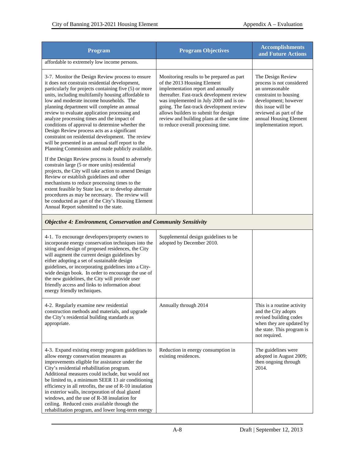| Program                                                                                                                                                                                                                                                                                                                                                                                                                                                                                                                                                                                                                                                                     | <b>Program Objectives</b>                                                                                                                                                                                                                                                                                                                                                      | <b>Accomplishments</b><br>and Future Actions                                                                                                                                                                            |
|-----------------------------------------------------------------------------------------------------------------------------------------------------------------------------------------------------------------------------------------------------------------------------------------------------------------------------------------------------------------------------------------------------------------------------------------------------------------------------------------------------------------------------------------------------------------------------------------------------------------------------------------------------------------------------|--------------------------------------------------------------------------------------------------------------------------------------------------------------------------------------------------------------------------------------------------------------------------------------------------------------------------------------------------------------------------------|-------------------------------------------------------------------------------------------------------------------------------------------------------------------------------------------------------------------------|
| affordable to extremely low income persons.                                                                                                                                                                                                                                                                                                                                                                                                                                                                                                                                                                                                                                 |                                                                                                                                                                                                                                                                                                                                                                                |                                                                                                                                                                                                                         |
| 3-7. Monitor the Design Review process to ensure<br>it does not constrain residential development,<br>particularly for projects containing five (5) or more<br>units, including multifamily housing affordable to<br>low and moderate income households. The<br>planning department will complete an annual<br>review to evaluate application processing and<br>analyze processing times and the impact of<br>conditions of approval to determine whether the<br>Design Review process acts as a significant<br>constraint on residential development. The review<br>will be presented in an annual staff report to the<br>Planning Commission and made publicly available. | Monitoring results to be prepared as part<br>of the 2013 Housing Element<br>implementation report and annually<br>thereafter. Fast-track development review<br>was implemented in July 2009 and is on-<br>going. The fast-track development review<br>allows builders to submit for design<br>review and building plans at the same time<br>to reduce overall processing time. | The Design Review<br>process is not considered<br>an unreasonable<br>constraint to housing<br>development; however<br>this issue will be<br>reviewed as part of the<br>annual Housing Element<br>implementation report. |
| If the Design Review process is found to adversely<br>constrain large (5 or more units) residential<br>projects, the City will take action to amend Design<br>Review or establish guidelines and other<br>mechanisms to reduce processing times to the<br>extent feasible by State law, or to develop alternate<br>procedures as may be necessary. The review will<br>be conducted as part of the City's Housing Element<br>Annual Report submitted to the state.                                                                                                                                                                                                           |                                                                                                                                                                                                                                                                                                                                                                                |                                                                                                                                                                                                                         |
| <b>Objective 4: Environment, Conservation and Community Sensitivity</b>                                                                                                                                                                                                                                                                                                                                                                                                                                                                                                                                                                                                     |                                                                                                                                                                                                                                                                                                                                                                                |                                                                                                                                                                                                                         |
| 4-1. To encourage developers/property owners to<br>incorporate energy conservation techniques into the<br>siting and design of proposed residences, the City<br>will augment the current design guidelines by<br>either adopting a set of sustainable design<br>guidelines, or incorporating guidelines into a City-<br>wide design book. In order to encourage the use of<br>the new guidelines, the City will provide user<br>friendly access and links to information about<br>energy friendly techniques.                                                                                                                                                               | Supplemental design guidelines to be<br>adopted by December 2010.                                                                                                                                                                                                                                                                                                              |                                                                                                                                                                                                                         |
| 4-2. Regularly examine new residential<br>construction methods and materials, and upgrade<br>the City's residential building standards as<br>appropriate.                                                                                                                                                                                                                                                                                                                                                                                                                                                                                                                   | Annually through 2014                                                                                                                                                                                                                                                                                                                                                          | This is a routine activity<br>and the City adopts<br>revised building codes<br>when they are updated by<br>the state. This program is<br>not required.                                                                  |
| 4-3. Expand existing energy program guidelines to<br>allow energy conservation measures as<br>improvements eligible for assistance under the<br>City's residential rehabilitation program.<br>Additional measures could include, but would not<br>be limited to, a minimum SEER 13 air conditioning<br>efficiency in all retrofits, the use of R-10 insulation<br>in exterior walls, incorporation of dual glazed<br>windows, and the use of R-38 insulation for<br>ceiling. Reduced costs available through the<br>rehabilitation program, and lower long-term energy                                                                                                      | Reduction in energy consumption in<br>existing residences.                                                                                                                                                                                                                                                                                                                     | The guidelines were<br>adopted in August 2009;<br>then ongoing through<br>2014.                                                                                                                                         |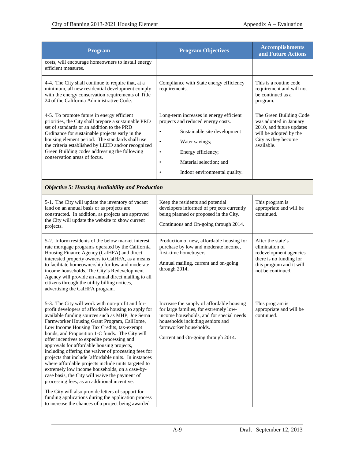| Program                                                                                                                                                                                                                                                                                                                                                                                                                                                                                                                                                                                                                                                                                                                                                                                                                                                                                                | <b>Program Objectives</b>                                                                                                                                                                                                                        | <b>Accomplishments</b><br>and Future Actions                                                                                                 |
|--------------------------------------------------------------------------------------------------------------------------------------------------------------------------------------------------------------------------------------------------------------------------------------------------------------------------------------------------------------------------------------------------------------------------------------------------------------------------------------------------------------------------------------------------------------------------------------------------------------------------------------------------------------------------------------------------------------------------------------------------------------------------------------------------------------------------------------------------------------------------------------------------------|--------------------------------------------------------------------------------------------------------------------------------------------------------------------------------------------------------------------------------------------------|----------------------------------------------------------------------------------------------------------------------------------------------|
| costs, will encourage homeowners to install energy<br>efficient measures.                                                                                                                                                                                                                                                                                                                                                                                                                                                                                                                                                                                                                                                                                                                                                                                                                              |                                                                                                                                                                                                                                                  |                                                                                                                                              |
| 4-4. The City shall continue to require that, at a<br>minimum, all new residential development comply<br>with the energy conservation requirements of Title<br>24 of the California Administrative Code.                                                                                                                                                                                                                                                                                                                                                                                                                                                                                                                                                                                                                                                                                               | Compliance with State energy efficiency<br>requirements.                                                                                                                                                                                         | This is a routine code<br>requirement and will not<br>be continued as a<br>program.                                                          |
| 4-5. To promote future in energy efficient<br>priorities, the City shall prepare a sustainable PRD<br>set of standards or an addition to the PRD<br>Ordinance for sustainable projects early in the<br>housing element period. The standards shall use<br>the criteria established by LEED and/or recognized<br>Green Building codes addressing the following<br>conservation areas of focus.                                                                                                                                                                                                                                                                                                                                                                                                                                                                                                          | Long-term increases in energy efficient<br>projects and reduced energy costs.<br>Sustainable site development<br>٠<br>Water savings;<br>Energy efficiency;<br>$\bullet$<br>Material selection; and<br>$\bullet$<br>Indoor environmental quality. | The Green Building Code<br>was adopted in January<br>2010, and future updates<br>will be adopted by the<br>City as they become<br>available. |
| <b>Objective 5: Housing Availability and Production</b>                                                                                                                                                                                                                                                                                                                                                                                                                                                                                                                                                                                                                                                                                                                                                                                                                                                |                                                                                                                                                                                                                                                  |                                                                                                                                              |
| 5-1. The City will update the inventory of vacant<br>land on an annual basis or as projects are<br>constructed. In addition, as projects are approved<br>the City will update the website to show current<br>projects.                                                                                                                                                                                                                                                                                                                                                                                                                                                                                                                                                                                                                                                                                 | Keep the residents and potential<br>developers informed of projects currently<br>being planned or proposed in the City.<br>Continuous and On-going through 2014.                                                                                 | This program is<br>appropriate and will be<br>continued.                                                                                     |
| 5-2. Inform residents of the below market interest<br>rate mortgage programs operated by the California<br>Housing Finance Agency (CalHFA) and direct<br>interested property owners to CalHFA, as a means<br>to facilitate homeownership for low and moderate<br>income households. The City's Redevelopment<br>Agency will provide an annual direct mailing to all<br>citizens through the utility billing notices,<br>advertising the CalHFA program.                                                                                                                                                                                                                                                                                                                                                                                                                                                | Production of new, affordable housing for<br>purchase by low and moderate income,<br>first-time homebuyers.<br>Annual mailing, current and on-going<br>through 2014.                                                                             | After the state's<br>elimination of<br>redevelopment agencies<br>there is no funding for<br>this program and it will<br>not be continued.    |
| 5-3. The City will work with non-profit and for-<br>profit developers of affordable housing to apply for<br>available funding sources such as MHP, Joe Serna<br>Farmworker Housing Grant Program, CalHome,<br>Low Income Housing Tax Credits, tax-exempt<br>bonds, and Proposition 1-C funds. The City will<br>offer incentives to expedite processing and<br>approvals for affordable housing projects,<br>including offering the waiver of processing fees for<br>projects that include `affordable units. In instances<br>where affordable projects include units targeted to<br>extremely low income households, on a case-by-<br>case basis, the City will waive the payment of<br>processing fees, as an additional incentive.<br>The City will also provide letters of support for<br>funding applications during the application process<br>to increase the chances of a project being awarded | Increase the supply of affordable housing<br>for large families, for extremely low-<br>income households, and for special needs<br>households including seniors and<br>farmworker households.<br>Current and On-going through 2014.              | This program is<br>appropriate and will be<br>continued.                                                                                     |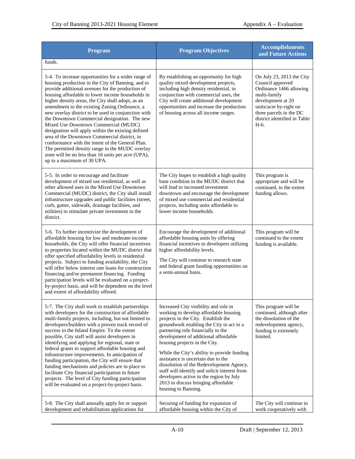| Program                                                                                                                                                                                                                                                                                                                                                                                                                                                                                                                                                                                                                                                                                                                                                                | <b>Program Objectives</b>                                                                                                                                                                                                                                                                                                                                                                                                                                                                                                                                                   | <b>Accomplishments</b><br>and Future Actions                                                                                                                                                               |
|------------------------------------------------------------------------------------------------------------------------------------------------------------------------------------------------------------------------------------------------------------------------------------------------------------------------------------------------------------------------------------------------------------------------------------------------------------------------------------------------------------------------------------------------------------------------------------------------------------------------------------------------------------------------------------------------------------------------------------------------------------------------|-----------------------------------------------------------------------------------------------------------------------------------------------------------------------------------------------------------------------------------------------------------------------------------------------------------------------------------------------------------------------------------------------------------------------------------------------------------------------------------------------------------------------------------------------------------------------------|------------------------------------------------------------------------------------------------------------------------------------------------------------------------------------------------------------|
| funds.                                                                                                                                                                                                                                                                                                                                                                                                                                                                                                                                                                                                                                                                                                                                                                 |                                                                                                                                                                                                                                                                                                                                                                                                                                                                                                                                                                             |                                                                                                                                                                                                            |
| 5-4. To increase opportunities for a wider range of<br>housing production in the City of Banning, and to<br>provide additional avenues for the production of<br>housing affordable to lower income households in<br>higher density areas, the City shall adopt, as an<br>amendment to the existing Zoning Ordinance, a<br>new overlay district to be used in conjunction with<br>the Downtown Commercial designation. The new<br>Mixed Use Downtown Commercial (MUDC)<br>designation will apply within the existing defined<br>area of the Downtown Commercial district, in<br>conformance with the intent of the General Plan.<br>The permitted density range in the MUDC overlay<br>zone will be no less than 16 units per acre (UPA),<br>up to a maximum of 30 UPA. | By establishing an opportunity for high<br>quality mixed development projects,<br>including high density residential, in<br>conjunction with commercial uses, the<br>City will create additional development<br>opportunities and increase the production<br>of housing across all income ranges.                                                                                                                                                                                                                                                                           | On July 23, 2013 the City<br>Council approved<br>Ordinance 1466 allowing<br>multi-family<br>development at 20<br>units/acre by-right on<br>three parcels in the DC<br>district identified in Table<br>H-6. |
| 5-5. In order to encourage and facilitate<br>development of mixed use residential, as well as<br>other allowed uses in the Mixed Use Downtown<br>Commercial (MUDC) district, the City shall install<br>infrastructure upgrades and public facilities (street,<br>curb, gutter, sidewalk, drainage facilities, and<br>utilities) to stimulate private investment in the<br>district.                                                                                                                                                                                                                                                                                                                                                                                    | The City hopes to establish a high quality<br>base condition in the MUDC district that<br>will lead to increased investment<br>downtown and encourage the development<br>of mixed use commercial and residential<br>projects, including units affordable to<br>lower income households.                                                                                                                                                                                                                                                                                     | This program is<br>appropriate and will be<br>continued, to the extent<br>funding allows.                                                                                                                  |
| 5-6. To further incentivize the development of<br>affordable housing for low and moderate-income<br>households, the City will offer financial incentives<br>to properties located within the MUDC district that<br>offer specified affordability levels in residential<br>projects. Subject to funding availability, the City<br>will offer below interest rate loans for construction<br>financing and/or permanent financing. Funding<br>participation levels will be evaluated on a project-<br>by-project basis, and will be dependent on the level<br>and extent of affordability offered.                                                                                                                                                                        | Encourage the development of additional<br>affordable housing units by offering<br>financial incentives to developers utilizing<br>higher affordability levels.<br>The City will continue to research state<br>and federal grant funding opportunities on<br>a semi-annual basis.                                                                                                                                                                                                                                                                                           | This program will be<br>continued to the extent<br>funding is available.                                                                                                                                   |
| 5-7. The City shall work to establish partnerships<br>with developers for the construction of affordable<br>multi-family projects, including, but not limited to<br>developers/builders with a proven track record of<br>success in the Inland Empire. To the extent<br>possible, City staff will assist developers in<br>identifying and applying for regional, state or<br>federal grants to support affordable housing and<br>infrastructure improvements. In anticipation of<br>funding participation, the City will ensure that<br>funding mechanisms and policies are in place to<br>facilitate City financial participation in future<br>projects. The level of City funding participation<br>will be evaluated on a project-by-project basis.                  | Increased City visibility and role in<br>working to develop affordable housing<br>projects in the City. Establish the<br>groundwork enabling the City to act in a<br>partnering role financially in the<br>development of additional affordable<br>housing projects in the City.<br>While the City's ability to provide funding<br>assistance is uncertain due to the<br>dissolution of the Redevelopment Agency,<br>staff will identify and solicit interest from<br>developers active in the region by July<br>2013 to discuss bringing affordable<br>housing to Banning. | This program will be<br>continued, although after<br>the dissolution of the<br>redevelopment agency,<br>funding is extremely<br>limited.                                                                   |
| 5-8. The City shall annually apply for or support<br>development and rehabilitation applications for                                                                                                                                                                                                                                                                                                                                                                                                                                                                                                                                                                                                                                                                   | Securing of funding for expansion of<br>affordable housing within the City of                                                                                                                                                                                                                                                                                                                                                                                                                                                                                               | The City will continue to<br>work cooperatively with                                                                                                                                                       |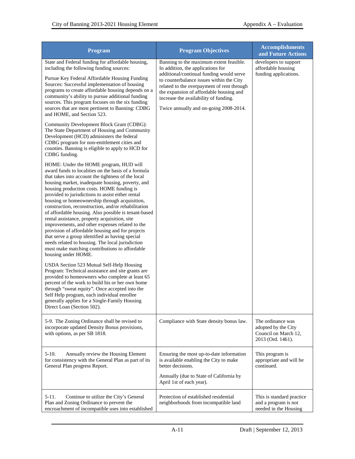| Program                                                                                                                                                                                                                                                                                                                                                                                                                                                                                                                                                                                                                                                                                                                                                                                                                                                                                                                                                                                                                                                                                                                                                                                                                                                                                                                                                                                                                                                                                                                                                                                                                                                                                                                                                                                                                                                                                                                       | <b>Program Objectives</b>                                                                                                                                                                                                                                                                                                                        | <b>Accomplishments</b><br>and Future Actions                                          |
|-------------------------------------------------------------------------------------------------------------------------------------------------------------------------------------------------------------------------------------------------------------------------------------------------------------------------------------------------------------------------------------------------------------------------------------------------------------------------------------------------------------------------------------------------------------------------------------------------------------------------------------------------------------------------------------------------------------------------------------------------------------------------------------------------------------------------------------------------------------------------------------------------------------------------------------------------------------------------------------------------------------------------------------------------------------------------------------------------------------------------------------------------------------------------------------------------------------------------------------------------------------------------------------------------------------------------------------------------------------------------------------------------------------------------------------------------------------------------------------------------------------------------------------------------------------------------------------------------------------------------------------------------------------------------------------------------------------------------------------------------------------------------------------------------------------------------------------------------------------------------------------------------------------------------------|--------------------------------------------------------------------------------------------------------------------------------------------------------------------------------------------------------------------------------------------------------------------------------------------------------------------------------------------------|---------------------------------------------------------------------------------------|
| State and Federal funding for affordable housing,<br>including the following funding sources:<br>Pursue Key Federal Affordable Housing Funding<br>Sources: Successful implementation of housing<br>programs to create affordable housing depends on a<br>community's ability to pursue additional funding<br>sources. This program focuses on the six funding<br>sources that are most pertinent to Banning: CDBG<br>and HOME, and Section 523.<br>Community Development Block Grant (CDBG):<br>The State Department of Housing and Community<br>Development (HCD) administers the federal<br>CDBG program for non-entitlement cities and<br>counties. Banning is eligible to apply to HCD for<br>CDBG funding.<br>HOME: Under the HOME program, HUD will<br>award funds to localities on the basis of a formula<br>that takes into account the tightness of the local<br>housing market, inadequate housing, poverty, and<br>housing production costs. HOME funding is<br>provided to jurisdictions to assist either rental<br>housing or homeownership through acquisition,<br>construction, reconstruction, and/or rehabilitation<br>of affordable housing. Also possible is tenant-based<br>rental assistance, property acquisition, site<br>improvements, and other expenses related to the<br>provision of affordable housing and for projects<br>that serve a group identified as having special<br>needs related to housing. The local jurisdiction<br>must make matching contributions to affordable<br>housing under HOME.<br>USDA Section 523 Mutual Self-Help Housing<br>Program: Technical assistance and site grants are<br>provided to homeowners who complete at least 65<br>percent of the work to build his or her own home<br>through "sweat equity". Once accepted into the<br>Self Help program, each individual enrollee<br>generally applies for a Single-Family Housing<br>Direct Loan (Section 502). | Banning to the maximum extent feasible.<br>In addition, the applications for<br>additional/continual funding would serve<br>to counterbalance issues within the City<br>related to the overpayment of rent through<br>the expansion of affordable housing and<br>increase the availability of funding.<br>Twice annually and on-going 2008-2014. | developers to support<br>affordable housing<br>funding applications.                  |
| 5-9. The Zoning Ordinance shall be revised to<br>incorporate updated Density Bonus provisions,<br>with options, as per SB 1818.                                                                                                                                                                                                                                                                                                                                                                                                                                                                                                                                                                                                                                                                                                                                                                                                                                                                                                                                                                                                                                                                                                                                                                                                                                                                                                                                                                                                                                                                                                                                                                                                                                                                                                                                                                                               | Compliance with State density bonus law.                                                                                                                                                                                                                                                                                                         | The ordinance was<br>adopted by the City<br>Council on March 12,<br>2013 (Ord. 1461). |
| $5-10.$<br>Annually review the Housing Element<br>for consistency with the General Plan as part of its<br>General Plan progress Report.                                                                                                                                                                                                                                                                                                                                                                                                                                                                                                                                                                                                                                                                                                                                                                                                                                                                                                                                                                                                                                                                                                                                                                                                                                                                                                                                                                                                                                                                                                                                                                                                                                                                                                                                                                                       | Ensuring the most up-to-date information<br>is available enabling the City to make<br>better decisions.<br>Annually (due to State of California by<br>April 1st of each year).                                                                                                                                                                   | This program is<br>appropriate and will be<br>continued.                              |
| $5-11.$<br>Continue to utilize the City's General<br>Plan and Zoning Ordinance to prevent the<br>encroachment of incompatible uses into established                                                                                                                                                                                                                                                                                                                                                                                                                                                                                                                                                                                                                                                                                                                                                                                                                                                                                                                                                                                                                                                                                                                                                                                                                                                                                                                                                                                                                                                                                                                                                                                                                                                                                                                                                                           | Protection of established residential<br>neighborhoods from incompatible land                                                                                                                                                                                                                                                                    | This is standard practice<br>and a program is not<br>needed in the Housing            |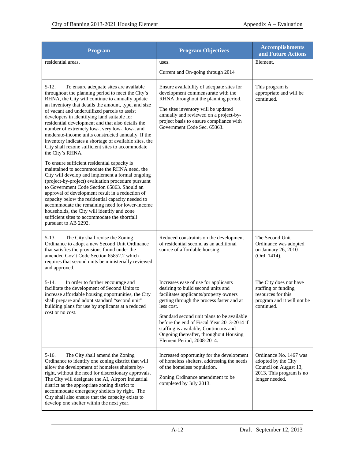| Program                                                                                                                                                                                                                                                                                                                                                                                                                                                                                                                                                                                                                                                                                                           | <b>Program Objectives</b>                                                                                                                                                                                                                                                         | <b>Accomplishments</b><br>and Future Actions                                                                         |
|-------------------------------------------------------------------------------------------------------------------------------------------------------------------------------------------------------------------------------------------------------------------------------------------------------------------------------------------------------------------------------------------------------------------------------------------------------------------------------------------------------------------------------------------------------------------------------------------------------------------------------------------------------------------------------------------------------------------|-----------------------------------------------------------------------------------------------------------------------------------------------------------------------------------------------------------------------------------------------------------------------------------|----------------------------------------------------------------------------------------------------------------------|
| residential areas.                                                                                                                                                                                                                                                                                                                                                                                                                                                                                                                                                                                                                                                                                                | uses.                                                                                                                                                                                                                                                                             | Element.                                                                                                             |
|                                                                                                                                                                                                                                                                                                                                                                                                                                                                                                                                                                                                                                                                                                                   | Current and On-going through 2014                                                                                                                                                                                                                                                 |                                                                                                                      |
| $5-12.$<br>To ensure adequate sites are available<br>throughout the planning period to meet the City's<br>RHNA, the City will continue to annually update<br>an inventory that details the amount, type, and size<br>of vacant and underutilized parcels to assist<br>developers in identifying land suitable for<br>residential development and that also details the<br>number of extremely low-, very low-, low-, and<br>moderate-income units constructed annually. If the<br>inventory indicates a shortage of available sites, the<br>City shall rezone sufficient sites to accommodate<br>the City's RHNA.<br>To ensure sufficient residential capacity is<br>maintained to accommodate the RHNA need, the | Ensure availability of adequate sites for<br>development commensurate with the<br>RHNA throughout the planning period.<br>The sites inventory will be updated<br>annually and reviewed on a project-by-<br>project basis to ensure compliance with<br>Government Code Sec. 65863. | This program is<br>appropriate and will be<br>continued.                                                             |
| City will develop and implement a formal ongoing<br>(project-by-project) evaluation procedure pursuant<br>to Government Code Section 65863. Should an<br>approval of development result in a reduction of<br>capacity below the residential capacity needed to<br>accommodate the remaining need for lower-income<br>households, the City will identify and zone<br>sufficient sites to accommodate the shortfall<br>pursuant to AB 2292.                                                                                                                                                                                                                                                                         |                                                                                                                                                                                                                                                                                   |                                                                                                                      |
| $5-13.$<br>The City shall revise the Zoning<br>Ordinance to adopt a new Second Unit Ordinance<br>that satisfies the provisions found under the<br>amended Gov't Code Section 65852.2 which<br>requires that second units be ministerially reviewed<br>and approved.                                                                                                                                                                                                                                                                                                                                                                                                                                               | Reduced constraints on the development<br>of residential second as an additional<br>source of affordable housing.                                                                                                                                                                 | The Second Unit<br>Ordinance was adopted<br>on January 26, 2010<br>(Ord. 1414).                                      |
| 5-14.<br>In order to further encourage and<br>facilitate the development of Second Units to<br>increase affordable housing opportunities, the City<br>shall prepare and adopt standard "second unit"<br>building plans for use by applicants at a reduced<br>cost or no cost.                                                                                                                                                                                                                                                                                                                                                                                                                                     | Increases ease of use for applicants<br>desiring to build second units and<br>facilitates applicants/property owners<br>getting through the process faster and at<br>less cost.                                                                                                   | The City does not have<br>staffing or funding<br>resources for this<br>program and it will not be<br>continued.      |
|                                                                                                                                                                                                                                                                                                                                                                                                                                                                                                                                                                                                                                                                                                                   | Standard second unit plans to be available<br>before the end of Fiscal Year 2013-2014 if<br>staffing is available, Continuous and<br>Ongoing thereafter, throughout Housing<br>Element Period, 2008-2014.                                                                         |                                                                                                                      |
| 5-16.<br>The City shall amend the Zoning<br>Ordinance to identify one zoning district that will<br>allow the development of homeless shelters by-<br>right, without the need for discretionary approvals.<br>The City will designate the AI, Airport Industrial<br>district as the appropriate zoning district to<br>accommodate emergency shelters by right. The<br>City shall also ensure that the capacity exists to<br>develop one shelter within the next year.                                                                                                                                                                                                                                              | Increased opportunity for the development<br>of homeless shelters, addressing the needs<br>of the homeless population.<br>Zoning Ordinance amendment to be<br>completed by July 2013.                                                                                             | Ordinance No. 1467 was<br>adopted by the City<br>Council on August 13,<br>2013. This program is no<br>longer needed. |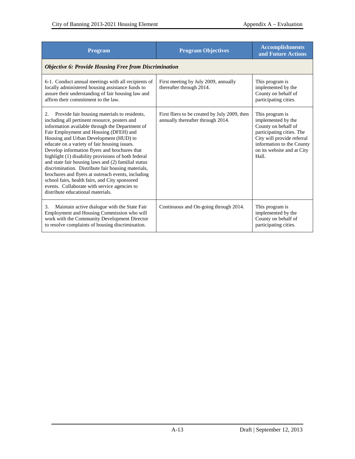| <b>Program</b>                                                                                                                                                                                                                                                                                                                                                                                                                                                                                                                                                                                                                                                                                               | <b>Program Objectives</b>                                                          | <b>Accomplishments</b><br>and Future Actions                                                                                                                                                |
|--------------------------------------------------------------------------------------------------------------------------------------------------------------------------------------------------------------------------------------------------------------------------------------------------------------------------------------------------------------------------------------------------------------------------------------------------------------------------------------------------------------------------------------------------------------------------------------------------------------------------------------------------------------------------------------------------------------|------------------------------------------------------------------------------------|---------------------------------------------------------------------------------------------------------------------------------------------------------------------------------------------|
| <b>Objective 6: Provide Housing Free from Discrimination</b>                                                                                                                                                                                                                                                                                                                                                                                                                                                                                                                                                                                                                                                 |                                                                                    |                                                                                                                                                                                             |
| 6-1. Conduct annual meetings with all recipients of<br>locally administered housing assistance funds to<br>assure their understanding of fair housing law and<br>affirm their commitment to the law.                                                                                                                                                                                                                                                                                                                                                                                                                                                                                                         | First meeting by July 2009, annually<br>thereafter through 2014.                   | This program is<br>implemented by the<br>County on behalf of<br>participating cities.                                                                                                       |
| Provide fair housing materials to residents,<br>2.<br>including all pertinent resource, posters and<br>information available through the Department of<br>Fair Employment and Housing (DFEH) and<br>Housing and Urban Development (HUD) to<br>educate on a variety of fair housing issues.<br>Develop information flyers and brochures that<br>highlight (1) disability provisions of both federal<br>and state fair housing laws and (2) familial status<br>discrimination. Distribute fair housing materials,<br>brochures and flyers at outreach events, including<br>school fairs, health fairs, and City sponsored<br>events. Collaborate with service agencies to<br>distribute educational materials. | First fliers to be created by July 2009, then<br>annually thereafter through 2014. | This program is<br>implemented by the<br>County on behalf of<br>participating cities. The<br>City will provide referral<br>information to the County<br>on its website and at City<br>Hall. |
| 3.<br>Maintain active dialogue with the State Fair<br>Employment and Housing Commission who will<br>work with the Community Development Director<br>to resolve complaints of housing discrimination.                                                                                                                                                                                                                                                                                                                                                                                                                                                                                                         | Continuous and On-going through 2014.                                              | This program is<br>implemented by the<br>County on behalf of<br>participating cities.                                                                                                       |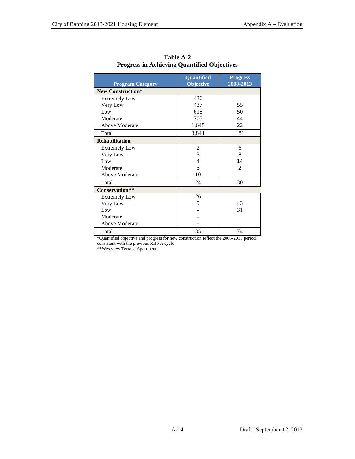| <b>Program Category</b>  | <b>Quantified</b><br><b>Objective</b> | <b>Progress</b><br>2008-2013 |
|--------------------------|---------------------------------------|------------------------------|
| <b>New Construction*</b> |                                       |                              |
| <b>Extremely Low</b>     | 436                                   |                              |
| Very Low                 | 437                                   | 55                           |
| Low                      | 618                                   | 50                           |
| Moderate                 | 705                                   | 44                           |
| Above Moderate           | 1,645                                 | 22                           |
| Total                    | 3,841                                 | 181                          |
| <b>Rehabilitation</b>    |                                       |                              |
| <b>Extremely Low</b>     | 2                                     | 6                            |
| Very Low                 | 3                                     | 8                            |
| Low                      | $\overline{4}$                        | 14                           |
| Moderate                 | 5                                     | 2                            |
| Above Moderate           | 10                                    |                              |
| Total                    | 24                                    | 30                           |
| Conservation**           |                                       |                              |
| <b>Extremely Low</b>     | 26                                    |                              |
| Very Low                 | 9                                     | 43                           |
| Low                      |                                       | 31                           |
| Moderate                 |                                       |                              |
| Above Moderate           |                                       |                              |
| Total                    | 35                                    | 74                           |

**Table A-2 Progress in Achieving Quantified Objectives**

\*Quantified objective and progress for new construction reflect the 2006-2013 period, consistent with the previous RHNA cycle

\*\*Westview Terrace Apartments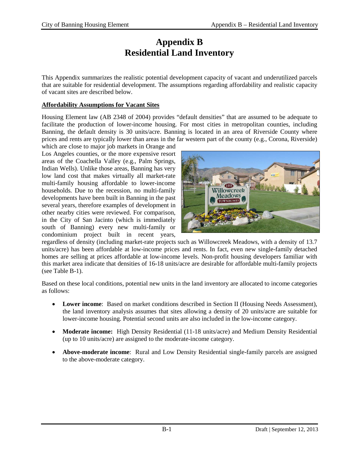# **Appendix B Residential Land Inventory**

This Appendix summarizes the realistic potential development capacity of vacant and underutilized parcels that are suitable for residential development. The assumptions regarding affordability and realistic capacity of vacant sites are described below.

#### **Affordability Assumptions for Vacant Sites**

Housing Element law (AB 2348 of 2004) provides "default densities" that are assumed to be adequate to facilitate the production of lower-income housing. For most cities in metropolitan counties, including Banning, the default density is 30 units/acre. Banning is located in an area of Riverside County where prices and rents are typically lower than areas in the far western part of the county (e.g., Corona, Riverside)

which are close to major job markets in Orange and Los Angeles counties, or the more expensive resort areas of the Coachella Valley (e.g., Palm Springs, Indian Wells). Unlike those areas, Banning has very low land cost that makes virtually all market-rate multi-family housing affordable to lower-income households. Due to the recession, no multi-family developments have been built in Banning in the past several years, therefore examples of development in other nearby cities were reviewed. For comparison, in the City of San Jacinto (which is immediately south of Banning) every new multi-family or condominium project built in recent years,



regardless of density (including market-rate projects such as Willowcreek Meadows, with a density of 13.7 units/acre) has been affordable at low-income prices and rents. In fact, even new single-family detached homes are selling at prices affordable at low-income levels. Non-profit housing developers familiar with this market area indicate that densities of 16-18 units/acre are desirable for affordable multi-family projects (see Table B-1).

Based on these local conditions, potential new units in the land inventory are allocated to income categories as follows:

- **Lower income**: Based on market conditions described in Section II (Housing Needs Assessment), the land inventory analysis assumes that sites allowing a density of 20 units/acre are suitable for lower-income housing. Potential second units are also included in the low-income category.
- **Moderate income:** High Density Residential (11-18 units/acre) and Medium Density Residential (up to 10 units/acre) are assigned to the moderate-income category.
- **Above-moderate income**: Rural and Low Density Residential single-family parcels are assigned to the above-moderate category.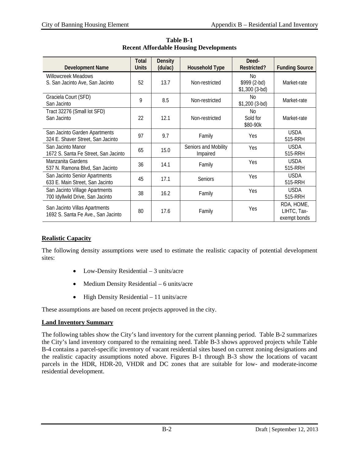| <b>Development Name</b>                                             | <b>Total</b><br><b>Units</b> | <b>Density</b><br>(du/ac) | <b>Household Type</b>            | Deed-<br><b>Restricted?</b>           | <b>Funding Source</b>                     |
|---------------------------------------------------------------------|------------------------------|---------------------------|----------------------------------|---------------------------------------|-------------------------------------------|
| Willowcreek Meadows<br>S. San Jacinto Ave, San Jacinto              | 52                           | 13.7                      | Non-restricted                   | No<br>\$999 (2-bd)<br>$$1,300 (3-bd)$ | Market-rate                               |
| Graciela Court (SFD)<br>San Jacinto                                 | 9                            | 8.5                       | Non-restricted                   | N <sub>0</sub><br>$$1,200 (3-bd)$     | Market-rate                               |
| Tract 32276 (Small lot SFD)<br>San Jacinto                          | 22                           | 12.1                      | Non-restricted                   | No<br>Sold for<br>\$80-90k            | Market-rate                               |
| San Jacinto Garden Apartments<br>324 E. Shaver Street, San Jacinto  | 97                           | 9.7                       | Family                           | Yes                                   | <b>USDA</b><br>515-RRH                    |
| San Jacinto Manor<br>1672 S. Santa Fe Street, San Jacinto           | 65                           | 15.0                      | Seniors and Mobility<br>Impaired | Yes                                   | <b>USDA</b><br>515-RRH                    |
| Manzanita Gardens<br>537 N. Ramona Blvd, San Jacinto                | 36                           | 14.1                      | Family                           | Yes                                   | <b>USDA</b><br>515-RRH                    |
| San Jacinto Senior Apartments<br>633 E. Main Street, San Jacinto    | 45                           | 17.1                      | <b>Seniors</b>                   | Yes                                   | <b>USDA</b><br>515-RRH                    |
| San Jacinto Village Apartments<br>700 Idyllwild Drive, San Jacinto  | 38                           | 16.2                      | Family                           | Yes                                   | <b>USDA</b><br>515-RRH                    |
| San Jacinto Villas Apartments<br>1692 S. Santa Fe Ave., San Jacinto | 80                           | 17.6                      | Family                           | Yes                                   | RDA, HOME,<br>LIHTC, Tax-<br>exempt bonds |

**Table B-1 Recent Affordable Housing Developments**

### **Realistic Capacity**

The following density assumptions were used to estimate the realistic capacity of potential development sites:

- Low-Density Residential 3 units/acre
- Medium Density Residential 6 units/acre
- High Density Residential 11 units/acre

These assumptions are based on recent projects approved in the city.

### **Land Inventory Summary**

The following tables show the City's land inventory for the current planning period. Table B-2 summarizes the City's land inventory compared to the remaining need. Table B-3 shows approved projects while Table B-4 contains a parcel-specific inventory of vacant residential sites based on current zoning designations and the realistic capacity assumptions noted above. Figures B-1 through B-3 show the locations of vacant parcels in the HDR, HDR-20, VHDR and DC zones that are suitable for low- and moderate-income residential development.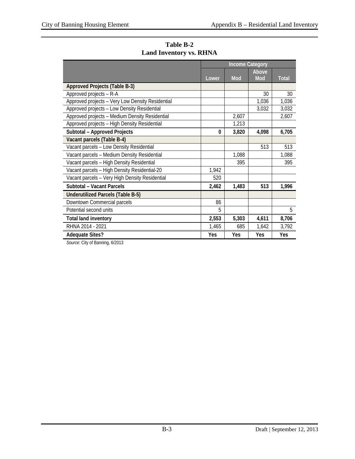|                                                  |       | <b>Income Category</b> |            |              |  |  |
|--------------------------------------------------|-------|------------------------|------------|--------------|--|--|
|                                                  |       |                        | Above      |              |  |  |
|                                                  | Lower | <b>Mod</b>             | <b>Mod</b> | <b>Total</b> |  |  |
| <b>Approved Projects (Table B-3)</b>             |       |                        |            |              |  |  |
| Approved projects - R-A                          |       |                        | 30         | 30           |  |  |
| Approved projects - Very Low Density Residential |       |                        | 1,036      | 1,036        |  |  |
| Approved projects - Low Density Residential      |       |                        | 3,032      | 3,032        |  |  |
| Approved projects - Medium Density Residential   |       | 2,607                  |            | 2,607        |  |  |
| Approved projects - High Density Residential     |       | 1,213                  |            |              |  |  |
| Subtotal - Approved Projects                     | 0     | 3,820                  | 4,098      | 6,705        |  |  |
| Vacant parcels (Table B-4)                       |       |                        |            |              |  |  |
| Vacant parcels - Low Density Residential         |       |                        | 513        | 513          |  |  |
| Vacant parcels - Medium Density Residential      |       | 1,088                  |            | 1,088        |  |  |
| Vacant parcels - High Density Residential        |       | 395                    |            | 395          |  |  |
| Vacant parcels - High Density Residential-20     | 1,942 |                        |            |              |  |  |
| Vacant parcels - Very High Density Residential   | 520   |                        |            |              |  |  |
| Subtotal - Vacant Parcels                        | 2,462 | 1,483                  | 513        | 1,996        |  |  |
| <b>Underutilized Parcels (Table B-5)</b>         |       |                        |            |              |  |  |
| Downtown Commercial parcels                      | 86    |                        |            |              |  |  |
| Potential second units                           | 5     |                        |            | 5            |  |  |
| <b>Total land inventory</b>                      | 2,553 | 5,303                  | 4,611      | 8,706        |  |  |
| RHNA 2014 - 2021                                 | 1,465 | 685                    | 1,642      | 3,792        |  |  |
| <b>Adequate Sites?</b>                           | Yes   | Yes                    | Yes        | Yes          |  |  |

**Table B-2 Land Inventory vs. RHNA**

*Source*: City of Banning, 6/2013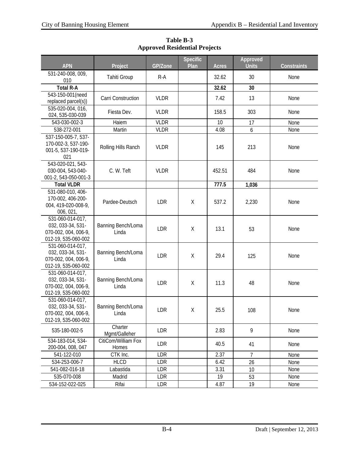| <b>APN</b>                                                                           | Project                      | GP/Zone     | <b>Specific</b><br>Plan | <b>Acres</b> | Approved<br><b>Units</b> | Constraints |
|--------------------------------------------------------------------------------------|------------------------------|-------------|-------------------------|--------------|--------------------------|-------------|
| 531-240-008, 009,<br>010                                                             | Tahiti Group                 | $R-A$       |                         | 32.62        | 30                       | None        |
| <b>Total R-A</b>                                                                     |                              |             |                         | 32.62        | 30                       |             |
| 543-150-001(need<br>replaced parcel(s))                                              | Carri Construction           | <b>VLDR</b> |                         | 7.42         | 13                       | None        |
| 535-020-004, 016,<br>024, 535-030-039                                                | Fiesta Dev.                  | <b>VLDR</b> |                         | 158.5        | 303                      | None        |
| 543-030-002-3                                                                        | Haiem                        | <b>VLDR</b> |                         | 10           | 17                       | None        |
| 538-272-001                                                                          | Martin                       | <b>VLDR</b> |                         | 4.08         | 6                        | None        |
| 537-150-005-7, 537-<br>170-002-3, 537-190-<br>001-5, 537-190-019-<br>021             | Rolling Hills Ranch          | <b>VLDR</b> |                         | 145          | 213                      | None        |
| 543-020-021, 543-<br>030-004, 543-040-<br>001-2, 543-050-001-3                       | C. W. Teft                   | <b>VLDR</b> |                         | 452.51       | 484                      | None        |
| <b>Total VLDR</b>                                                                    |                              |             |                         | 777.5        | 1,036                    |             |
| 531-080-010, 406-<br>170-002, 406-200-<br>004, 419-020-008-9,<br>006, 021,           | Pardee-Deutsch               | LDR         | χ                       | 537.2        | 2,230                    | None        |
| 531-060-014-017,<br>032, 033-34, 531-<br>070-002, 004, 006-9,<br>012-19, 535-060-002 | Banning Bench/Loma<br>Linda  | <b>LDR</b>  | X                       | 13.1         | 53                       | None        |
| 531-060-014-017,<br>032, 033-34, 531-<br>070-002, 004, 006-9,<br>012-19, 535-060-002 | Banning Bench/Loma<br>Linda  | <b>LDR</b>  | X                       | 29.4         | 125                      | None        |
| 531-060-014-017,<br>032, 033-34, 531-<br>070-002, 004, 006-9,<br>012-19, 535-060-002 | Banning Bench/Loma<br>Linda  | <b>LDR</b>  | X                       | 11.3         | 48                       | None        |
| 531-060-014-017,<br>032, 033-34, 531-<br>070-002, 004, 006-9,<br>012-19, 535-060-002 | Banning Bench/Loma<br>Linda  | <b>LDR</b>  | Χ                       | 25.5         | 108                      | None        |
| 535-180-002-5                                                                        | Charter<br>Mgmt/Galleher     | <b>LDR</b>  |                         | 2.83         | 9                        | None        |
| 534-183-014, 534-<br>200-004, 008, 047                                               | CitiCom/William Fox<br>Homes | LDR         |                         | 40.5         | 41                       | None        |
| 541-122-010                                                                          | CTK Inc.                     | LDR         |                         | 2.37         | $\overline{7}$           | None        |
| 534-253-006-7                                                                        | <b>HLCD</b>                  | LDR         |                         | 6.42         | 26                       | None        |
| 541-082-016-18                                                                       | Labastida                    | LDR         |                         | 3.31         | 10                       | None        |
| 535-070-008                                                                          | Madrid                       | LDR         |                         | 19           | 53                       | None        |
| 534-152-022-025                                                                      | Rifai                        | LDR         |                         | 4.87         | 19                       | None        |

**Table B-3 Approved Residential Projects**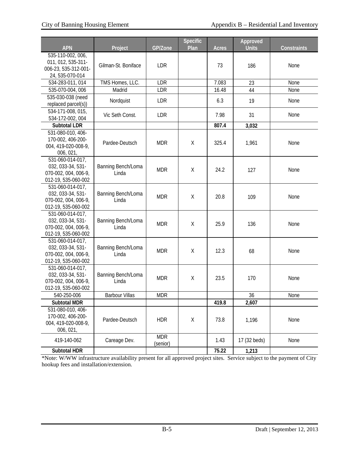| <b>APN</b>                                                                           | Project                     | GP/Zone                | <b>Specific</b><br>Plan | <b>Acres</b> | Approved<br><b>Units</b> | Constraints |
|--------------------------------------------------------------------------------------|-----------------------------|------------------------|-------------------------|--------------|--------------------------|-------------|
| 535-110-002, 006,<br>011, 012, 535-311-<br>006-23, 535-312-001-<br>24, 535-070-014   | Gilman-St. Boniface         | <b>LDR</b>             |                         | 73           | 186                      | None        |
| 534-283-011, 014                                                                     | TMS Homes, LLC.             | <b>LDR</b>             |                         | 7.083        | 23                       | None        |
| 535-070-004, 006                                                                     | Madrid                      | LDR                    |                         | 16.48        | 44                       | None        |
| 535-030-038 (need<br>replaced parcel(s))                                             | Nordquist                   | LDR                    |                         | 6.3          | 19                       | None        |
| 534-171-008, 015,<br>534-172-002, 004                                                | Vic Seth Const.             | LDR                    |                         | 7.98         | 31                       | None        |
| <b>Subtotal LDR</b>                                                                  |                             |                        |                         | 807.4        | 3,032                    |             |
| 531-080-010, 406-<br>170-002, 406-200-<br>004, 419-020-008-9,<br>006, 021,           | Pardee-Deutsch              | <b>MDR</b>             | χ                       | 325.4        | 1,961                    | None        |
| 531-060-014-017,<br>032, 033-34, 531-<br>070-002, 004, 006-9,<br>012-19, 535-060-002 | Banning Bench/Loma<br>Linda | <b>MDR</b>             | Χ                       | 24.2         | 127                      | None        |
| 531-060-014-017,<br>032, 033-34, 531-<br>070-002, 004, 006-9,<br>012-19, 535-060-002 | Banning Bench/Loma<br>Linda | <b>MDR</b>             | Χ                       | 20.8         | 109                      | None        |
| 531-060-014-017,<br>032, 033-34, 531-<br>070-002, 004, 006-9,<br>012-19, 535-060-002 | Banning Bench/Loma<br>Linda | <b>MDR</b>             | Χ                       | 25.9         | 136                      | None        |
| 531-060-014-017,<br>032, 033-34, 531-<br>070-002, 004, 006-9,<br>012-19, 535-060-002 | Banning Bench/Loma<br>Linda | <b>MDR</b>             | Χ                       | 12.3         | 68                       | None        |
| 531-060-014-017,<br>032, 033-34, 531-<br>070-002, 004, 006-9,<br>012-19, 535-060-002 | Banning Bench/Loma<br>Linda | <b>MDR</b>             | Χ                       | 23.5         | 170                      | None        |
| 540-250-006                                                                          | <b>Barbour Villas</b>       | <b>MDR</b>             |                         |              | 36                       | None        |
| <b>Subtotal MDR</b>                                                                  |                             |                        |                         | 419.8        | 2,607                    |             |
| 531-080-010, 406-<br>170-002, 406-200-<br>004, 419-020-008-9,<br>006, 021,           | Pardee-Deutsch              | <b>HDR</b>             | X                       | 73.8         | 1,196                    | None        |
| 419-140-062                                                                          | Careage Dev.                | <b>MDR</b><br>(senior) |                         | 1.43         | 17 (32 beds)             | None        |
| Subtotal HDR                                                                         |                             |                        |                         | 75.22        | 1,213                    |             |

\*Note: W/WW infrastructure availability present for all approved project sites. Service subject to the payment of City hookup fees and installation/extension.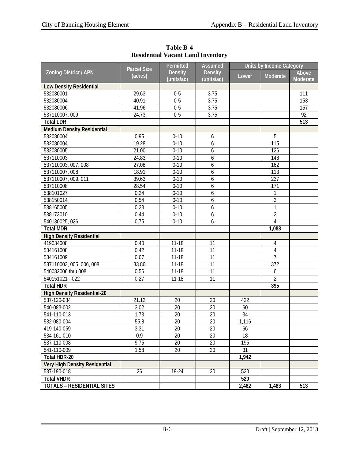|                                      | <b>Parcel Size</b> | Permitted       | <b>Assumed</b>    |       | Units by Income Category |          |
|--------------------------------------|--------------------|-----------------|-------------------|-------|--------------------------|----------|
| Zoning District / APN                | (acres)            | <b>Density</b>  | <b>Density</b>    | Lower | Moderate                 | Above    |
|                                      |                    | (units/ac)      | (units/ac)        |       |                          | Moderate |
| <b>Low Density Residential</b>       |                    |                 |                   |       |                          |          |
| 532080001                            | 29.63              | $0 - 5$         | 3.75              |       |                          | 111      |
| 532080004                            | 40.91              | $0 - 5$         | $\overline{3.75}$ |       |                          | 153      |
| 532080006                            | 41.96              | $0 - 5$         | 3.75              |       |                          | 157      |
| 537110007,009                        | 24.73              | $0 - 5$         | 3.75              |       |                          | 92       |
| <b>Total LDR</b>                     |                    |                 |                   |       |                          | 513      |
| <b>Medium Density Residential</b>    |                    |                 |                   |       |                          |          |
| 532080004                            | 0.95               | $0 - 10$        | 6                 |       | 5                        |          |
| 532080004                            | 19.28              | $0 - 10$        | 6                 |       | 115                      |          |
| 532080005                            | 21.00              | $0 - 10$        | 6                 |       | 126                      |          |
| 537110003                            | 24.83              | $0 - 10$        | 6                 |       | 148                      |          |
| 537110003, 007, 008                  | 27.08              | $0 - 10$        | 6                 |       | 162                      |          |
| 537110007,008                        | 18.91              | $0 - 10$        | 6                 |       | 113                      |          |
| 537110007, 009, 011                  | 39.63              | $0 - 10$        | 6                 |       | 237                      |          |
| 537110008                            | 28.54              | $0 - 10$        | 6                 |       | 171                      |          |
| 538101027                            | 0.24               | $0 - 10$        | 6                 |       |                          |          |
| 538150014                            | 0.54               | $0 - 10$        | 6                 |       | 3                        |          |
| 538165005                            | 0.23               | $0 - 10$        | 6                 |       | 1                        |          |
| 538173010                            | 0.44               | $0 - 10$        | 6                 |       | $\overline{2}$           |          |
| 540130025, 026                       | 0.75               | $0 - 10$        | 6                 |       | 4                        |          |
| <b>Total MDR</b>                     |                    |                 |                   |       | 1,088                    |          |
| <b>High Density Residential</b>      |                    |                 |                   |       |                          |          |
| 419034008                            | 0.40               | $11 - 18$       | 11                |       | 4                        |          |
| 534161008                            | 0.42               | $11 - 18$       | 11                |       | 4                        |          |
| 534161009                            | 0.67               | $11 - 18$       | 11                |       | 7                        |          |
| 537110003, 005, 006, 008             | 33.86              | $11 - 18$       | 11                |       | 372                      |          |
| 540082006 thru 008                   | 0.56               | $11 - 18$       | 11                |       | 6                        |          |
| 540151021 - 022                      | 0.27               | $11 - 18$       | 11                |       | $\overline{2}$           |          |
| <b>Total HDR</b>                     |                    |                 |                   |       | 395                      |          |
| <b>High Density Residential-20</b>   |                    |                 |                   |       |                          |          |
| 537-120-034                          | 21.12              | 20              | 20                | 422   |                          |          |
| 540-083-002                          | 3.02               | 20              | 20                | 60    |                          |          |
| 541-110-013                          | 1.73               | $\overline{20}$ | $\overline{20}$   | 34    |                          |          |
| 532-080-004                          | 55.8               | 20              | $\overline{20}$   | 1,116 |                          |          |
| 419-140-059                          | 3.31               | 20              | 20                | 66    |                          |          |
| 534-161-010                          | 0.9                | 20              | 20                | 18    |                          |          |
| 537-110-008                          | 9.75               | 20              | 20                | 195   |                          |          |
| 541-110-009                          | 1.58               | 20              | 20                | 31    |                          |          |
| Total HDR-20                         |                    |                 |                   | 1,942 |                          |          |
| <b>Very High Density Residential</b> |                    |                 |                   |       |                          |          |
| 537-190-018                          | 26                 | 19-24           | 20                | 520   |                          |          |
| <b>Total VHDR</b>                    |                    |                 |                   | 520   |                          |          |
| <b>TOTALS - RESIDENTIAL SITES</b>    |                    |                 |                   | 2,462 | 1,483                    | 513      |

**Table B-4 Residential Vacant Land Inventory**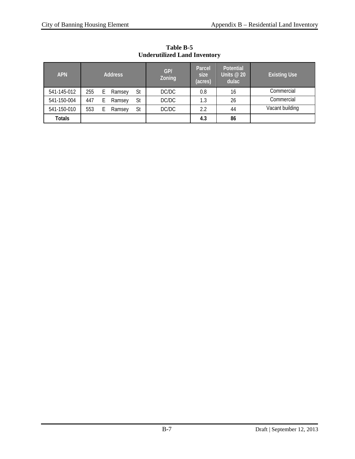| <b>APN</b>  |     |    | <b>Address</b> |    | GP/<br>Zoning | Parcel<br>size<br>(acres) | <b>Potential</b><br>Units $@20$<br>du/ac | <b>Existing Use</b> |
|-------------|-----|----|----------------|----|---------------|---------------------------|------------------------------------------|---------------------|
| 541-145-012 | 255 | F  | Ramsey         | St | DC/DC         | 0.8                       | 16                                       | Commercial          |
| 541-150-004 | 447 | F. | Ramsey         | St | DC/DC         | 1.3                       | 26                                       | Commercial          |
| 541-150-010 | 553 | E  | Ramsey         | St | DC/DC         | 2.2                       | 44                                       | Vacant building     |
| Totals      |     |    |                |    |               | 4.3                       | 86                                       |                     |

**Table B-5 Underutilized Land Inventory**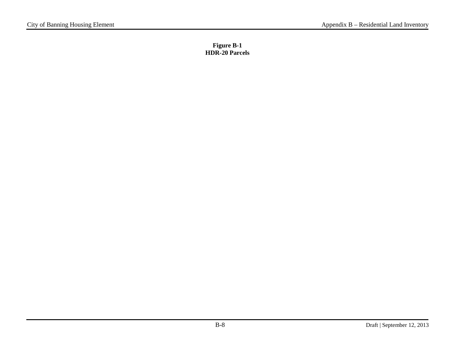**Figure B-1 HDR-20 Parcels**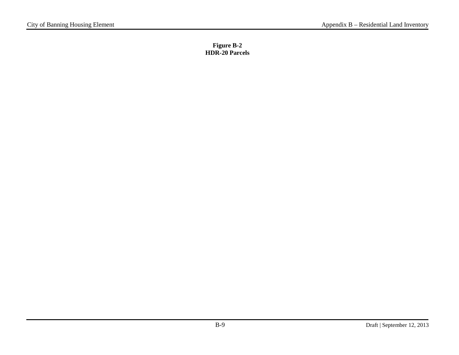**Figure B-2 HDR-20 Parcels**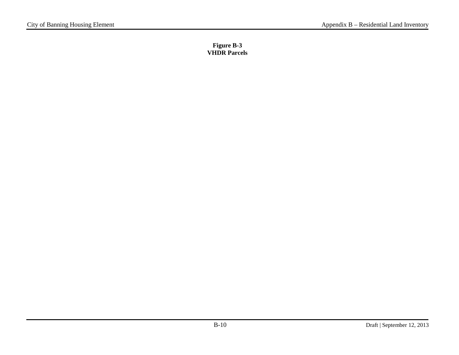**Figure B-3 VHDR Parcels**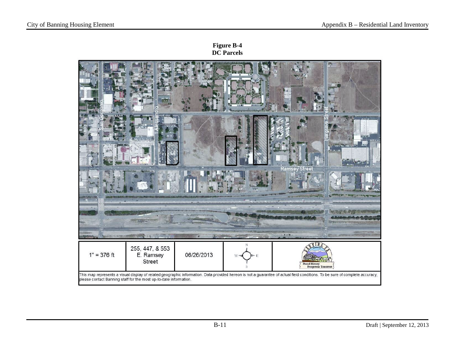

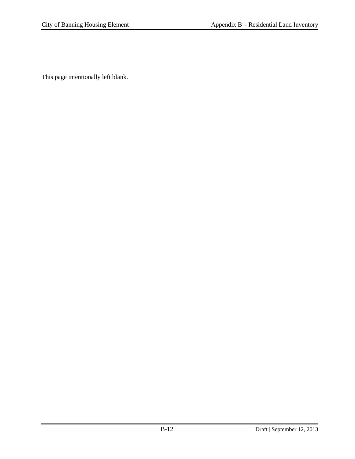This page intentionally left blank.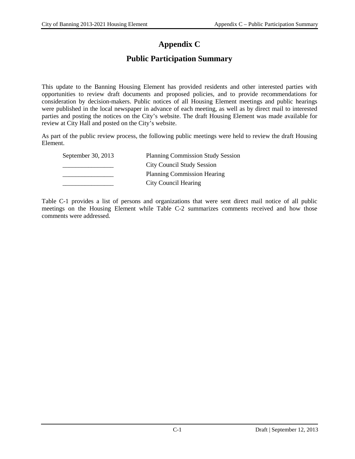# **Appendix C**

## **Public Participation Summary**

This update to the Banning Housing Element has provided residents and other interested parties with opportunities to review draft documents and proposed policies, and to provide recommendations for consideration by decision-makers. Public notices of all Housing Element meetings and public hearings were published in the local newspaper in advance of each meeting, as well as by direct mail to interested parties and posting the notices on the City's website. The draft Housing Element was made available for review at City Hall and posted on the City's website.

As part of the public review process, the following public meetings were held to review the draft Housing Element.

| September 30, 2013 | <b>Planning Commission Study Session</b> |
|--------------------|------------------------------------------|
|                    | <b>City Council Study Session</b>        |
|                    | <b>Planning Commission Hearing</b>       |
|                    | City Council Hearing                     |

Table C-1 provides a list of persons and organizations that were sent direct mail notice of all public meetings on the Housing Element while Table C-2 summarizes comments received and how those comments were addressed.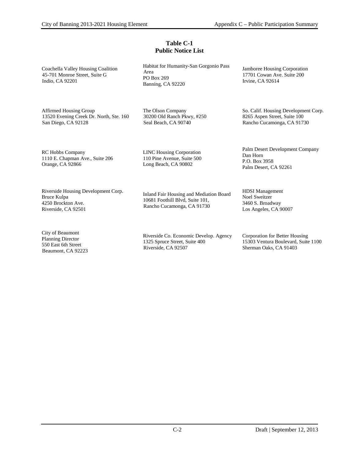#### **Table C-1 Public Notice List**

Coachella Valley Housing Coalition 45-701 Monroe Street, Suite G Indio, CA 92201

Affirmed Housing Group 13520 Evening Creek Dr. North, Ste. 160 San Diego, CA 92128

Habitat for Humanity-San Gorgonio Pass Area PO Box 269 Banning, CA 92220

The Olson Company 30200 Old Ranch Pkwy, #250 Seal Beach, CA 90740

Jamboree Housing Corporation 17701 Cowan Ave. Suite 200 Irvine, CA 92614

So. Calif. Housing Development Corp. 8265 Aspen Street, Suite 100 Rancho Cucamonga, CA 91730

RC Hobbs Company 1110 E. Chapman Ave., Suite 206 Orange, CA 92866

LINC Housing Corporation 110 Pine Avenue, Suite 500 Long Beach, CA 90802

Palm Desert Development Company Dan Horn P.O. Box 3958 Palm Desert, CA 92261

Riverside Housing Development Corp. Bruce Kulpa 4250 Brockton Ave. Riverside, CA 92501

Inland Fair Housing and Mediation Board 10681 Foothill Blvd, Suite 101, Rancho Cucamonga, CA 91730

City of Beaumont Planning Director 550 East 6th Street Beaumont, CA 92223

Riverside Co. Economic Develop. Agency 1325 Spruce Street, Suite 400 Riverside, CA 92507

HDSI Management Noel Sweitzer 3460 S. Broadway Los Angeles, CA 90007

Corporation for Better Housing 15303 Ventura Boulevard, Suite 1100 Sherman Oaks, CA 91403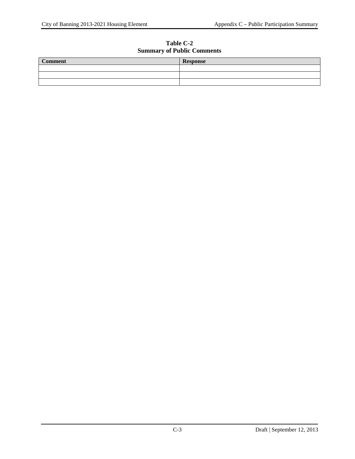**Table C-2 Summary of Public Comments**

| <b>Comment</b> | <b>Response</b> |
|----------------|-----------------|
|                |                 |
|                |                 |
|                |                 |